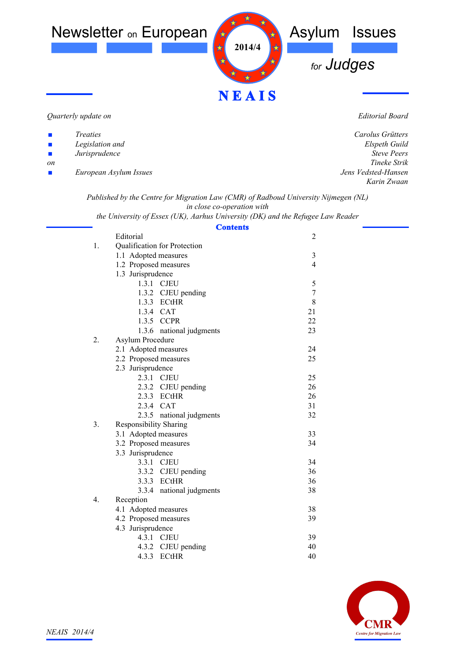

*Quarterly update on*

*Editorial Board*

| $\mathbf{r}$                | Treaties               | Carolus Grütters    |
|-----------------------------|------------------------|---------------------|
| $\mathcal{L}_{\mathcal{A}}$ | Legislation and        | Elspeth Guild       |
| $\mathcal{L}_{\mathcal{A}}$ | Jurisprudence          | <b>Steve Peers</b>  |
| on                          |                        | Tineke Strik        |
| $\mathbf{r}$                | European Asylum Issues | Jens Vedsted-Hansen |
|                             |                        | Karin Zwaan         |
|                             |                        |                     |

*Published by the Centre for Migration Law (CMR) of Radboud University Nijmegen (NL) in close co-operation with*

*the University of Essex (UK), Aarhus University (DK) and the Refugee Law Reader*

| <b>Contents</b>                     |                |  |
|-------------------------------------|----------------|--|
| Editorial                           | $\overline{2}$ |  |
| Qualification for Protection<br>1.  |                |  |
| 1.1 Adopted measures                | 3              |  |
| 1.2 Proposed measures               | $\overline{4}$ |  |
| 1.3 Jurisprudence                   |                |  |
| 1.3.1 CJEU                          | 5              |  |
| 1.3.2 CJEU pending                  | 7              |  |
| 1.3.3 ECtHR                         | 8              |  |
| 1.3.4 CAT                           | 21             |  |
| 1.3.5 CCPR                          | 22             |  |
| 1.3.6<br>national judgments         | 23             |  |
| 2.<br>Asylum Procedure              |                |  |
| 2.1 Adopted measures                | 24             |  |
| 2.2 Proposed measures               | 25             |  |
| 2.3 Jurisprudence                   |                |  |
| 2.3.1 CJEU                          | 25             |  |
| 2.3.2 CJEU pending                  | 26             |  |
| 2.3.3 ECtHR                         | 26             |  |
| 2.3.4 CAT                           | 31             |  |
| 2.3.5 national judgments            | 32             |  |
| 3.<br><b>Responsibility Sharing</b> |                |  |
| 3.1 Adopted measures                | 33             |  |
| 3.2 Proposed measures               | 34             |  |
| 3.3 Jurisprudence                   |                |  |
| 3.3.1 CJEU                          | 34             |  |
| 3.3.2 CJEU pending                  | 36             |  |
| 3.3.3 ECtHR                         | 36             |  |
| national judgments<br>3.3.4         | 38             |  |
| $\overline{4}$ .<br>Reception       |                |  |
| 4.1 Adopted measures                | 38             |  |
| 4.2 Proposed measures               | 39             |  |
| 4.3 Jurisprudence                   |                |  |
| 4.3.1 CJEU                          | 39             |  |
| 4.3.2 CJEU pending                  | 40             |  |
| 4.3.3 ECtHR                         | 40             |  |

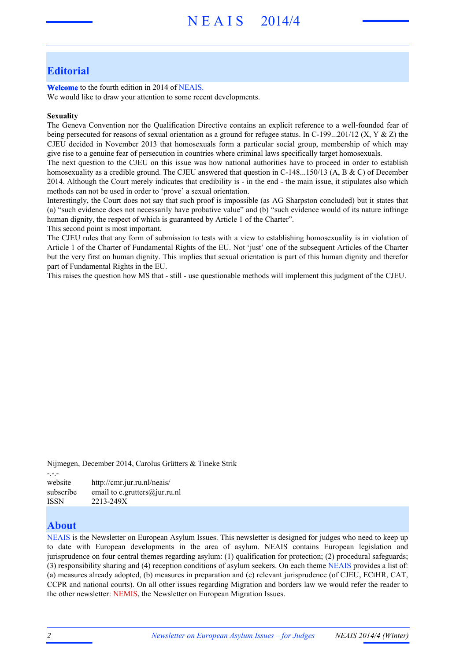## **Editorial**

**Welcome** to the fourth edition in 2014 of NEAIS. We would like to draw your attention to some recent developments.

#### **Sexuality**

The Geneva Convention nor the Qualification Directive contains an explicit reference to a well-founded fear of being persecuted for reasons of sexual orientation as a ground for refugee status. In C-199...201/12 (X, Y & Z) the CJEU decided in November 2013 that homosexuals form a particular social group, membership of which may give rise to a genuine fear of persecution in countries where criminal laws specifically target homosexuals.

The next question to the CJEU on this issue was how national authorities have to proceed in order to establish homosexuality as a credible ground. The CJEU answered that question in C-148...150/13 (A, B & C) of December 2014. Although the Court merely indicates that credibility is - in the end - the main issue, it stipulates also which methods can not be used in order to 'prove' a sexual orientation.

Interestingly, the Court does not say that such proof is impossible (as AG Sharpston concluded) but it states that (a) "such evidence does not necessarily have probative value" and (b) "such evidence would of its nature infringe human dignity, the respect of which is guaranteed by Article 1 of the Charter".

This second point is most important.

The CJEU rules that any form of submission to tests with a view to establishing homosexuality is in violation of Article 1 of the Charter of Fundamental Rights of the EU. Not 'just' one of the subsequent Articles of the Charter but the very first on human dignity. This implies that sexual orientation is part of this human dignity and therefor part of Fundamental Rights in the EU.

This raises the question how MS that - still - use questionable methods will implement this judgment of the CJEU.

Nijmegen, December 2014, Carolus Grütters & Tineke Strik

website http://cmr.jur.ru.nl/neais/ subscribe email to c.grutters@jur.ru.nl ISSN 2213-249X

## **About**

-.-.-

NEAIS is the Newsletter on European Asylum Issues. This newsletter is designed for judges who need to keep up to date with European developments in the area of asylum. NEAIS contains European legislation and jurisprudence on four central themes regarding asylum: (1) qualification for protection; (2) procedural safeguards; (3) responsibility sharing and (4) reception conditions of asylum seekers. On each theme NEAIS provides a list of: (a) measures already adopted, (b) measures in preparation and (c) relevant jurisprudence (of CJEU, ECtHR, CAT, CCPR and national courts). On all other issues regarding Migration and borders law we would refer the reader to the other newsletter: NEMIS, the Newsletter on European Migration Issues.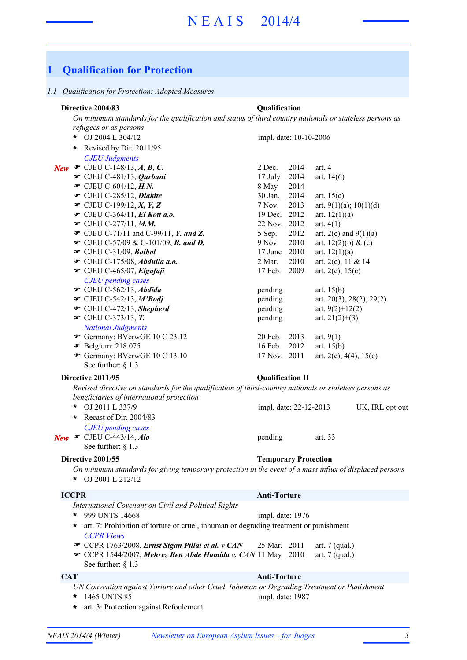## **1 Qualification for Protection**

#### *1.1 Qualification for Protection: Adopted Measures*

### **Directive 2004/83 Qualification**

*On minimum standards for the qualification and status of third country nationals or stateless persons as refugees or as persons*

|            | OJ 2004 L 304/12<br>$\star$                               | impl. date: 10-10-2006  |      |                             |
|------------|-----------------------------------------------------------|-------------------------|------|-----------------------------|
|            | Revised by Dir. 2011/95<br>$\star$                        |                         |      |                             |
|            | <b>CJEU Judgments</b>                                     |                         |      |                             |
| <b>New</b> | • CJEU C-148/13, A, B, C.                                 | 2 Dec.                  | 2014 | art. $4$                    |
|            | $\bullet$ CJEU C-481/13, Qurbani                          | 17 July                 | 2014 | art. $14(6)$                |
|            | $\bullet$ CJEU C-604/12, H.N.                             | 8 May                   | 2014 |                             |
|            | CJEU C-285/12, Diakite                                    | 30 Jan.                 | 2014 | art. $15(c)$                |
|            | $\bullet$ CJEU C-199/12, X, Y, Z                          | 7 Nov.                  | 2013 | art. $9(1)(a)$ ; $10(1)(d)$ |
|            | $\bullet$ CJEU C-364/11, El Kott a.o.                     | 19 Dec.                 | 2012 | art. $12(1)(a)$             |
|            | $\bullet$ CJEU C-277/11, M.M.                             | 22 Nov.                 | 2012 | art. $4(1)$                 |
|            | $\bullet$ CJEU C-71/11 and C-99/11, Y. and Z.             | 5 Sep.                  | 2012 | art. $2(c)$ and $9(1)(a)$   |
|            | <b>T</b> CJEU C-57/09 & C-101/09, <b>B.</b> and <b>D.</b> | 9 Nov.                  | 2010 | art. $12(2)(b) \& (c)$      |
|            | $\bullet$ CJEU C-31/09, Bolbol                            | 17 June                 | 2010 | art. $12(1)(a)$             |
|            | The CJEU C-175/08, Abdulla a.o.                           | 2 Mar.                  | 2010 | art. 2(c), 11 & 14          |
|            | CJEU C-465/07, Elgafaji                                   | 17 Feb.                 | 2009 | art. $2(e)$ , $15(c)$       |
|            | <b>CJEU</b> pending cases                                 |                         |      |                             |
|            | · CJEU C-562/13, Abdida                                   | pending                 |      | art. $15(b)$                |
|            | $\bullet$ CJEU C-542/13, M'Bodj                           | pending                 |      | art. 20(3), 28(2), 29(2)    |
|            | CJEU C-472/13, Shepherd                                   | pending                 |      | art. $9(2)+12(2)$           |
|            | $\bullet$ CJEU C-373/13, T.                               | pending                 |      | art. $21(2)+(3)$            |
|            | <b>National Judgments</b>                                 |                         |      |                             |
|            | Germany: BVerwGE 10 C 23.12                               | $20$ Feb.               | 2013 | art. $9(1)$                 |
|            | <b>■</b> Belgium: 218.075                                 | 16 Feb.                 | 2012 | art. $15(b)$                |
|            | Germany: BVerwGE 10 C 13.10                               | 17 Nov. 2011            |      | art. 2(e), 4(4), $15(c)$    |
|            | See further: $§ 1.3$                                      |                         |      |                             |
|            | Directive 2011/95                                         | <b>Qualification II</b> |      |                             |

*Revised directive on standards for the qualification of third-country nationals or stateless persons as beneficiaries of international protection*

| $\star$ OJ 2011 L 337/9         | impl. date: 22-12-2013 |         | UK, IRL opt out |
|---------------------------------|------------------------|---------|-----------------|
| <b>*</b> Recast of Dir. 2004/83 |                        |         |                 |
| CJEU pending cases              |                        |         |                 |
| $\bullet$ CJEU C-443/14, Alo    | pending                | art. 33 |                 |
| See further: $\S$ 1.3           |                        |         |                 |

#### **Directive 2001/55 Temporary Protection**

*On minimum standards for giving temporary protection in the event of a mass influx of displaced persons*

## **ICCPR Anti-Torture**

*New*

| International Covenant on Civil and Political Rights |                                                                                         |                  |  |                  |  |
|------------------------------------------------------|-----------------------------------------------------------------------------------------|------------------|--|------------------|--|
|                                                      | * 999 UNTS 14668                                                                        | impl. date: 1976 |  |                  |  |
|                                                      | * art. 7: Prohibition of torture or cruel, inhuman or degrading treatment or punishment |                  |  |                  |  |
|                                                      | <b>CCPR</b> Views                                                                       |                  |  |                  |  |
|                                                      | CCPR 1763/2008, <i>Ernst Sigan Pillai et al. v CAN</i> 25 Mar. 2011 art. 7 (qual.)      |                  |  |                  |  |
|                                                      | $\bullet$ CCPR 1544/2007, Mehrez Ben Abde Hamida v. CAN 11 May 2010                     |                  |  | art. $7$ (qual.) |  |

See further: § 1.3

#### **CAT Anti-Torture**

*UN Convention against Torture and other Cruel, Inhuman or Degrading Treatment or Punishment*

- **\*** 1465 UNTS 85 impl. date: 1987
- **\*** art. 3: Protection against Refoulement

OJ 2001 L 212/12 **\***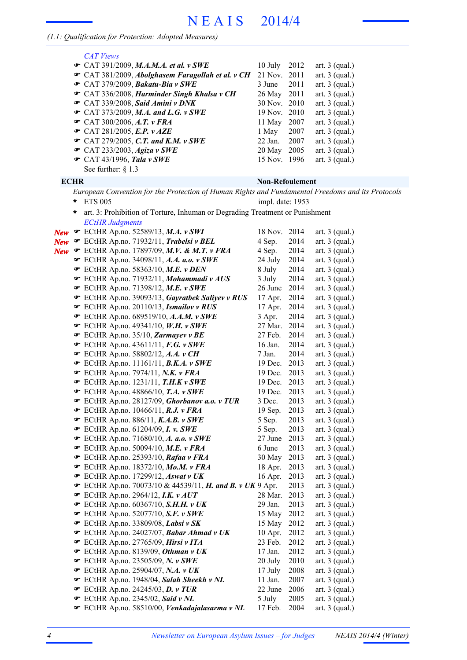## *(1.1: Qualification for Protection: Adopted Measures)*

|            | <b>CAT Views</b>                                                                                  |                        |      |                  |
|------------|---------------------------------------------------------------------------------------------------|------------------------|------|------------------|
|            | $\mathcal{F}$ CAT 391/2009, M.A.M.A. et al. v SWE                                                 | 10 July                | 2012 | art. $3$ (qual.) |
|            | <b>■ CAT 381/2009, Abolghasem Faragollah et al. v CH</b>                                          | 21 Nov.                | 2011 | art. $3$ (qual.) |
|            | $\mathcal{F}$ CAT 379/2009, Bakatu-Bia v SWE                                                      | 3 June                 | 2011 | art. $3$ (qual.) |
|            | CAT 336/2008, Harminder Singh Khalsa v CH                                                         | 26 May 2011            |      | art. $3$ (qual.) |
|            | CAT 339/2008, Said Amini v DNK                                                                    | 30 Nov. 2010           |      | art. $3$ (qual.) |
|            | $\mathcal{F}$ CAT 373/2009, M.A. and L.G. v SWE                                                   | 19 Nov.                | 2010 | art. $3$ (qual.) |
|            | $\bullet$ CAT 300/2006, A.T. v FRA                                                                | 11 May                 | 2007 | art. $3$ (qual.) |
|            | CAT 281/2005, E.P. v AZE                                                                          | 1 May                  | 2007 | art. $3$ (qual.) |
|            | $\mathcal{F}$ CAT 279/2005, C.T. and K.M. v SWE                                                   | 22 Jan.                | 2007 | art. $3$ (qual.) |
|            | $\mathcal{F}$ CAT 233/2003, Agiza v SWE                                                           | 20 May                 | 2005 | art. $3$ (qual.) |
|            | $\bullet$ CAT 43/1996, Tala v SWE                                                                 | 15 Nov. 1996           |      | art. $3$ (qual.) |
|            | See further: $\S$ 1.3                                                                             |                        |      |                  |
|            |                                                                                                   |                        |      |                  |
|            | <b>ECHR</b>                                                                                       | <b>Non-Refoulement</b> |      |                  |
|            | European Convention for the Protection of Human Rights and Fundamental Freedoms and its Protocols |                        |      |                  |
|            | *<br><b>ETS 005</b>                                                                               | impl. date: 1953       |      |                  |
|            | art. 3: Prohibition of Torture, Inhuman or Degrading Treatment or Punishment<br>÷                 |                        |      |                  |
|            | <b>ECtHR Judgments</b>                                                                            |                        |      |                  |
| New        | ECtHR Ap.no. 52589/13, M.A. v SWI                                                                 | 18 Nov. 2014           |      | art. $3$ (qual.) |
| New        | ECtHR Ap.no. 71932/11, Trabelsi v BEL                                                             | 4 Sep.                 | 2014 | art. $3$ (qual.) |
| <b>New</b> | The ECtHR Ap.no. 17897/09, M.V. & M.T. v FRA                                                      | 4 Sep.                 | 2014 | art. $3$ (qual.) |
|            | <b>■</b> ECtHR Ap.no. 34098/11, A.A. a.o. v SWE                                                   | 24 July                | 2014 | art. $3$ (qual.) |
|            | $\bullet$ ECtHR Ap.no. 58363/10, M.E. v DEN                                                       | 8 July                 | 2014 | art. $3$ (qual.) |
|            | ECtHR Ap.no. 71932/11, Mohammadi v AUS                                                            | 3 July                 | 2014 | art. $3$ (qual.) |
|            | $\mathcal$ ECtHR Ap.no. 71398/12, M.E. v SWE                                                      | 26 June                | 2014 | art. $3$ (qual.) |
|            | ECtHR Ap.no. 39093/13, Gayratbek Saliyev v RUS                                                    | 17 Apr.                | 2014 | art. $3$ (qual.) |
|            | ECtHR Ap.no. 20110/13, Ismailov v RUS                                                             | 17 Apr.                | 2014 | art. $3$ (qual.) |
|            | <b>■</b> ECtHR Ap.no. 689519/10, A.A.M. v SWE                                                     | 3 Apr.                 | 2014 | art. $3$ (qual.) |
|            | $\mathcal$ ECtHR Ap.no. 49341/10, W.H. v SWE                                                      | 27 Mar. 2014           |      | art. $3$ (qual.) |
|            | ECtHR Ap.no. 35/10, Zarmayev v BE                                                                 | 27 Feb.                | 2014 | art. $3$ (qual.) |
|            | $\bullet$ ECtHR Ap.no. 43611/11, F.G. v SWE                                                       | 16 Jan.                | 2014 | art. $3$ (qual.) |
|            | <b>T</b> ECtHR Ap.no. 58802/12, A.A. v CH                                                         | 7 Jan.                 | 2014 | art. $3$ (qual.) |
|            | $\bullet$ ECtHR Ap.no. 11161/11, <b>B.K.A.</b> $v$ SWE                                            | 19 Dec.                | 2013 | art. $3$ (qual.) |
|            | $\bullet$ ECtHR Ap.no. 7974/11, N.K. v FRA                                                        | 19 Dec. 2013           |      | art. $3$ (qual.) |
|            | $\mathcal$ ECtHR Ap.no. 1231/11, T.H.K v SWE                                                      | 19 Dec.                | 2013 | art. $3$ (qual.) |
|            | $\bullet$ ECtHR Ap.no. 48866/10, T.A. v SWE                                                       | 19 Dec.                | 2013 | art. $3$ (qual.) |
|            | ECtHR Ap.no. 28127/09, Ghorbanov a.o. v TUR                                                       | 3 Dec.                 | 2013 | art. $3$ (qual.) |
|            | $\mathcal$ ECtHR Ap.no. 10466/11, R.J. v FRA                                                      | 19 Sep.                | 2013 | art. $3$ (qual.) |
|            | F ECtHR Ap.no. 886/11, K.A.B. v SWE                                                               | 5 Sep.                 | 2013 | art. $3$ (qual.) |
|            | $\bullet$ ECtHR Ap.no. 61204/09, I. v. SWE                                                        | 5 Sep.                 | 2013 | art. $3$ (qual.) |
|            |                                                                                                   | 27 June                | 2013 | art. $3$ (qual.) |
|            | $\mathcal$ ECtHR Ap.no. 50094/10, M.E. v FRA                                                      | 6 June                 | 2013 | art. $3$ (qual.) |
|            | ECtHR Ap.no. 25393/10, Rafaa v FRA                                                                | 30 May                 | 2013 | art. $3$ (qual.) |
|            | The ECtHR Ap.no. 18372/10, Mo.M. v FRA                                                            | 18 Apr.                | 2013 | art. $3$ (qual.) |
|            | $\bullet$ ECtHR Ap.no. 17299/12, Aswat v UK                                                       | 16 Apr.                | 2013 | art. $3$ (qual.) |
|            | <b>EXAMPLE CONSTRAINAL EXAMPLE 2014</b> EXAMPLE 2017 10 & 44539/11, <b>H. and B. v UK</b> 9 Apr.  |                        | 2013 | art. $3$ (qual.) |
|            | $\mathcal$ ECtHR Ap.no. 2964/12, I.K. $\mathcal{V}$ AUT                                           | 28 Mar.                | 2013 | art. $3$ (qual.) |
|            | <b>■</b> ECtHR Ap.no. 60367/10, S.H.H. v UK                                                       | 29 Jan.                | 2013 | art. $3$ (qual.) |
|            | <b>■</b> ECtHR Ap.no. 52077/10, S.F. v SWE                                                        | 15 May                 | 2012 | art. $3$ (qual.) |
|            | $\mathcal{F}$ ECtHR Ap.no. 33809/08, Labsi v SK                                                   | 15 May                 | 2012 | art. $3$ (qual.) |
|            | ECtHR Ap.no. 24027/07, Babar Ahmad v UK                                                           | $10$ Apr.              | 2012 | art. $3$ (qual.) |
|            | ECtHR Ap.no. 27765/09, Hirsi v ITA                                                                | 23 Feb.                | 2012 | art. $3$ (qual.) |
|            | ECtHR Ap.no. 8139/09, Othman v UK                                                                 | 17 Jan.                | 2012 | art. $3$ (qual.) |
|            | $\mathcal F$ ECtHR Ap.no. 23505/09, N. v SWE                                                      | 20 July                | 2010 | art. $3$ (qual.) |
|            | $\mathcal$ ECtHR Ap.no. 25904/07, N.A. v UK                                                       | 17 July                | 2008 | art. $3$ (qual.) |
|            | ECtHR Ap.no. 1948/04, Salah Sheekh v NL                                                           | 11 Jan.                | 2007 | art. $3$ (qual.) |
|            | $\mathcal{F}$ ECtHR Ap.no. 24245/03, <b>D.</b> v TUR                                              | 22 June                | 2006 | art. $3$ (qual.) |
|            | $\mathcal{F}$ ECtHR Ap.no. 2345/02, Said v NL                                                     | 5 July                 | 2005 | art. $3$ (qual.) |
|            | ECtHR Ap.no. 58510/00, Venkadajalasarma v NL                                                      | 17 Feb.                | 2004 | art. $3$ (qual.) |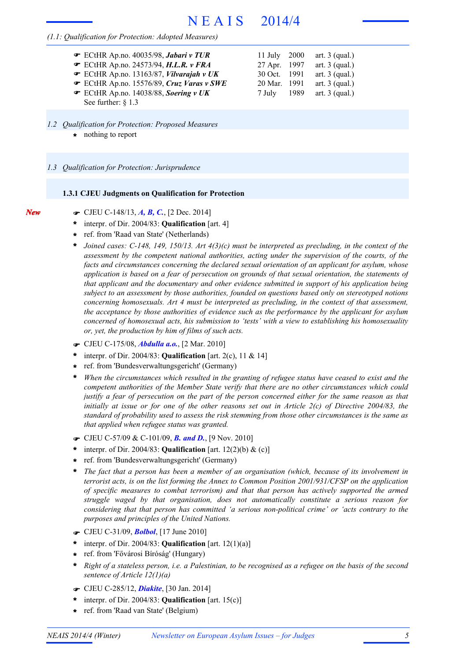#### *(1.1: Qualification for Protection: Adopted Measures)*

| ECtHR Ap.no. 40035/98, Jabari v TUR           | 11 July 2000 | art. $3$ (qual.) |
|-----------------------------------------------|--------------|------------------|
| ECtHR Ap.no. 24573/94, H.L.R. v FRA           | 27 Apr. 1997 | art. $3$ (qual.) |
| ECtHR Ap.no. 13163/87, Vilvarajah v UK        | 30 Oct. 1991 | art. $3$ (qual.) |
| ECtHR Ap.no. 15576/89, Cruz Varas v SWE       | 20 Mar. 1991 | art. $3$ (qual.) |
| $\bullet$ ECtHR Ap.no. 14038/88, Soering v UK | 7 July 1989  | art. $3$ (qual.) |
| See further: $\S$ 1.3                         |              |                  |

- *1.2 Qualification for Protection: Proposed Measures*
	- **\*** nothing to report

*New*

*1.3 Qualification for Protection: Jurisprudence*

#### **1.3.1 CJEU Judgments on Qualification for Protection**

- F CJEU C-148/13, *A, B, C.*, [2 Dec. 2014]
- interpr. of Dir. 2004/83: **Qualification** [art. 4] **\***
- ref. from 'Raad van State' (Netherlands) **\***
- *Joined cases: C-148, 149, 150/13. Art 4(3)(c) must be interpreted as precluding, in the context of the assessment by the competent national authorities, acting under the supervision of the courts, of the facts and circumstances concerning the declared sexual orientation of an applicant for asylum, whose application is based on a fear of persecution on grounds of that sexual orientation, the statements of that applicant and the documentary and other evidence submitted in support of his application being subject to an assessment by those authorities, founded on questions based only on stereotyped notions concerning homosexuals. Art 4 must be interpreted as precluding, in the context of that assessment, the acceptance by those authorities of evidence such as the performance by the applicant for asylum concerned of homosexual acts, his submission to 'tests' with a view to establishing his homosexuality or, yet, the production by him of films of such acts.* **\***
- F CJEU C-175/08, *Abdulla a.o.*, [2 Mar. 2010]
- interpr. of Dir. 2004/83: **Qualification** [art. 2(c), 11 & 14] **\***
- ref. from 'Bundesverwaltungsgericht' (Germany) **\***
- *When the circumstances which resulted in the granting of refugee status have ceased to exist and the competent authorities of the Member State verify that there are no other circumstances which could* justify a fear of persecution on the part of the person concerned either for the same reason as that initially at issue or for one of the other reasons set out in Article  $2(c)$  of Directive 2004/83, the *standard of probability used to assess the risk stemming from those other circumstances is the same as that applied when refugee status was granted.* **\***
- F CJEU C-57/09 & C-101/09, *B. and D.*, [9 Nov. 2010]
- interpr. of Dir. 2004/83: **Qualification** [art. 12(2)(b) & (c)] **\***
- ref. from 'Bundesverwaltungsgericht' (Germany) **\***
- *The fact that a person has been a member of an organisation (which, because of its involvement in terrorist acts, is on the list forming the Annex to Common Position 2001/931/CFSP on the application of specific measures to combat terrorism) and that that person has actively supported the armed struggle waged by that organisation, does not automatically constitute a serious reason for considering that that person has committed 'a serious non-political crime' or 'acts contrary to the purposes and principles of the United Nations.* **\***
- F CJEU C-31/09, *Bolbol*, [17 June 2010]
- \* interpr. of Dir. 2004/83: **Qualification** [art.  $12(1)(a)$ ]
- ref. from 'Fővárosi Bíróság' (Hungary) **\***
- Right of a stateless person, i.e. a Palestinian, to be recognised as a refugee on the basis of the second *sentence of Article 12(1)(a)* **\***
- F CJEU C-285/12, *Diakite*, [30 Jan. 2014]
- interpr. of Dir. 2004/83: **Qualification** [art. 15(c)] **\***
- ref. from 'Raad van State' (Belgium) **\***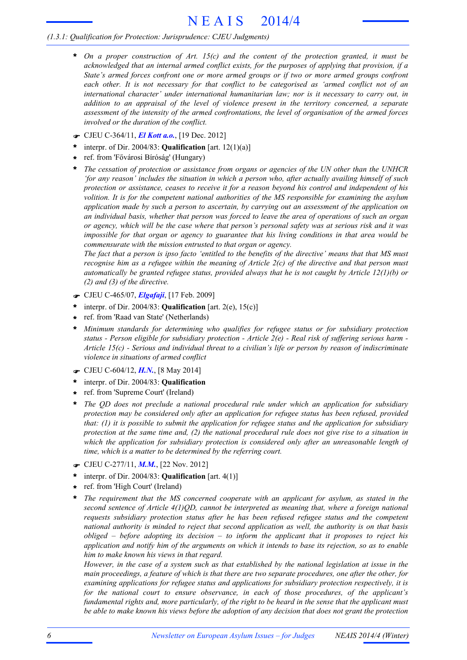## *(1.3.1: Qualification for Protection: Jurisprudence: CJEU Judgments)*

- *On a proper construction of Art. 15(c) and the content of the protection granted, it must be acknowledged that an internal armed conflict exists, for the purposes of applying that provision, if a State's armed forces confront one or more armed groups or if two or more armed groups confront each other. It is not necessary for that conflict to be categorised as 'armed conflict not of an international character' under international humanitarian law; nor is it necessary to carry out, in addition to an appraisal of the level of violence present in the territory concerned, a separate assessment of the intensity of the armed confrontations, the level of organisation of the armed forces involved or the duration of the conflict.* **\***
- F CJEU C-364/11, *El Kott a.o.*, [19 Dec. 2012]
- interpr. of Dir. 2004/83: **Qualification** [art. 12(1)(a)] **\***
- ref. from 'Fővárosi Bíróság' (Hungary) **\***
- *The cessation of protection or assistance from organs or agencies of the UN other than the UNHCR 'for any reason' includes the situation in which a person who, after actually availing himself of such protection or assistance, ceases to receive it for a reason beyond his control and independent of his volition. It is for the competent national authorities of the MS responsible for examining the asylum application made by such a person to ascertain, by carrying out an assessment of the application on* an individual basis, whether that person was forced to leave the area of operations of such an organ or agency, which will be the case where that person's personal safety was at serious risk and it was *impossible for that organ or agency to guarantee that his living conditions in that area would be commensurate with the mission entrusted to that organ or agency.* **\***

The fact that a person is ipso facto 'entitled to the benefits of the directive' means that that MS must recognise him as a refugee within the meaning of Article  $2(c)$  of the directive and that person must *automatically be granted refugee status, provided always that he is not caught by Article 12(1)(b) or (2) and (3) of the directive.*

- F CJEU C-465/07, *Elgafaji*, [17 Feb. 2009]
- interpr. of Dir. 2004/83: **Qualification** [art. 2(e), 15(c)] **\***
- ref. from 'Raad van State' (Netherlands) **\***
- *Minimum standards for determining who qualifies for refugee status or for subsidiary protection* status - Person eligible for subsidiary protection - Article  $2(e)$  - Real risk of suffering serious harm -*Article 15(c) - Serious and individual threat to a civilian's life or person by reason of indiscriminate violence in situations of armed conflict* **\***
- F CJEU C-604/12, *H.N.*, [8 May 2014]
- interpr. of Dir. 2004/83: **Qualification \***
- ref. from 'Supreme Court' (Ireland) **\***
- *The QD does not preclude a national procedural rule under which an application for subsidiary protection may be considered only after an application for refugee status has been refused, provided that: (1) it is possible to submit the application for refugee status and the application for subsidiary* protection at the same time and,  $(2)$  the national procedural rule does not give rise to a situation in *which the application for subsidiary protection is considered only after an unreasonable length of time, which is a matter to be determined by the referring court.* **\***
- F CJEU C-277/11, *M.M.*, [22 Nov. 2012]
- interpr. of Dir. 2004/83: **Qualification** [art. 4(1)] **\***
- ref. from 'High Court' (Ireland) **\***
- *The requirement that the MS concerned cooperate with an applicant for asylum, as stated in the second sentence of Article 4(1)QD, cannot be interpreted as meaning that, where a foreign national requests subsidiary protection status after he has been refused refugee status and the competent national authority is minded to reject that second application as well, the authority is on that basis obliged – before adopting its decision – to inform the applicant that it proposes to reject his* application and notify him of the arguments on which it intends to base its rejection, so as to enable *him to make known his views in that regard.* **\***

However, in the case of a system such as that established by the national legislation at issue in the main proceedings, a feature of which is that there are two separate procedures, one after the other, for *examining applications for refugee status and applications for subsidiary protection respectively, it is for the national court to ensure observance, in each of those procedures, of the applicant's* fundamental rights and, more particularly, of the right to be heard in the sense that the applicant must be able to make known his views before the adoption of any decision that does not grant the protection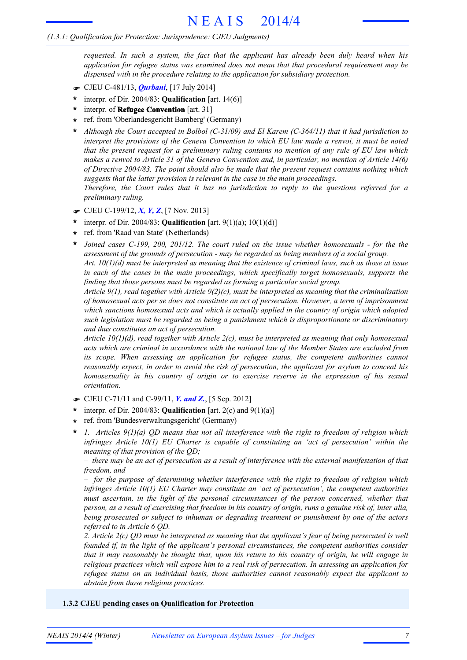#### *(1.3.1: Qualification for Protection: Jurisprudence: CJEU Judgments)*

*requested. In such a system, the fact that the applicant has already been duly heard when his application for refugee status was examined does not mean that that procedural requirement may be dispensed with in the procedure relating to the application for subsidiary protection.*

- F CJEU C-481/13, *Qurbani*, [17 July 2014]
- interpr. of Dir. 2004/83: **Qualification** [art. 14(6)] **\***
- interpr. of **Refugee Convention** [art. 31] **\***
- ref. from 'Oberlandesgericht Bamberg' (Germany) **\***
- *Although the Court accepted in Bolbol (C-31/09) and El Karem (C-364/11) that it had jurisdiction to interpret the provisions of the Geneva Convention to which EU law made a renvoi, it must be noted that the present request for a preliminary ruling contains no mention of any rule of EU law which* makes a renvoi to Article 31 of the Geneva Convention and, in particular, no mention of Article  $14(6)$ *of Directive 2004/83. The point should also be made that the present request contains nothing which suggests that the latter provision is relevant in the case in the main proceedings. Therefore, the Court rules that it has no jurisdiction to reply to the questions referred for a* **\***
- F CJEU C-199/12, *X, Y, Z*, [7 Nov. 2013]

*preliminary ruling.*

- interpr. of Dir. 2004/83: **Qualification** [art. 9(1)(a); 10(1)(d)] **\***
- ref. from 'Raad van State' (Netherlands) **\***
- *Joined cases C-199, 200, 201/12. The court ruled on the issue whether homosexuals - for the the assessment of the grounds of persecution - may be regarded as being members of a social group.* Art.  $10(1)(d)$  must be interpreted as meaning that the existence of criminal laws, such as those at issue *in each of the cases in the main proceedings, which specifically target homosexuals, supports the* **\***

*finding that those persons must be regarded as forming a particular social group. Article 9(1), read together with Article 9(2)(c), must be interpreted as meaning that the criminalisation of homosexual acts per se does not constitute an act of persecution. However, a term of imprisonment which sanctions homosexual acts and which is actually applied in the country of origin which adopted such legislation must be regarded as being a punishment which is disproportionate or discriminatory and thus constitutes an act of persecution.*

*Article 10(1)(d), read together with Article 2(c), must be interpreted as meaning that only homosexual acts which are criminal in accordance with the national law of the Member States are excluded from its scope. When assessing an application for refugee status, the competent authorities cannot reasonably expect, in order to avoid the risk of persecution, the applicant for asylum to conceal his homosexuality in his country of origin or to exercise reserve in the expression of his sexual orientation.*

- F CJEU C-71/11 and C-99/11, *Y. and Z.*, [5 Sep. 2012]
- interpr. of Dir. 2004/83: **Qualification** [art. 2(c) and 9(1)(a)] **\***
- ref. from 'Bundesverwaltungsgericht' (Germany) **\***
- *1. Articles 9(1)(a) QD means that not all interference with the right to freedom of religion which infringes Article 10(1) EU Charter is capable of constituting an 'act of persecution' within the meaning of that provision of the QD;* **\***

 $-$  there may be an act of persecution as a result of interference with the external manifestation of that *freedom, and*

*– for the purpose of determining whether interference with the right to freedom of religion which infringes Article 10(1) EU Charter may constitute an 'act of persecution', the competent authorities must ascertain, in the light of the personal circumstances of the person concerned, whether that* person, as a result of exercising that freedom in his country of origin, runs a genuine risk of, inter alia, *being prosecuted or subject to inhuman or degrading treatment or punishment by one of the actors referred to in Article 6 QD.*

2. Article  $2(c)$  OD must be interpreted as meaning that the applicant's fear of being persecuted is well *founded if, in the light of the applicant's personal circumstances, the competent authorities consider* that it may reasonably be thought that, upon his return to his country of origin, he will engage in *religious practices which will expose him to a real risk of persecution. In assessing an application for refugee status on an individual basis, those authorities cannot reasonably expect the applicant to abstain from those religious practices.*

#### **1.3.2 CJEU pending cases on Qualification for Protection**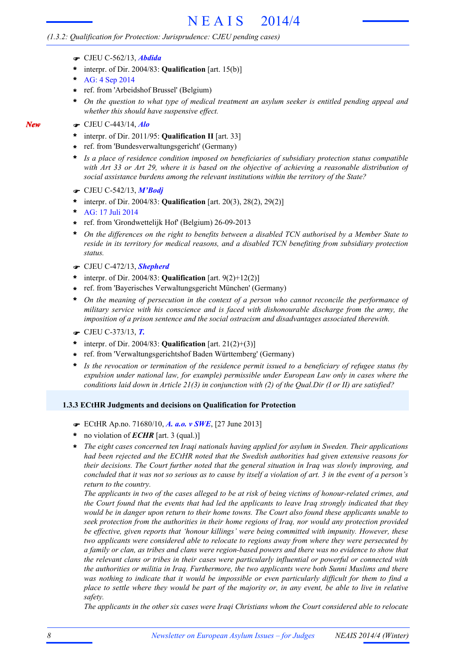### *(1.3.2: Qualification for Protection: Jurisprudence: CJEU pending cases)*

- F CJEU C-562/13, *Abdida*
- interpr. of Dir. 2004/83: **Qualification** [art. 15(b)] **\***
- AG: 4 Sep 2014 **\***
- ref. from 'Arbeidshof Brussel' (Belgium) **\***
- *On the question to what type of medical treatment an asylum seeker is entitled pending appeal and whether this should have suspensive effect.* **\***
- F CJEU C-443/14, *Alo*
- interpr. of Dir. 2011/95: **Qualification II** [art. 33] **\***
- ref. from 'Bundesverwaltungsgericht' (Germany) **\***
- *Is a place of residence condition imposed on beneficiaries of subsidiary protection status compatible* with Art 33 or Art 29, where it is based on the objective of achieving a reasonable distribution of *social assistance burdens among the relevant institutions within the territory of the State?* **\***
- F CJEU C-542/13, *M'Bodj*
- interpr. of Dir. 2004/83: **Qualification** [art. 20(3), 28(2), 29(2)] **\***
- AG: 17 Juli 2014 **\***
- ref. from 'Grondwettelijk Hof' (Belgium) 26-09-2013 **\***
- *On the differences on the right to benefits between a disabled TCN authorised by a Member State to reside in its territory for medical reasons, and a disabled TCN benefiting from subsidiary protection status.* **\***
- F CJEU C-472/13, *Shepherd*
- interpr. of Dir. 2004/83: **Qualification** [art. 9(2)+12(2)] **\***
- ref. from 'Bayerisches Verwaltungsgericht München' (Germany) **\***
- *On the meaning of persecution in the context of a person who cannot reconcile the performance of military service with his conscience and is faced with dishonourable discharge from the army, the imposition of a prison sentence and the social ostracism and disadvantages associated therewith.* **\***
- F CJEU C-373/13, *T.*
- interpr. of Dir. 2004/83: **Qualification** [art. 21(2)+(3)] **\***
- ref. from 'Verwaltungsgerichtshof Baden Württemberg' (Germany) **\***
- *Is the revocation or termination of the residence permit issued to a beneficiary of refugee status (by expulsion under national law, for example) permissible under European Law only in cases where the conditions laid down in Article 21(3) in conjunction with (2) of the Qual.Dir (I or II) are satisfied?* **\***

#### **1.3.3 ECtHR Judgments and decisions on Qualification for Protection**

- F ECtHR Ap.no. 71680/10, *A. a.o. v SWE*, [27 June 2013]
- no violation of *ECHR* [art. 3 (qual.)] **\***
- *The eight cases concerned ten Iraqi nationals having applied for asylum in Sweden. Their applications had been rejected and the ECtHR noted that the Swedish authorities had given extensive reasons for their decisions. The Court further noted that the general situation in Iraq was slowly improving, and* concluded that it was not so serious as to cause by itself a violation of art. 3 in the event of a person's *return to the country.* **\***

The applicants in two of the cases alleged to be at risk of being victims of honour-related crimes, and the Court found that the events that had led the applicants to leave Iraq strongly indicated that they would be in danger upon return to their home towns. The Court also found these applicants unable to *seek protection from the authorities in their home regions of Iraq, nor would any protection provided be effective, given reports that 'honour killings' were being committed with impunity. However, these two applicants were considered able to relocate to regions away from where they were persecuted by* a family or clan, as tribes and clans were region-based powers and there was no evidence to show that *the relevant clans or tribes in their cases were particularly influential or powerful or connected with the authorities or militia in Iraq. Furthermore, the two applicants were both Sunni Muslims and there* was nothing to indicate that it would be impossible or even particularly difficult for them to find a place to settle where they would be part of the majority or, in any event, be able to live in relative *safety.*

*The applicants in the other six cases were Iraqi Christians whom the Court considered able to relocate*

### *New*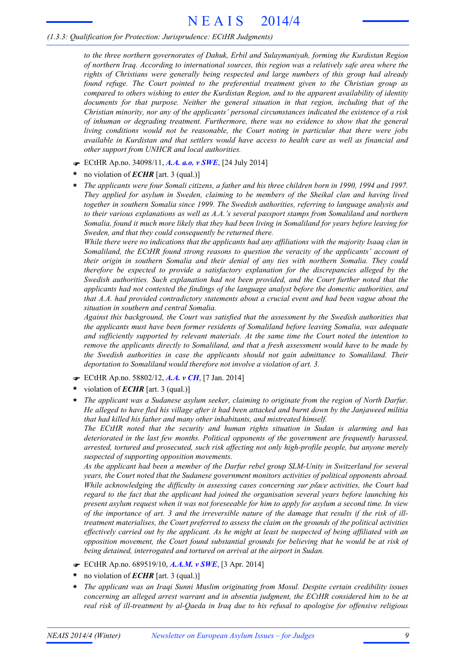#### *(1.3.3: Qualification for Protection: Jurisprudence: ECtHR Judgments)*

*to the three northern governorates of Dahuk, Erbil and Sulaymaniyah, forming the Kurdistan Region of northern Iraq. According to international sources, this region was a relatively safe area where the rights of Christians were generally being respected and large numbers of this group had already found refuge. The Court pointed to the preferential treatment given to the Christian group as compared to others wishing to enter the Kurdistan Region, and to the apparent availability of identity documents for that purpose. Neither the general situation in that region, including that of the Christian minority, nor any of the applicants' personal circumstances indicated the existence of a risk of inhuman or degrading treatment. Furthermore, there was no evidence to show that the general living conditions would not be reasonable, the Court noting in particular that there were jobs available in Kurdistan and that settlers would have access to health care as well as financial and other support from UNHCR and local authorities.*

- F ECtHR Ap.no. 34098/11, *A.A. a.o. v SWE*, [24 July 2014]
- no violation of *ECHR* [art. 3 (qual.)] **\***
- The applicants were four Somali citizens, a father and his three children born in 1990, 1994 and 1997. *They applied for asylum in Sweden, claiming to be members of the Sheikal clan and having lived together in southern Somalia since 1999. The Swedish authorities, referring to language analysis and to their various explanations as well as A.A.'s several passport stamps from Somaliland and northern* Somalia, found it much more likely that they had been living in Somaliland for years before leaving for *Sweden, and that they could consequently be returned there.* **\***

*While there were no indications that the applicants had any affiliations with the majority Isaaq clan in Somaliland, the ECtHR found strong reasons to question the veracity of the applicants' account of their origin in southern Somalia and their denial of any ties with northern Somalia. They could therefore be expected to provide a satisfactory explanation for the discrepancies alleged by the Swedish authorities. Such explanation had not been provided, and the Court further noted that the applicants had not contested the findings of the language analyst before the domestic authorities, and that A.A. had provided contradictory statements about a crucial event and had been vague about the situation in southern and central Somalia.*

*Against this background, the Court was satisfied that the assessment by the Swedish authorities that the applicants must have been former residents of Somaliland before leaving Somalia, was adequate and sufficiently supported by relevant materials. At the same time the Court noted the intention to remove the applicants directly to Somaliland, and that a fresh assessment would have to be made by the Swedish authorities in case the applicants should not gain admittance to Somaliland. Their deportation to Somaliland would therefore not involve a violation of art. 3.*

- F ECtHR Ap.no. 58802/12, *A.A. v CH*, [7 Jan. 2014]
- violation of *ECHR* [art. 3 (qual.)] **\***
- *The applicant was a Sudanese asylum seeker, claiming to originate from the region of North Darfur.* He alleged to have fled his village after it had been attacked and burnt down by the Janjaweed militia *that had killed his father and many other inhabitants, and mistreated himself.* **\***

*The ECtHR noted that the security and human rights situation in Sudan is alarming and has deteriorated in the last few months. Political opponents of the government are frequently harassed, arrested, tortured and prosecuted, such risk affecting not only high-profile people, but anyone merely suspected of supporting opposition movements.*

*As the applicant had been a member of the Darfur rebel group SLM-Unity in Switzerland for several years, the Court noted that the Sudanese government monitors activities of political opponents abroad. While acknowledging the difficulty in assessing cases concerning sur place activities, the Court had regard to the fact that the applicant had joined the organisation several years before launching his* present asylum request when it was not foreseeable for him to apply for asylum a second time. In view of the importance of art. 3 and the irreversible nature of the damage that results if the risk of ill*treatment materialises, the Court preferred to assess the claim on the grounds of the political activities* effectively carried out by the applicant. As he might at least be suspected of being affiliated with an *opposition movement, the Court found substantial grounds for believing that he would be at risk of being detained, interrogated and tortured on arrival at the airport in Sudan.*

- F ECtHR Ap.no. 689519/10, *A.A.M. v SWE*, [3 Apr. 2014]
- no violation of *ECHR* [art. 3 (qual.)] **\***
- *The applicant was an Iraqi Sunni Muslim originating from Mosul. Despite certain credibility issues concerning an alleged arrest warrant and in absentia judgment, the ECtHR considered him to be at real risk of ill-treatment by al-Qaeda in Iraq due to his refusal to apologise for offensive religious* **\***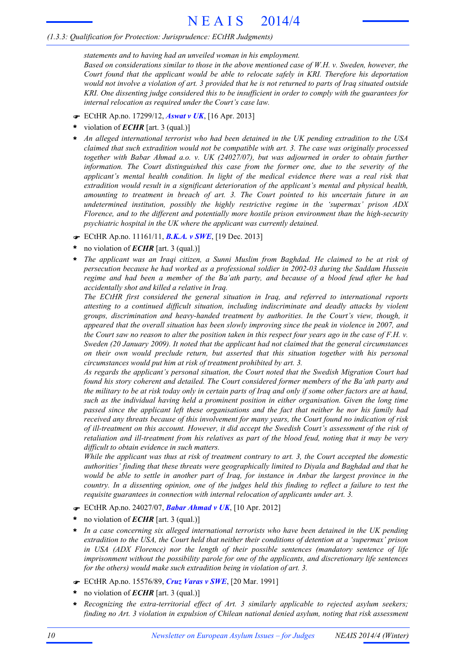#### *(1.3.3: Qualification for Protection: Jurisprudence: ECtHR Judgments)*

*statements and to having had an unveiled woman in his employment.*

*Based on considerations similar to those in the above mentioned case of W.H. v. Sweden, however, the Court found that the applicant would be able to relocate safely in KRI. Therefore his deportation* would not involve a violation of art. 3 provided that he is not returned to parts of Iraq situated outside *KRI. One dissenting judge considered this to be insufficient in order to comply with the guarantees for internal relocation as required under the Court's case law.*

- F ECtHR Ap.no. 17299/12, *Aswat v UK*, [16 Apr. 2013]
- violation of *ECHR* [art. 3 (qual.)] **\***
- *An alleged international terrorist who had been detained in the UK pending extradition to the USA claimed that such extradition would not be compatible with art. 3. The case was originally processed together with Babar Ahmad a.o. v. UK (24027/07), but was adjourned in order to obtain further information. The Court distinguished this case from the former one, due to the severity of the applicant's mental health condition. In light of the medical evidence there was a real risk that extradition would result in a significant deterioration of the applicant's mental and physical health, amounting to treatment in breach of art. 3. The Court pointed to his uncertain future in an undetermined institution, possibly the highly restrictive regime in the 'supermax' prison ADX Florence, and to the different and potentially more hostile prison environment than the high-security psychiatric hospital in the UK where the applicant was currently detained.* **\***
- F ECtHR Ap.no. 11161/11, *B.K.A. v SWE*, [19 Dec. 2013]
- no violation of *ECHR* [art. 3 (qual.)] **\***
- *The applicant was an Iraqi citizen, a Sunni Muslim from Baghdad. He claimed to be at risk of persecution because he had worked as a professional soldier in 2002-03 during the Saddam Hussein regime and had been a member of the Ba'ath party, and because of a blood feud after he had accidentally shot and killed a relative in Iraq.* **\***

*The ECtHR first considered the general situation in Iraq, and referred to international reports attesting to a continued difficult situation, including indiscriminate and deadly attacks by violent groups, discrimination and heavy-handed treatment by authorities. In the Court's view, though, it appeared that the overall situation has been slowly improving since the peak in violence in 2007, and* the Court saw no reason to alter the position taken in this respect four years ago in the case of  $F.H.$  y. *Sweden (20 January 2009). It noted that the applicant had not claimed that the general circumstances on their own would preclude return, but asserted that this situation together with his personal circumstances would put him at risk of treatment prohibited by art. 3.*

*As regards the applicant's personal situation, the Court noted that the Swedish Migration Court had found his story coherent and detailed. The Court considered former members of the Ba'ath party and* the military to be at risk today only in certain parts of Iraq and only if some other factors are at hand, *such as the individual having held a prominent position in either organisation. Given the long time passed since the applicant left these organisations and the fact that neither he nor his family had received any threats because of this involvement for many years, the Court found no indication of risk of ill-treatment on this account. However, it did accept the Swedish Court's assessment of the risk of* retaliation and ill-treatment from his relatives as part of the blood feud, noting that it may be very *difficult to obtain evidence in such matters.*

While the applicant was thus at risk of treatment contrary to art. 3, the Court accepted the domestic *authorities' finding that these threats were geographically limited to Diyala and Baghdad and that he* would be able to settle in another part of Iraq, for instance in Anbar the largest province in the country. In a dissenting opinion, one of the judges held this finding to reflect a failure to test the *requisite guarantees in connection with internal relocation of applicants under art. 3.*

- F ECtHR Ap.no. 24027/07, *Babar Ahmad v UK*, [10 Apr. 2012]
- no violation of *ECHR* [art. 3 (qual.)] **\***
- *In a case concerning six alleged international terrorists who have been detained in the UK pending extradition to the USA, the Court held that neither their conditions of detention at a 'supermax' prison in USA (ADX Florence) nor the length of their possible sentences (mandatory sentence of life imprisonment without the possibility parole for one of the applicants, and discretionary life sentences for the others) would make such extradition being in violation of art. 3.* **\***
- F ECtHR Ap.no. 15576/89, *Cruz Varas v SWE*, [20 Mar. 1991]
- no violation of *ECHR* [art. 3 (qual.)] **\***
- *Recognizing the extra-territorial effect of Art. 3 similarly applicable to rejected asylum seekers; finding no Art. 3 violation in expulsion of Chilean national denied asylum, noting that risk assessment* **\***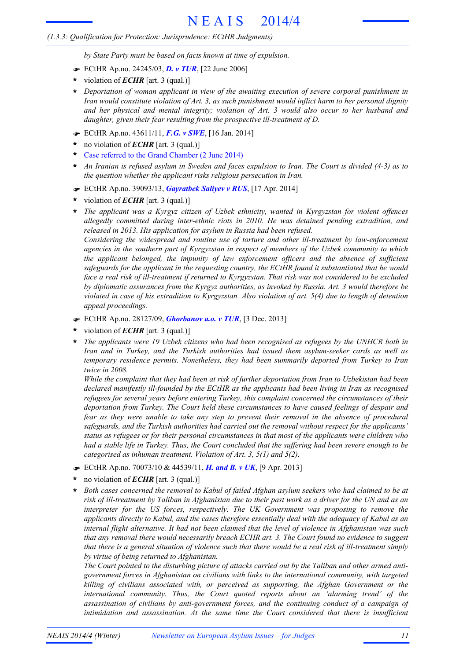*by State Party must be based on facts known at time of expulsion.*

- F ECtHR Ap.no. 24245/03, *D. v TUR*, [22 June 2006]
- violation of *ECHR* [art. 3 (qual.)] **\***
- *Deportation of woman applicant in view of the awaiting execution of severe corporal punishment in* **\*** *Iran would constitute violation of Art. 3, as such punishment would inflict harm to her personal dignity and her physical and mental integrity; violation of Art. 3 would also occur to her husband and daughter, given their fear resulting from the prospective ill-treatment of D.*
- F ECtHR Ap.no. 43611/11, *F.G. v SWE*, [16 Jan. 2014]
- no violation of *ECHR* [art. 3 (qual.)] **\***
- Case referred to the Grand Chamber (2 June 2014) **\***
- An Iranian is refused asylum in Sweden and faces expulsion to Iran. The Court is divided (4-3) as to *the question whether the applicant risks religious persecution in Iran.* **\***
- F ECtHR Ap.no. 39093/13, *Gayratbek Saliyev v RUS*, [17 Apr. 2014]
- violation of *ECHR* [art. 3 (qual.)] **\***
- *The applicant was a Kyrgyz citizen of Uzbek ethnicity, wanted in Kyrgyzstan for violent offences allegedly committed during inter-ethnic riots in 2010. He was detained pending extradition, and released in 2013. His application for asylum in Russia had been refused.* **\***

*Considering the widespread and routine use of torture and other ill-treatment by law-enforcement agencies in the southern part of Kyrgyzstan in respect of members of the Uzbek community to which the applicant belonged, the impunity of law enforcement officers and the absence of sufficient safeguards for the applicant in the requesting country, the ECtHR found it substantiated that he would* face a real risk of ill-treatment if returned to Kyrgyzstan. That risk was not considered to be excluded *by diplomatic assurances from the Kyrgyz authorities, as invoked by Russia. Art. 3 would therefore be* violated in case of his extradition to Kyrgyzstan. Also violation of art. 5(4) due to length of detention *appeal proceedings.*

- F ECtHR Ap.no. 28127/09, *Ghorbanov a.o. v TUR*, [3 Dec. 2013]
- violation of *ECHR* [art. 3 (qual.)] **\***
- *The applicants were 19 Uzbek citizens who had been recognised as refugees by the UNHCR both in Iran and in Turkey, and the Turkish authorities had issued them asylum-seeker cards as well as temporary residence permits. Nonetheless, they had been summarily deported from Turkey to Iran twice in 2008.* **\***

While the complaint that they had been at risk of further deportation from Iran to Uzbekistan had been *declared manifestly ill-founded by the ECtHR as the applicants had been living in Iran as recognised refugees for several years before entering Turkey, this complaint concerned the circumstances of their deportation from Turkey. The Court held these circumstances to have caused feelings of despair and fear as they were unable to take any step to prevent their removal in the absence of procedural safeguards, and the Turkish authorities had carried out the removal without respect for the applicants' status as refugees or for their personal circumstances in that most of the applicants were children who* had a stable life in Turkey. Thus, the Court concluded that the suffering had been severe enough to be *categorised as inhuman treatment. Violation of Art. 3, 5(1) and 5(2).*

- F ECtHR Ap.no. 70073/10 & 44539/11, *H. and B. v UK*, [9 Apr. 2013]
- no violation of *ECHR* [art. 3 (qual.)] **\***
- *Both cases concerned the removal to Kabul of failed Afghan asylum seekers who had claimed to be at* risk of ill-treatment by Taliban in Afghanistan due to their past work as a driver for the UN and as an *interpreter for the US forces, respectively. The UK Government was proposing to remove the applicants directly to Kabul, and the cases therefore essentially deal with the adequacy of Kabul as an internal flight alternative. It had not been claimed that the level of violence in Afghanistan was such that any removal there would necessarily breach ECHR art. 3. The Court found no evidence to suggest* that there is a general situation of violence such that there would be a real risk of ill-treatment simply *by virtue of being returned to Afghanistan.* **\***

The Court pointed to the disturbing picture of attacks carried out by the Taliban and other armed anti*government forces in Afghanistan on civilians with links to the international community, with targeted killing of civilians associated with, or perceived as supporting, the Afghan Government or the international community. Thus, the Court quoted reports about an 'alarming trend' of the assassination of civilians by anti-government forces, and the continuing conduct of a campaign of intimidation and assassination. At the same time the Court considered that there is insufficient*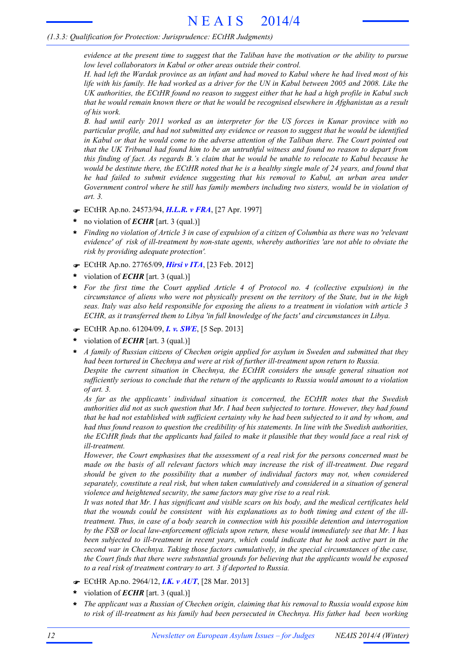evidence at the present time to suggest that the Taliban have the motivation or the ability to pursue *low level collaborators in Kabul or other areas outside their control.*

H. had left the Wardak province as an infant and had moved to Kabul where he had lived most of his life with his family. He had worked as a driver for the UN in Kabul between 2005 and 2008. Like the UK authorities, the ECtHR found no reason to suggest either that he had a high profile in Kabul such that he would remain known there or that he would be recognised elsewhere in Afghanistan as a result *of his work.*

*B. had until early 2011 worked as an interpreter for the US forces in Kunar province with no particular profile, and had not submitted any evidence or reason to suggest that he would be identified* in Kabul or that he would come to the adverse attention of the Taliban there. The Court pointed out that the UK Tribunal had found him to be an untruthful witness and found no reason to depart from this finding of fact. As regards B.'s claim that he would be unable to relocate to Kabul because he would be destitute there, the ECtHR noted that he is a healthy single male of 24 years, and found that *he had failed to submit evidence suggesting that his removal to Kabul, an urban area under Government control where he still has family members including two sisters, would be in violation of art. 3.*

- F ECtHR Ap.no. 24573/94, *H.L.R. v FRA*, [27 Apr. 1997]
- no violation of *ECHR* [art. 3 (qual.)] **\***
- Finding no violation of Article 3 in case of expulsion of a citizen of Columbia as there was no 'relevant *evidence' of risk of ill-treatment by non-state agents, whereby authorities 'are not able to obviate the risk by providing adequate protection'.* **\***
- F ECtHR Ap.no. 27765/09, *Hirsi v ITA*, [23 Feb. 2012]
- violation of *ECHR* [art. 3 (qual.)] **\***
- *For the first time the Court applied Article 4 of Protocol no. 4 (collective expulsion) in the* **\*** circumstance of aliens who were not physically present on the territory of the State, but in the high seas. Italy was also held responsible for exposing the aliens to a treatment in violation with article 3 *ECHR, as it transferred them to Libya 'in full knowledge of the facts' and circumstances in Libya.*
- F ECtHR Ap.no. 61204/09, *I. v. SWE*, [5 Sep. 2013]
- violation of *ECHR* [art. 3 (qual.)] **\***
- *A family of Russian citizens of Chechen origin applied for asylum in Sweden and submitted that they had been tortured in Chechnya and were at risk of further ill-treatment upon return to Russia. Despite the current situation in Chechnya, the ECtHR considers the unsafe general situation not sufficiently serious to conclude that the return of the applicants to Russia would amount to a violation of art. 3.* **\***

*As far as the applicants' individual situation is concerned, the ECtHR notes that the Swedish* authorities did not as such question that Mr. I had been subjected to torture. However, they had found that he had not established with sufficient certainty why he had been subjected to it and by whom, and had thus found reason to question the credibility of his statements. In line with the Swedish authorities, the ECtHR finds that the applicants had failed to make it plausible that they would face a real risk of *ill-treatment.*

*However, the Court emphasises that the assessment of a real risk for the persons concerned must be made on the basis of all relevant factors which may increase the risk of ill-treatment. Due regard should be given to the possibility that a number of individual factors may not, when considered separately, constitute a real risk, but when taken cumulatively and considered in a situation of general violence and heightened security, the same factors may give rise to a real risk.*

It was noted that Mr. I has significant and visible scars on his body, and the medical certificates held that the wounds could be consistent with his explanations as to both timing and extent of the ill*treatment. Thus, in case of a body search in connection with his possible detention and interrogation by the FSB or local law-enforcement officials upon return, these would immediately see that Mr. I has been subjected to ill-treatment in recent years, which could indicate that he took active part in the second war in Chechnya. Taking those factors cumulatively, in the special circumstances of the case, the Court finds that there were substantial grounds for believing that the applicants would be exposed to a real risk of treatment contrary to art. 3 if deported to Russia.*

- F ECtHR Ap.no. 2964/12, *I.K. v AUT*, [28 Mar. 2013]
- violation of *ECHR* [art. 3 (qual.)] **\***
- *The applicant was a Russian of Chechen origin, claiming that his removal to Russia would expose him to risk of ill-treatment as his family had been persecuted in Chechnya. His father had been working* **\***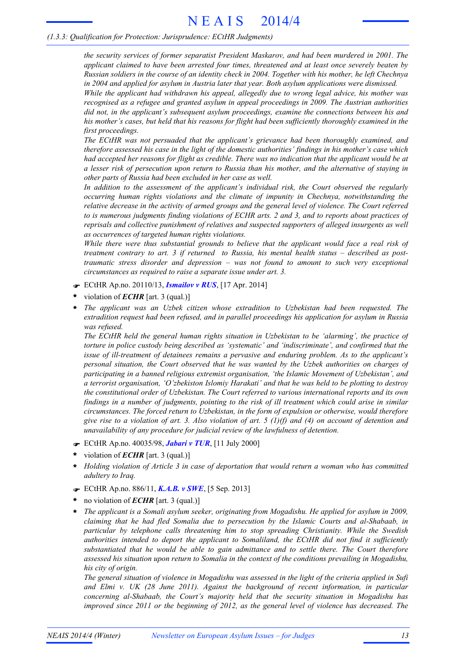#### *(1.3.3: Qualification for Protection: Jurisprudence: ECtHR Judgments)*

*the security services of former separatist President Maskarov, and had been murdered in 2001. The applicant claimed to have been arrested four times, threatened and at least once severely beaten by* Russian soldiers in the course of an identity check in 2004. Together with his mother, he left Chechnya *in 2004 and applied for asylum in Austria later that year. Both asylum applications were dismissed.*

*While the applicant had withdrawn his appeal, allegedly due to wrong legal advice, his mother was recognised as a refugee and granted asylum in appeal proceedings in 2009. The Austrian authorities did not, in the applicant's subsequent asylum proceedings, examine the connections between his and his mother's cases, but held that his reasons for flight had been sufficiently thoroughly examined in the first proceedings.*

*The ECtHR was not persuaded that the applicant's grievance had been thoroughly examined, and therefore assessed his case in the light of the domestic authorities' findings in his mother's case which* had accepted her reasons for flight as credible. There was no indication that the applicant would be at a lesser risk of persecution upon return to Russia than his mother, and the alternative of staving in *other parts of Russia had been excluded in her case as well.*

*In addition to the assessment of the applicant's individual risk, the Court observed the regularly occurring human rights violations and the climate of impunity in Chechnya, notwithstanding the relative decrease in the activity of armed groups and the general level of violence. The Court referred* to is numerous judgments finding violations of ECHR arts. 2 and 3, and to reports about practices of *reprisals and collective punishment of relatives and suspected supporters of alleged insurgents as well as occurrences of targeted human rights violations.*

*While there were thus substantial grounds to believe that the applicant would face a real risk of treatment contrary to art. 3 if returned to Russia, his mental health status – described as posttraumatic stress disorder and depression – was not found to amount to such very exceptional circumstances as required to raise a separate issue under art. 3.*

- F ECtHR Ap.no. 20110/13, *Ismailov v RUS*, [17 Apr. 2014]
- violation of *ECHR* [art. 3 (qual.)] **\***
- *The applicant was an Uzbek citizen whose extradition to Uzbekistan had been requested. The extradition request had been refused, and in parallel proceedings his application for asylum in Russia was refused.* **\***

*The ECtHR held the general human rights situation in Uzbekistan to be 'alarming', the practice of torture in police custody being described as 'systematic' and 'indiscriminate', and confirmed that the issue of ill-treatment of detainees remains a pervasive and enduring problem. As to the applicant's personal situation, the Court observed that he was wanted by the Uzbek authorities on charges of participating in a banned religious extremist organisation, 'the Islamic Movement of Uzbekistan', and a terrorist organisation, 'O'zbekiston Islomiy Harakati' and that he was held to be plotting to destroy the constitutional order of Uzbekistan. The Court referred to various international reports and its own* findings in a number of judgments, pointing to the risk of ill treatment which could arise in similar *circumstances. The forced return to Uzbekistan, in the form of expulsion or otherwise, would therefore* give rise to a violation of art. 3. Also violation of art. 5 (1)(f) and (4) on account of detention and *unavailability of any procedure for judicial review of the lawfulness of detention.*

- F ECtHR Ap.no. 40035/98, *Jabari v TUR*, [11 July 2000]
- violation of *ECHR* [art. 3 (qual.)] **\***
- *Holding violation of Article 3 in case of deportation that would return a woman who has committed adultery to Iraq.* **\***
- F ECtHR Ap.no. 886/11, *K.A.B. v SWE*, [5 Sep. 2013]
- no violation of *ECHR* [art. 3 (qual.)] **\***
- *The applicant is a Somali asylum seeker, originating from Mogadishu. He applied for asylum in 2009, claiming that he had fled Somalia due to persecution by the Islamic Courts and al-Shabaab, in particular by telephone calls threatening him to stop spreading Christianity. While the Swedish authorities intended to deport the applicant to Somaliland, the ECtHR did not find it sufficiently substantiated that he would be able to gain admittance and to settle there. The Court therefore assessed his situation upon return to Somalia in the context of the conditions prevailing in Mogadishu, his city of origin.* **\***

The general situation of violence in Mogadishu was assessed in the light of the criteria applied in Sufi *and Elmi v. UK (28 June 2011). Against the background of recent information, in particular concerning al-Shabaab, the Court's majority held that the security situation in Mogadishu has improved since 2011 or the beginning of 2012, as the general level of violence has decreased. The*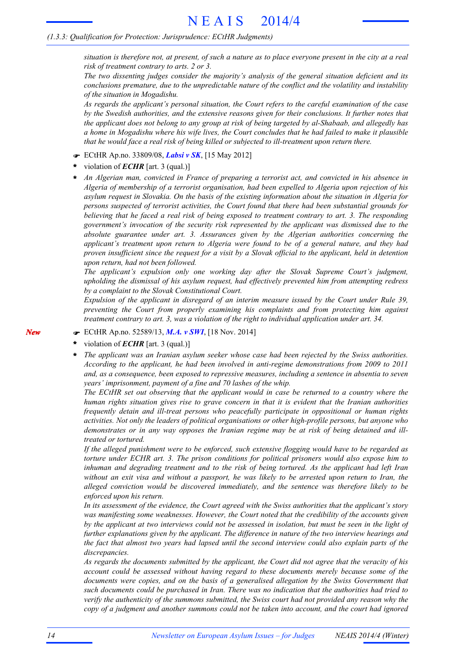situation is therefore not, at present, of such a nature as to place everyone present in the city at a real *risk of treatment contrary to arts. 2 or 3.*

*The two dissenting judges consider the majority's analysis of the general situation deficient and its conclusions premature, due to the unpredictable nature of the conflict and the volatility and instability of the situation in Mogadishu.*

*As regards the applicant's personal situation, the Court refers to the careful examination of the case by the Swedish authorities, and the extensive reasons given for their conclusions. It further notes that* the applicant does not belong to any group at risk of being targeted by al-Shabaab, and allegedly has a home in Mogadishu where his wife lives, the Court concludes that he had failed to make it plausible *that he would face a real risk of being killed or subjected to ill-treatment upon return there.*

- F ECtHR Ap.no. 33809/08, *Labsi v SK*, [15 May 2012]
- violation of *ECHR* [art. 3 (qual.)] **\***
- *An Algerian man, convicted in France of preparing a terrorist act, and convicted in his absence in Algeria of membership of a terrorist organisation, had been expelled to Algeria upon rejection of his asylum request in Slovakia. On the basis of the existing information about the situation in Algeria for persons suspected of terrorist activities, the Court found that there had been substantial grounds for* believing that he faced a real risk of being exposed to treatment contrary to art. 3. The responding *government's invocation of the security risk represented by the applicant was dismissed due to the absolute guarantee under art. 3. Assurances given by the Algerian authorities concerning the applicant's treatment upon return to Algeria were found to be of a general nature, and they had* proven insufficient since the request for a visit by a Slovak official to the applicant, held in detention *upon return, had not been followed.* **\***

*The applicant's expulsion only one working day after the Slovak Supreme Court's judgment, upholding the dismissal of his asylum request, had effectively prevented him from attempting redress by a complaint to the Slovak Constitutional Court.*

*Expulsion of the applicant in disregard of an interim measure issued by the Court under Rule 39, preventing the Court from properly examining his complaints and from protecting him against treatment contrary to art. 3, was a violation of the right to individual application under art. 34.*

- F ECtHR Ap.no. 52589/13, *M.A. v SWI*, [18 Nov. 2014]
- violation of *ECHR* [art. 3 (qual.)] **\***
- *The applicant was an Iranian asylum seeker whose case had been rejected by the Swiss authorities. According to the applicant, he had been involved in anti-regime demonstrations from 2009 to 2011 and, as a consequence, been exposed to repressive measures, including a sentence in absentia to seven years' imprisonment, payment of a fine and 70 lashes of the whip.* **\***

*The ECtHR set out observing that the applicant would in case be returned to a country where the human rights situation gives rise to grave concern in that it is evident that the Iranian authorities frequently detain and ill-treat persons who peacefully participate in oppositional or human rights activities. Not only the leaders of political organisations or other high-profile persons, but anyone who demonstrates or in any way opposes the Iranian regime may be at risk of being detained and illtreated or tortured.*

*If the alleged punishment were to be enforced, such extensive flogging would have to be regarded as torture under ECHR art. 3. The prison conditions for political prisoners would also expose him to inhuman and degrading treatment and to the risk of being tortured. As the applicant had left Iran* without an exit visa and without a passport, he was likely to be arrested upon return to Iran, the *alleged conviction would be discovered immediately, and the sentence was therefore likely to be enforced upon his return.*

*In its assessment of the evidence, the Court agreed with the Swiss authorities that the applicant's story was manifesting some weaknesses. However, the Court noted that the credibility of the accounts given* by the applicant at two interviews could not be assessed in isolation, but must be seen in the light of *further explanations given by the applicant. The difference in nature of the two interview hearings and* the fact that almost two years had lapsed until the second interview could also explain parts of the *discrepancies.*

As regards the documents submitted by the applicant, the Court did not agree that the veracity of his *account could be assessed without having regard to these documents merely because some of the documents were copies, and on the basis of a generalised allegation by the Swiss Government that such documents could be purchased in Iran. There was no indication that the authorities had tried to verify the authenticity of the summons submitted, the Swiss court had not provided any reason why the copy of a judgment and another summons could not be taken into account, and the court had ignored*

*New*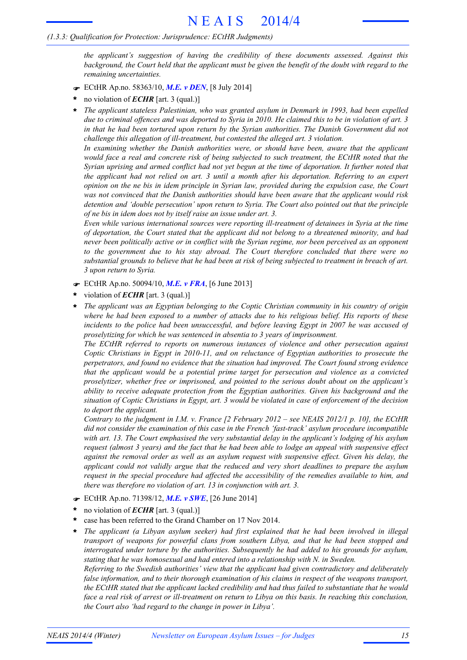*the applicant's suggestion of having the credibility of these documents assessed. Against this* background, the Court held that the applicant must be given the benefit of the doubt with regard to the *remaining uncertainties.*

- F ECtHR Ap.no. 58363/10, *M.E. v DEN*, [8 July 2014]
- no violation of *ECHR* [art. 3 (qual.)] **\***
- *The applicant stateless Palestinian, who was granted asylum in Denmark in 1993, had been expelled* due to criminal offences and was deported to Syria in 2010. He claimed this to be in violation of art. 3 *in that he had been tortured upon return by the Syrian authorities. The Danish Government did not challenge this allegation of ill-treatment, but contested the alleged art. 3 violation.* **\***

*In examining whether the Danish authorities were, or should have been, aware that the applicant would face a real and concrete risk of being subjected to such treatment, the ECtHR noted that the* Syrian uprising and armed conflict had not yet begun at the time of deportation. It further noted that *the applicant had not relied on art. 3 until a month after his deportation. Referring to an expert* opinion on the ne bis in idem principle in Syrian law, provided during the expulsion case, the Court *was not convinced that the Danish authorities should have been aware that the applicant would risk detention and 'double persecution' upon return to Syria. The Court also pointed out that the principle of ne bis in idem does not by itself raise an issue under art. 3.*

*Even while various international sources were reporting ill-treatment of detainees in Syria at the time of deportation, the Court stated that the applicant did not belong to a threatened minority, and had never been politically active or in conflict with the Syrian regime, nor been perceived as an opponent to the government due to his stay abroad. The Court therefore concluded that there were no* substantial grounds to believe that he had been at risk of being subjected to treatment in breach of art. *3 upon return to Syria.*

- F ECtHR Ap.no. 50094/10, *M.E. v FRA*, [6 June 2013]
- violation of *ECHR* [art. 3 (qual.)] **\***
- *The applicant was an Egyptian belonging to the Coptic Christian community in his country of origin* where he had been exposed to a number of attacks due to his religious belief. His reports of these *incidents to the police had been unsuccessful, and before leaving Egypt in 2007 he was accused of proselytizing for which he was sentenced in absentia to 3 years of imprisonment.* **\***

*The ECtHR referred to reports on numerous instances of violence and other persecution against Coptic Christians in Egypt in 2010-11, and on reluctance of Egyptian authorities to prosecute the perpetrators, and found no evidence that the situation had improved. The Court found strong evidence that the applicant would be a potential prime target for persecution and violence as a convicted proselytizer, whether free or imprisoned, and pointed to the serious doubt about on the applicant's ability to receive adequate protection from the Egyptian authorities. Given his background and the* situation of Coptic Christians in Egypt, art. 3 would be violated in case of enforcement of the decision *to deport the applicant.*

Contrary to the judgment in I.M. v. France [2 February  $2012$  – see NEAIS 2012/1 p. 10], the ECtHR *did not consider the examination of this case in the French 'fast-track' asylum procedure incompatible with art. 13. The Court emphasised the very substantial delay in the applicant's lodging of his asylum* request (almost 3 years) and the fact that he had been able to lodge an appeal with suspensive effect *against the removal order as well as an asylum request with suspensive effect. Given his delay, the applicant could not validly argue that the reduced and very short deadlines to prepare the asylum request in the special procedure had affected the accessibility of the remedies available to him, and there was therefore no violation of art. 13 in conjunction with art. 3.*

- F ECtHR Ap.no. 71398/12, *M.E. v SWE*, [26 June 2014]
- no violation of *ECHR* [art. 3 (qual.)] **\***
- case has been referred to the Grand Chamber on 17 Nov 2014. **\***
- *The applicant (a Libyan asylum seeker) had first explained that he had been involved in illegal transport of weapons for powerful clans from southern Libya, and that he had been stopped and interrogated under torture by the authorities. Subsequently he had added to his grounds for asylum, stating that he was homosexual and had entered into a relationship with N. in Sweden.* **\***

*Referring to the Swedish authorities' view that the applicant had given contradictory and deliberately false information, and to their thorough examination of his claims in respect of the weapons transport, the ECtHR stated that the applicant lacked credibility and had thus failed to substantiate that he would* face a real risk of arrest or ill-treatment on return to Libya on this basis. In reaching this conclusion, *the Court also 'had regard to the change in power in Libya'.*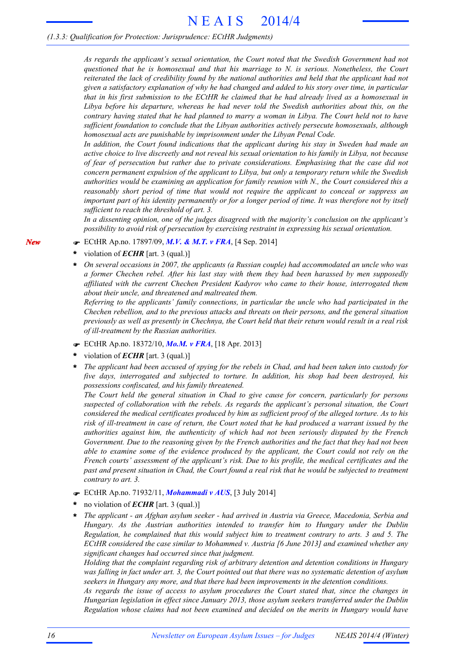*As regards the applicant's sexual orientation, the Court noted that the Swedish Government had not questioned that he is homosexual and that his marriage to N. is serious. Nonetheless, the Court reiterated the lack of credibility found by the national authorities and held that the applicant had not* given a satisfactory explanation of why he had changed and added to his story over time, in particular that in his first submission to the ECtHR he claimed that he had already lived as a homosexual in *Libya before his departure, whereas he had never told the Swedish authorities about this, on the* contrary having stated that he had planned to marry a woman in Libya. The Court held not to have *sufficient foundation to conclude that the Libyan authorities actively persecute homosexuals, although homosexual acts are punishable by imprisonment under the Libyan Penal Code.*

*In addition, the Court found indications that the applicant during his stay in Sweden had made an* active choice to live discreetly and not reveal his sexual orientation to his family in Libya, not because *of fear of persecution but rather due to private considerations. Emphasising that the case did not concern permanent expulsion of the applicant to Libya, but only a temporary return while the Swedish authorities would be examining an application for family reunion with N., the Court considered this a reasonably short period of time that would not require the applicant to conceal or suppress an* important part of his identity permanently or for a longer period of time. It was therefore not by itself *sufficient to reach the threshold of art. 3.*

*In a dissenting opinion, one of the judges disagreed with the majority's conclusion on the applicant's possibility to avoid risk of persecution by exercising restraint in expressing his sexual orientation.*

- F ECtHR Ap.no. 17897/09, *M.V. & M.T. v FRA*, [4 Sep. 2014]
- violation of *ECHR* [art. 3 (qual.)] **\***
- *On several occasions in 2007, the applicants (a Russian couple) had accommodated an uncle who was a former Chechen rebel. After his last stay with them they had been harassed by men supposedly affiliated with the current Chechen President Kadyrov who came to their house, interrogated them about their uncle, and threatened and maltreated them.* **\***

*Referring to the applicants' family connections, in particular the uncle who had participated in the Chechen rebellion, and to the previous attacks and threats on their persons, and the general situation* previously as well as presently in Chechnya, the Court held that their return would result in a real risk *of ill-treatment by the Russian authorities.*

- F ECtHR Ap.no. 18372/10, *Mo.M. v FRA*, [18 Apr. 2013]
- violation of *ECHR* [art. 3 (qual.)] **\***
- The applicant had been accused of spying for the rebels in Chad, and had been taken into custody for *five days, interrogated and subjected to torture. In addition, his shop had been destroyed, his possessions confiscated, and his family threatened.* **\***

*The Court held the general situation in Chad to give cause for concern, particularly for persons suspected of collaboration with the rebels. As regards the applicant's personal situation, the Court considered the medical certificates produced by him as sufficient proof of the alleged torture. As to his* risk of ill-treatment in case of return, the Court noted that he had produced a warrant issued by the *authorities against him, the authenticity of which had not been seriously disputed by the French* Government. Due to the reasoning given by the French authorities and the fact that they had not been *able to examine some of the evidence produced by the applicant, the Court could not rely on the French courts' assessment of the applicant's risk. Due to his profile, the medical certificates and the* past and present situation in Chad, the Court found a real risk that he would be subjected to treatment *contrary to art. 3.*

- F ECtHR Ap.no. 71932/11, *Mohammadi v AUS*, [3 July 2014]
- no violation of *ECHR* [art. 3 (qual.)] **\***
- *The applicant - an Afghan asylum seeker - had arrived in Austria via Greece, Macedonia, Serbia and Hungary. As the Austrian authorities intended to transfer him to Hungary under the Dublin Regulation, he complained that this would subject him to treatment contrary to arts. 3 and 5. The ECtHR considered the case similar to Mohammed v. Austria [6 June 2013] and examined whether any significant changes had occurred since that judgment.* **\***

*Holding that the complaint regarding risk of arbitrary detention and detention conditions in Hungary* was falling in fact under art. 3, the Court pointed out that there was no systematic detention of asylum *seekers in Hungary any more, and that there had been improvements in the detention conditions.*

*As regards the issue of access to asylum procedures the Court stated that, since the changes in Hungarian legislation in effect since January 2013, those asylum seekers transferred under the Dublin Regulation whose claims had not been examined and decided on the merits in Hungary would have*

*New*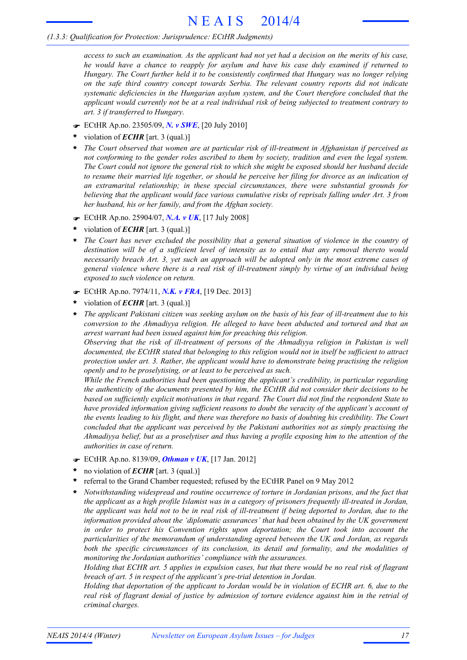access to such an examination. As the applicant had not yet had a decision on the merits of his case, *he would have a chance to reapply for asylum and have his case duly examined if returned to Hungary. The Court further held it to be consistently confirmed that Hungary was no longer relying on the safe third country concept towards Serbia. The relevant country reports did not indicate systematic deficiencies in the Hungarian asylum system, and the Court therefore concluded that the applicant would currently not be at a real individual risk of being subjected to treatment contrary to art. 3 if transferred to Hungary.*

- F ECtHR Ap.no. 23505/09, *N. v SWE*, [20 July 2010]
- violation of *ECHR* [art. 3 (qual.)] **\***
- *The Court observed that women are at particular risk of ill-treatment in Afghanistan if perceived as* **\*** *not conforming to the gender roles ascribed to them by society, tradition and even the legal system.* The Court could not ignore the general risk to which she might be exposed should her husband decide to resume their married life together, or should he perceive her filing for divorce as an indication of *an extramarital relationship; in these special circumstances, there were substantial grounds for believing that the applicant would face various cumulative risks of reprisals falling under Art. 3 from her husband, his or her family, and from the Afghan society.*
- F ECtHR Ap.no. 25904/07, *N.A. v UK*, [17 July 2008]
- violation of *ECHR* [art. 3 (qual.)] **\***
- *The Court has never excluded the possibility that a general situation of violence in the country of destination will be of a sufficient level of intensity as to entail that any removal thereto would necessarily breach Art. 3, yet such an approach will be adopted only in the most extreme cases of general violence where there is a real risk of ill-treatment simply by virtue of an individual being exposed to such violence on return.* **\***
- F ECtHR Ap.no. 7974/11, *N.K. v FRA*, [19 Dec. 2013]
- violation of *ECHR* [art. 3 (qual.)] **\***
- The applicant Pakistani citizen was seeking asylum on the basis of his fear of ill-treatment due to his *conversion to the Ahmadiyya religion. He alleged to have been abducted and tortured and that an arrest warrant had been issued against him for preaching this religion.* **\***

*Observing that the risk of ill-treatment of persons of the Ahmadiyya religion in Pakistan is well documented, the ECtHR stated that belonging to this religion would not in itself be sufficient to attract protection under art. 3. Rather, the applicant would have to demonstrate being practising the religion openly and to be proselytising, or at least to be perceived as such.*

*While the French authorities had been questioning the applicant's credibility, in particular regarding the authenticity of the documents presented by him, the ECtHR did not consider their decisions to be based on sufficiently explicit motivations in that regard. The Court did not find the respondent State to have provided information giving sufficient reasons to doubt the veracity of the applicant's account of* the events leading to his flight, and there was therefore no basis of doubting his credibility. The Court *concluded that the applicant was perceived by the Pakistani authorities not as simply practising the* Ahmadiyya belief, but as a proselytiser and thus having a profile exposing him to the attention of the *authorities in case of return.*

- F ECtHR Ap.no. 8139/09, *Othman v UK*, [17 Jan. 2012]
- no violation of *ECHR* [art. 3 (qual.)] **\***
- referral to the Grand Chamber requested; refused by the ECtHR Panel on 9 May 2012 **\***
- *Notwithstanding widespread and routine occurrence of torture in Jordanian prisons, and the fact that the applicant as a high profile Islamist was in a category of prisoners frequently ill-treated in Jordan,* the applicant was held not to be in real risk of ill-treatment if being deported to Jordan, due to the *information provided about the 'diplomatic assurances' that had been obtained by the UK government in order to protect his Convention rights upon deportation; the Court took into account the particularities of the memorandum of understanding agreed between the UK and Jordan, as regards both the specific circumstances of its conclusion, its detail and formality, and the modalities of monitoring the Jordanian authorities' compliance with the assurances.* **\***

Holding that ECHR art. 5 applies in expulsion cases, but that there would be no real risk of flagrant *breach of art. 5 in respect of the applicant's pre-trial detention in Jordan.*

Holding that deportation of the applicant to Jordan would be in violation of ECHR art. 6, due to the real risk of flagrant denial of justice by admission of torture evidence against him in the retrial of *criminal charges.*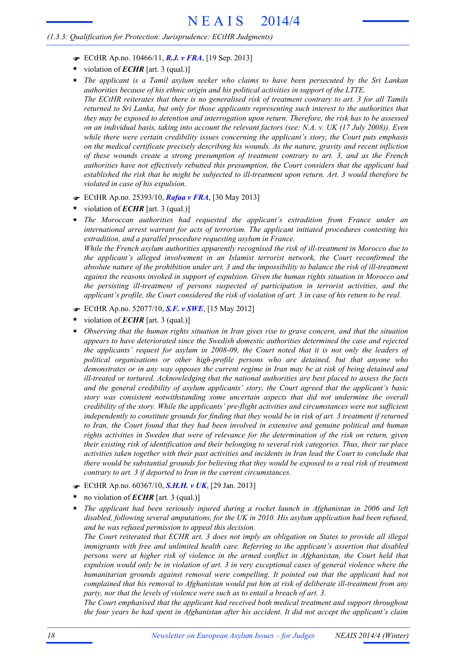- F ECtHR Ap.no. 10466/11, *R.J. v FRA*, [19 Sep. 2013]
- violation of *ECHR* [art. 3 (qual.)] **\***
- *The applicant is a Tamil asylum seeker who claims to have been persecuted by the Sri Lankan authorities because of his ethnic origin and his political activities in support of the LTTE.* The ECtHR reiterates that there is no generalised risk of treatment contrary to art. 3 for all Tamils *returned to Sri Lanka, but only for those applicants representing such interest to the authorities that they may be exposed to detention and interrogation upon return. Therefore, the risk has to be assessed* on an individual basis, taking into account the relevant factors (see: N.A. v. UK (17 July 2008)). Even *while there were certain credibility issues concerning the applicant's story, the Court puts emphasis on the medical certificate precisely describing his wounds. As the nature, gravity and recent infliction of these wounds create a strong presumption of treatment contrary to art. 3, and as the French authorities have not effectively rebutted this presumption, the Court considers that the applicant had established the risk that he might be subjected to ill-treatment upon return. Art. 3 would therefore be violated in case of his expulsion.* **\***
- F ECtHR Ap.no. 25393/10, *Rafaa v FRA*, [30 May 2013]
- violation of *ECHR* [art. 3 (qual.)] **\***
- *The Moroccan authorities had requested the applicant's extradition from France under an international arrest warrant for acts of terrorism. The applicant initiated procedures contesting his extradition, and a parallel procedure requesting asylum in France.* **\***

*While the French asylum authorities apparently recognised the risk of ill-treatment in Morocco due to the applicant's alleged involvement in an Islamist terrorist network, the Court reconfirmed the* absolute nature of the prohibition under art. 3 and the impossibility to balance the risk of ill-treatment *against the reasons invoked in support of expulsion. Given the human rights situation in Morocco and the persisting ill-treatment of persons suspected of participation in terrorist activities, and the applicant's profile, the Court considered the risk of violation of art. 3 in case of his return to be real.*

- F ECtHR Ap.no. 52077/10, *S.F. v SWE*, [15 May 2012]
- violation of *ECHR* [art. 3 (qual.)] **\***
- *Observing that the human rights situation in Iran gives rise to grave concern, and that the situation appears to have deteriorated since the Swedish domestic authorities determined the case and rejected the applicants' request for asylum in 2008-09, the Court noted that it is not only the leaders of political organisations or other high-profile persons who are detained, but that anyone who* demonstrates or in any way opposes the current regime in Iran may be at risk of being detained and *ill-treated or tortured. Acknowledging that the national authorities are best placed to assess the facts and the general credibility of asylum applicants' story, the Court agreed that the applicant's basic story was consistent notwithstanding some uncertain aspects that did not undermine the overall credibility of the story. While the applicants' pre-flight activities and circumstances were not sufficient* independently to constitute grounds for finding that they would be in risk of art. 3 treatment if returned *to Iran, the Court found that they had been involved in extensive and genuine political and human rights activities in Sweden that were of relevance for the determination of the risk on return, given their existing risk of identification and their belonging to several risk categories. Thus, their sur place* activities taken together with their past activities and incidents in Iran lead the Court to conclude that there would be substantial grounds for believing that they would be exposed to a real risk of treatment *contrary to art. 3 if deported to Iran in the current circumstances.* **\***
- F ECtHR Ap.no. 60367/10, *S.H.H. v UK*, [29 Jan. 2013]
- no violation of *ECHR* [art. 3 (qual.)] **\***
- *The applicant had been seriously injured during a rocket launch in Afghanistan in 2006 and left disabled, following several amputations, for the UK in 2010. His asylum application had been refused, and he was refused permission to appeal this decision.* **\***

The Court reiterated that ECHR art. 3 does not imply an obligation on States to provide all illegal *immigrants with free and unlimited health care. Referring to the applicant's assertion that disabled persons were at higher risk of violence in the armed conflict in Afghanistan, the Court held that* expulsion would only be in violation of art. 3 in very exceptional cases of general violence where the *humanitarian grounds against removal were compelling. It pointed out that the applicant had not complained that his removal to Afghanistan would put him at risk of deliberate ill-treatment from any party, nor that the levels of violence were such as to entail a breach of art. 3.*

*The Court emphasised that the applicant had received both medical treatment and support throughout* the four years he had spent in Afghanistan after his accident. It did not accept the applicant's claim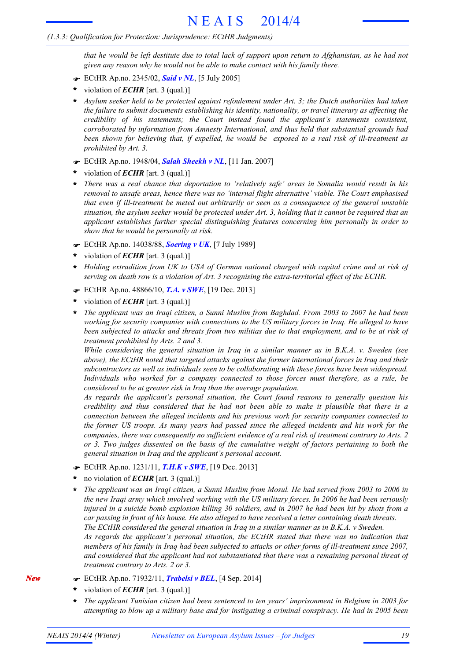#### *(1.3.3: Qualification for Protection: Jurisprudence: ECtHR Judgments)*

that he would be left destitute due to total lack of support upon return to Afghanistan, as he had not *given any reason why he would not be able to make contact with his family there.*

- F ECtHR Ap.no. 2345/02, *Said v NL*, [5 July 2005]
- violation of *ECHR* [art. 3 (qual.)] **\***
- *Asylum seeker held to be protected against refoulement under Art. 3; the Dutch authorities had taken the failure to submit documents establishing his identity, nationality, or travel itinerary as affecting the credibility of his statements; the Court instead found the applicant's statements consistent, corroborated by information from Amnesty International, and thus held that substantial grounds had been shown for believing that, if expelled, he would be exposed to a real risk of ill-treatment as prohibited by Art. 3.* **\***
- F ECtHR Ap.no. 1948/04, *Salah Sheekh v NL*, [11 Jan. 2007]
- violation of *ECHR* [art. 3 (qual.)] **\***
- \* There was a real chance that deportation to 'relatively safe' areas in Somalia would result in his *removal to unsafe areas, hence there was no 'internal flight alternative' viable. The Court emphasised that even if ill-treatment be meted out arbitrarily or seen as a consequence of the general unstable* situation, the asylum seeker would be protected under Art. 3, holding that it cannot be required that an *applicant establishes further special distinguishing features concerning him personally in order to show that he would be personally at risk.*
- F ECtHR Ap.no. 14038/88, *Soering v UK*, [7 July 1989]
- violation of *ECHR* [art. 3 (qual.)] **\***
- *Holding extradition from UK to USA of German national charged with capital crime and at risk of serving on death row is a violation of Art. 3 recognising the extra-territorial effect of the ECHR.* **\***
- F ECtHR Ap.no. 48866/10, *T.A. v SWE*, [19 Dec. 2013]
- violation of *ECHR* [art. 3 (qual.)] **\***
- *The applicant was an Iraqi citizen, a Sunni Muslim from Baghdad. From 2003 to 2007 he had been working for security companies with connections to the US military forces in Iraq. He alleged to have* been subjected to attacks and threats from two militias due to that employment, and to be at risk of *treatment prohibited by Arts. 2 and 3.* **\***

*While considering the general situation in Iraq in a similar manner as in B.K.A. v. Sweden (see above), the ECtHR noted that targeted attacks against the former international forces in Iraq and their subcontractors as well as individuals seen to be collaborating with these forces have been widespread. Individuals who worked for a company connected to those forces must therefore, as a rule, be considered to be at greater risk in Iraq than the average population.*

*As regards the applicant's personal situation, the Court found reasons to generally question his credibility and thus considered that he had not been able to make it plausible that there is a connection between the alleged incidents and his previous work for security companies connected to the former US troops. As many years had passed since the alleged incidents and his work for the companies, there was consequently no sufficient evidence of a real risk of treatment contrary to Arts. 2 or 3. Two judges dissented on the basis of the cumulative weight of factors pertaining to both the general situation in Iraq and the applicant's personal account.*

- F ECtHR Ap.no. 1231/11, *T.H.K v SWE*, [19 Dec. 2013]
- no violation of *ECHR* [art. 3 (qual.)] **\***
- The applicant was an Iraqi citizen, a Sunni Muslim from Mosul. He had served from 2003 to 2006 in the new Iraqi army which involved working with the US military forces. In 2006 he had been seriously injured in a suicide bomb explosion killing 30 soldiers, and in 2007 he had been hit by shots from a *car passing in front of his house. He also alleged to have received a letter containing death threats. The ECtHR considered the general situation in Iraq in a similar manner as in B.K.A. v Sweden. As regards the applicant's personal situation, the ECtHR stated that there was no indication that* members of his family in Iraq had been subjected to attacks or other forms of ill-treatment since 2007, *and considered that the applicant had not substantiated that there was a remaining personal threat of treatment contrary to Arts. 2 or 3.* **\***
- F ECtHR Ap.no. 71932/11, *Trabelsi v BEL*, [4 Sep. 2014]
- violation of *ECHR* [art. 3 (qual.)] **\***
- *The applicant Tunisian citizen had been sentenced to ten years' imprisonment in Belgium in 2003 for* attempting to blow up a military base and for instigating a criminal conspiracy. He had in 2005 been **\***

*New*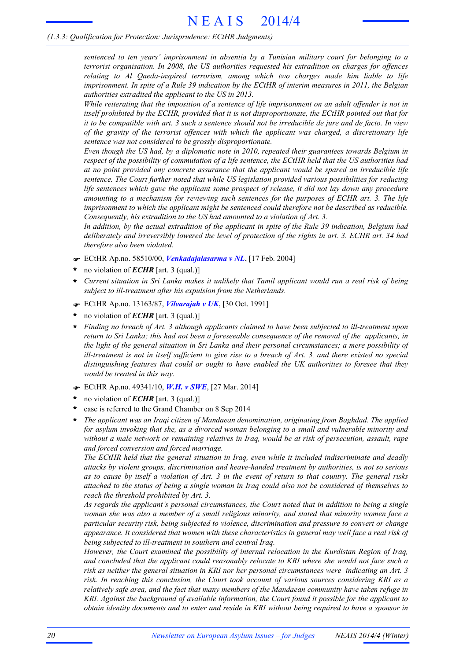*sentenced to ten years' imprisonment in absentia by a Tunisian military court for belonging to a terrorist organisation. In 2008, the US authorities requested his extradition on charges for offences relating to Al Qaeda-inspired terrorism, among which two charges made him liable to life* imprisonment. In spite of a Rule 39 indication by the ECtHR of interim measures in 2011, the Belgian *authorities extradited the applicant to the US in 2013.*

While reiterating that the imposition of a sentence of life imprisonment on an adult offender is not in *itself prohibited by the ECHR, provided that it is not disproportionate, the ECtHR pointed out that for* it to be compatible with art. 3 such a sentence should not be irreducible de jure and de facto. In view *of the gravity of the terrorist offences with which the applicant was charged, a discretionary life sentence was not considered to be grossly disproportionate.*

*Even though the US had, by a diplomatic note in 2010, repeated their guarantees towards Belgium in* respect of the possibility of commutation of a life sentence, the ECtHR held that the US authorities had *at no point provided any concrete assurance that the applicant would be spared an irreducible life sentence. The Court further noted that while US legislation provided various possibilities for reducing life sentences which gave the applicant some prospect of release, it did not lay down any procedure amounting to a mechanism for reviewing such sentences for the purposes of ECHR art. 3. The life imprisonment to which the applicant might be sentenced could therefore not be described as reducible. Consequently, his extradition to the US had amounted to a violation of Art. 3.*

In addition, by the actual extradition of the applicant in spite of the Rule 39 indication, Belgium had deliberately and irreversibly lowered the level of protection of the rights in art. 3. ECHR art. 34 had *therefore also been violated.*

- F ECtHR Ap.no. 58510/00, *Venkadajalasarma v NL*, [17 Feb. 2004]
- no violation of *ECHR* [art. 3 (qual.)] **\***
- Current situation in Sri Lanka makes it unlikely that Tamil applicant would run a real risk of being *subject to ill-treatment after his expulsion from the Netherlands.* **\***
- F ECtHR Ap.no. 13163/87, *Vilvarajah v UK*, [30 Oct. 1991]
- no violation of *ECHR* [art. 3 (qual.)] **\***
- *Finding no breach of Art. 3 although applicants claimed to have been subjected to ill-treatment upon* return to Sri Lanka; this had not been a foreseeable consequence of the removal of the applicants, in *the light of the general situation in Sri Lanka and their personal circumstances; a mere possibility of* ill-treatment is not in itself sufficient to give rise to a breach of Art. 3, and there existed no special *distinguishing features that could or ought to have enabled the UK authorities to foresee that they would be treated in this way.* **\***
- F ECtHR Ap.no. 49341/10, *W.H. v SWE*, [27 Mar. 2014]
- no violation of *ECHR* [art. 3 (qual.)] **\***
- case is referred to the Grand Chamber on 8 Sep 2014 **\***
- *The applicant was an Iraqi citizen of Mandaean denomination, originating from Baghdad. The applied for asylum invoking that she, as a divorced woman belonging to a small and vulnerable minority and without a male network or remaining relatives in Iraq, would be at risk of persecution, assault, rape and forced conversion and forced marriage.* **\***

*The ECtHR held that the general situation in Iraq, even while it included indiscriminate and deadly attacks by violent groups, discrimination and heave-handed treatment by authorities, is not so serious* as to cause by itself a violation of Art. 3 in the event of return to that country. The general risks attached to the status of being a single woman in Iraq could also not be considered of themselves to *reach the threshold prohibited by Art. 3.*

*As regards the applicant's personal circumstances, the Court noted that in addition to being a single woman she was also a member of a small religious minority, and stated that minority women face a particular security risk, being subjected to violence, discrimination and pressure to convert or change appearance. It considered that women with these characteristics in general may well face a real risk of being subjected to ill-treatment in southern and central Iraq.*

*However, the Court examined the possibility of internal relocation in the Kurdistan Region of Iraq, and concluded that the applicant could reasonably relocate to KRI where she would not face such a risk as neither the general situation in KRI nor her personal circumstances were indicating an Art. 3 risk. In reaching this conclusion, the Court took account of various sources considering KRI as a relatively safe area, and the fact that many members of the Mandaean community have taken refuge in KRI. Against the background of available information, the Court found it possible for the applicant to* obtain identity documents and to enter and reside in KRI without being required to have a sponsor in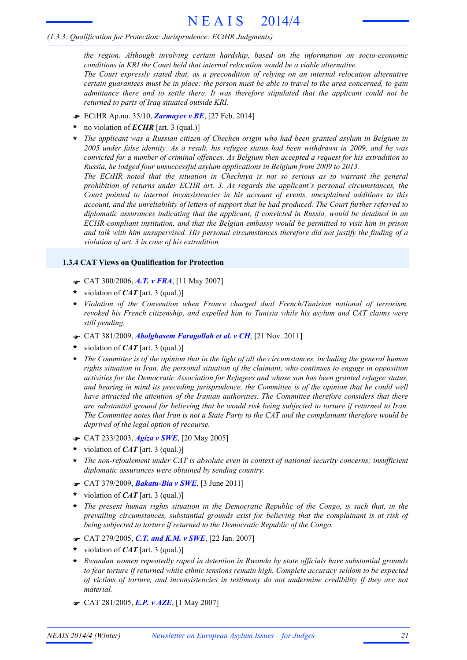*the region. Although involving certain hardship, based on the information on socio-economic conditions in KRI the Court held that internal relocation would be a viable alternative.*

*The Court expressly stated that, as a precondition of relying on an internal relocation alternative* certain guarantees must be in place: the person must be able to travel to the area concerned, to gain *admittance there and to settle there. It was therefore stipulated that the applicant could not be returned to parts of Iraq situated outside KRI.*

- F ECtHR Ap.no. 35/10, *Zarmayev v BE*, [27 Feb. 2014]
- no violation of *ECHR* [art. 3 (qual.)] **\***
- *The applicant was a Russian citizen of Chechen origin who had been granted asylum in Belgium in 2005 under false identity. As a result, his refugee status had been withdrawn in 2009, and he was convicted for a number of criminal offences. As Belgium then accepted a request for his extradition to Russia, he lodged four unsuccessful asylum applications in Belgium from 2009 to 2013.* **\***

*The ECtHR noted that the situation in Chechnya is not so serious as to warrant the general prohibition of returns under ECHR art. 3. As regards the applicant's personal circumstances, the Court pointed to internal inconsistencies in his account of events, unexplained additions to this account, and the unreliability of letters of support that he had produced. The Court further referred to diplomatic assurances indicating that the applicant, if convicted in Russia, would be detained in an ECHR-compliant institution, and that the Belgian embassy would be permitted to visit him in prison and talk with him unsupervised. His personal circumstances therefore did not justify the finding of a violation of art. 3 in case of his extradition.*

#### **1.3.4 CAT Views on Qualification for Protection**

- F CAT 300/2006, *A.T. v FRA*, [11 May 2007]
- violation of *CAT* [art. 3 (qual.)] **\***
- *Violation of the Convention when France charged dual French/Tunisian national of terrorism,* **\*** *revoked his French citizenship, and expelled him to Tunisia while his asylum and CAT claims were still pending.*
- F CAT 381/2009, *Abolghasem Faragollah et al. v CH*, [21 Nov. 2011]
- violation of *CAT* [art. 3 (qual.)] **\***
- The Committee is of the opinion that in the light of all the circumstances, including the general human *rights situation in Iran, the personal situation of the claimant, who continues to engage in opposition activities for the Democratic Association for Refugees and whose son has been granted refugee status, and bearing in mind its preceding jurisprudence, the Committee is of the opinion that he could well have attracted the attention of the Iranian authorities. The Committee therefore considers that there are substantial ground for believing that he would risk being subjected to torture if returned to Iran.* The Committee notes that Iran is not a State Party to the CAT and the complainant therefore would be *deprived of the legal option of recourse.* **\***
- F CAT 233/2003, *Agiza v SWE*, [20 May 2005]
- violation of *CAT* [art. 3 (qual.)] **\***
- *The non-refoulement under CAT is absolute even in context of national security concerns; insufficient diplomatic assurances were obtained by sending country.* **\***
- F CAT 379/2009, *Bakatu-Bia v SWE*, [3 June 2011]
- violation of *CAT* [art. 3 (qual.)] **\***
- *The present human rights situation in the Democratic Republic of the Congo, is such that, in the prevailing circumstances, substantial grounds exist for believing that the complainant is at risk of being subjected to torture if returned to the Democratic Republic of the Congo.* **\***
- F CAT 279/2005, *C.T. and K.M. v SWE*, [22 Jan. 2007]
- violation of *CAT* [art. 3 (qual.)] **\***
- *Rwandan women repeatedly raped in detention in Rwanda by state officials have substantial grounds to fear torture if returned while ethnic tensions remain high. Complete accuracy seldom to be expected of victims of torture, and inconsistencies in testimony do not undermine credibility if they are not material.* **\***
- F CAT 281/2005, *E.P. v AZE*, [1 May 2007]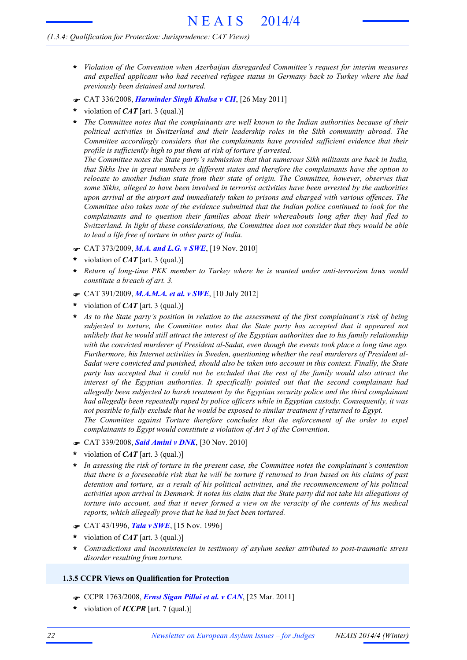#### *(1.3.4: Qualification for Protection: Jurisprudence: CAT Views)*

- *Violation of the Convention when Azerbaijan disregarded Committee's request for interim measures and expelled applicant who had received refugee status in Germany back to Turkey where she had previously been detained and tortured.* **\***
- F CAT 336/2008, *Harminder Singh Khalsa v CH*, [26 May 2011]
- violation of *CAT* [art. 3 (qual.)] **\***
- *The Committee notes that the complainants are well known to the Indian authorities because of their political activities in Switzerland and their leadership roles in the Sikh community abroad. The Committee accordingly considers that the complainants have provided sufficient evidence that their profile is sufficiently high to put them at risk of torture if arrested.* **\***

*The Committee notes the State party's submission that that numerous Sikh militants are back in India, that Sikhs live in great numbers in different states and therefore the complainants have the option to relocate to another Indian state from their state of origin. The Committee, however, observes that some Sikhs, alleged to have been involved in terrorist activities have been arrested by the authorities upon arrival at the airport and immediately taken to prisons and charged with various offences. The Committee also takes note of the evidence submitted that the Indian police continued to look for the complainants and to question their families about their whereabouts long after they had fled to Switzerland. In light of these considerations, the Committee does not consider that they would be able to lead a life free of torture in other parts of India.*

- F CAT 373/2009, *M.A. and L.G. v SWE*, [19 Nov. 2010]
- violation of *CAT* [art. 3 (qual.)] **\***
- *Return of long-time PKK member to Turkey where he is wanted under anti-terrorism laws would constitute a breach of art. 3.* **\***
- F CAT 391/2009, *M.A.M.A. et al. v SWE*, [10 July 2012]
- violation of *CAT* [art. 3 (qual.)] **\***
- As to the State party's position in relation to the assessment of the first complainant's risk of being *subjected to torture, the Committee notes that the State party has accepted that it appeared not* unlikely that he would still attract the interest of the Egyptian authorities due to his family relationship *with the convicted murderer of President al-Sadat, even though the events took place a long time ago. Furthermore, his Internet activities in Sweden, questioning whether the real murderers of President al-Sadat were convicted and punished, should also be taken into account in this context. Finally, the State* party has accepted that it could not be excluded that the rest of the family would also attract the *interest of the Egyptian authorities. It specifically pointed out that the second complainant had allegedly been subjected to harsh treatment by the Egyptian security police and the third complainant had allegedly been repeatedly raped by police officers while in Egyptian custody. Consequently, it was not possible to fully exclude that he would be exposed to similar treatment if returned to Egypt.* **\***

*The Committee against Torture therefore concludes that the enforcement of the order to expel complainants to Egypt would constitute a violation of Art 3 of the Convention.*

- F CAT 339/2008, *Said Amini v DNK*, [30 Nov. 2010]
- violation of *CAT* [art. 3 (qual.)] **\***
- *In assessing the risk of torture in the present case, the Committee notes the complainant's contention* that there is a foreseeable risk that he will be torture if returned to Iran based on his claims of past *detention and torture, as a result of his political activities, and the recommencement of his political* activities upon arrival in Denmark. It notes his claim that the State party did not take his allegations of torture into account, and that it never formed a view on the veracity of the contents of his medical *reports, which allegedly prove that he had in fact been tortured.* **\***
- F CAT 43/1996, *Tala v SWE*, [15 Nov. 1996]
- violation of *CAT* [art. 3 (qual.)] **\***
- *Contradictions and inconsistencies in testimony of asylum seeker attributed to post-traumatic stress disorder resulting from torture.* **\***

#### **1.3.5 CCPR Views on Qualification for Protection**

- F CCPR 1763/2008, *Ernst Sigan Pillai et al. v CAN*, [25 Mar. 2011]
- violation of *ICCPR* [art. 7 (qual.)] **\***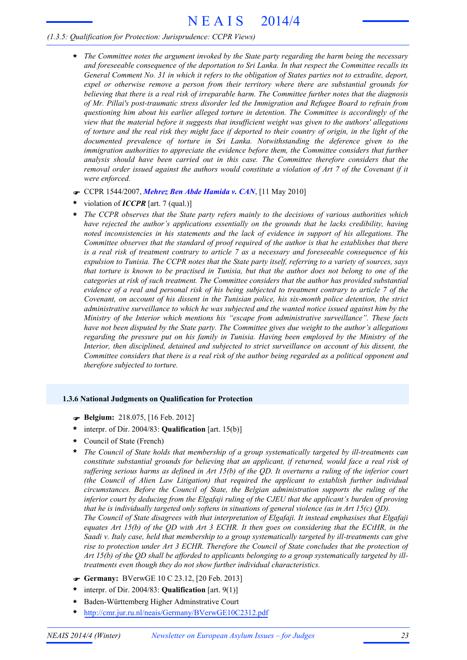#### *(1.3.5: Qualification for Protection: Jurisprudence: CCPR Views)*

- *The Committee notes the argument invoked by the State party regarding the harm being the necessary and foreseeable consequence of the deportation to Sri Lanka. In that respect the Committee recalls its* General Comment No. 31 in which it refers to the obligation of States parties not to extradite, deport, *expel or otherwise remove a person from their territory where there are substantial grounds for believing that there is a real risk of irreparable harm. The Committee further notes that the diagnosis of Mr. Pillai's post-traumatic stress disorder led the Immigration and Refugee Board to refrain from questioning him about his earlier alleged torture in detention. The Committee is accordingly of the view that the material before it suggests that insufficient weight was given to the authors' allegations* of torture and the real risk they might face if deported to their country of origin, in the light of the *documented prevalence of torture in Sri Lanka. Notwithstanding the deference given to the immigration authorities to appreciate the evidence before them, the Committee considers that further analysis should have been carried out in this case. The Committee therefore considers that the* removal order issued against the authors would constitute a violation of Art 7 of the Covenant if it *were enforced.* **\***
- F CCPR 1544/2007, *Mehrez Ben Abde Hamida v. CAN*, [11 May 2010]
- violation of *ICCPR* [art. 7 (qual.)] **\***
- *The CCPR observes that the State party refers mainly to the decisions of various authorities which have rejected the author's applications essentially on the grounds that he lacks credibility, having noted inconsistencies in his statements and the lack of evidence in support of his allegations. The Committee observes that the standard of proof required of the author is that he establishes that there* is a real risk of treatment contrary to article 7 as a necessary and foreseeable consequence of his expulsion to Tunisia. The CCPR notes that the State party itself, referring to a variety of sources, says that torture is known to be practised in Tunisia, but that the author does not belong to one of the *categories at risk of such treatment. The Committee considers that the author has provided substantial* evidence of a real and personal risk of his being subjected to treatment contrary to article 7 of the *Covenant, on account of his dissent in the Tunisian police, his six-month police detention, the strict administrative surveillance to which he was subjected and the wanted notice issued against him by the Ministry of the Interior which mentions his "escape from administrative surveillance". These facts have not been disputed by the State party. The Committee gives due weight to the author's allegations regarding the pressure put on his family in Tunisia. Having been employed by the Ministry of the Interior, then disciplined, detained and subjected to strict surveillance on account of his dissent, the* Committee considers that there is a real risk of the author being regarded as a political opponent and *therefore subjected to torture.* **\***

#### **1.3.6 National Judgments on Qualification for Protection**

- F **Belgium:** 218.075, [16 Feb. 2012]
- interpr. of Dir. 2004/83: **Qualification** [art. 15(b)] **\***
- Council of State (French) **\***
- *The Council of State holds that membership of a group systematically targeted by ill-treatments can constitute substantial grounds for believing that an applicant, if returned, would face a real risk of* suffering serious harms as defined in Art 15(b) of the QD. It overturns a ruling of the inferior court *(the Council of Alien Law Litigation) that required the applicant to establish further individual circumstances. Before the Council of State, the Belgian administration supports the ruling of the inferior court by deducing from the Elgafaji ruling of the CJEU that the applicant's burden of proving that he is individually targeted only softens in situations of general violence (as in Art 15(c) QD). The Council of State disagrees with that interpretation of Elgafaji. It instead emphasises that Elgafaji* equates Art 15(b) of the QD with Art  $3$  ECHR. It then goes on considering that the ECtHR, in the *Saadi v. Italy case, held that membership to a group systematically targeted by ill-treatments can give rise to protection under Art 3 ECHR. Therefore the Council of State concludes that the protection of* Art  $15(b)$  of the QD shall be afforded to applicants belonging to a group systematically targeted by ill*treatments even though they do not show further individual characteristics.* **\***
- F **Germany:** BVerwGE 10 C 23.12, [20 Feb. 2013]
- interpr. of Dir. 2004/83: **Qualification** [art. 9(1)] **\***
- Baden-Württemberg Higher Adminstrative Court **\***
- http://cmr.jur.ru.nl/neais/Germany/BVerwGE10C2312.pdf **\***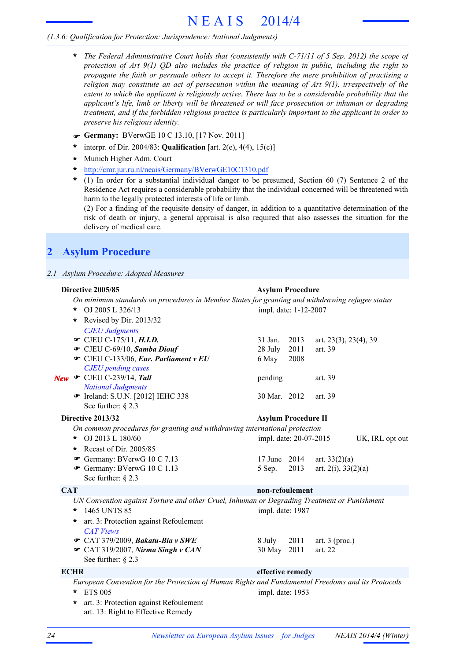#### *(1.3.6: Qualification for Protection: Jurisprudence: National Judgments)*

- *The Federal Administrative Court holds that (consistently with C-71/11 of 5 Sep. 2012) the scope of* **\*** *protection of Art 9(1) QD also includes the practice of religion in public, including the right to propagate the faith or persuade others to accept it. Therefore the mere prohibition of practising a religion may constitute an act of persecution within the meaning of Art 9(1), irrespectively of the extent to which the applicant is religiously active. There has to be a considerable probability that the applicant's life, limb or liberty will be threatened or will face prosecution or inhuman or degrading treatment, and if the forbidden religious practice is particularly important to the applicant in order to preserve his religious identity.*
- F **Germany:** BVerwGE 10 C 13.10, [17 Nov. 2011]
- interpr. of Dir. 2004/83: **Qualification** [art. 2(e), 4(4), 15(c)] **\***
- Munich Higher Adm. Court **\***
- http://cmr.jur.ru.nl/neais/Germany/BVerwGE10C1310.pdf **\***
- (1) In order for a substantial individual danger to be presumed, Section 60 (7) Sentence 2 of the Residence Act requires a considerable probability that the individual concerned will be threatened with harm to the legally protected interests of life or limb. **\***

(2) For a finding of the requisite density of danger, in addition to a quantitative determination of the risk of death or injury, a general appraisal is also required that also assesses the situation for the delivery of medical care.

## **2 Asylum Procedure**

|  |  | 2.1 Asylum Procedure: Adopted Measures |
|--|--|----------------------------------------|

#### **Directive 2005/85 Asylum Procedure**

# *On minimum standards on procedures in Member States for granting and withdrawing refugee status*

|            | OJ 2005 L 326/13<br>*                                                                             | impl. date: 1-12-2007      |      |                          |  |
|------------|---------------------------------------------------------------------------------------------------|----------------------------|------|--------------------------|--|
|            | Revised by Dir. 2013/32<br>$\ast$                                                                 |                            |      |                          |  |
|            | <b>CJEU Judgments</b>                                                                             |                            |      |                          |  |
|            | • CJEU C-175/11, <i>H.I.D.</i>                                                                    | 31 Jan.                    | 2013 | art. 23(3), 23(4), 39    |  |
|            | CJEU C-69/10, Samba Diouf                                                                         | 28 July                    | 2011 | art. 39                  |  |
|            | CJEU C-133/06, Eur. Parliament v EU                                                               | 6 May                      | 2008 |                          |  |
|            | <b>CJEU</b> pending cases                                                                         |                            |      |                          |  |
|            | New $\bullet$ CJEU C-239/14, Tall                                                                 | pending                    |      | art. 39                  |  |
|            | <b>National Judgments</b>                                                                         |                            |      |                          |  |
|            | Treland: S.U.N. [2012] IEHC 338                                                                   | 30 Mar. 2012               |      | art. 39                  |  |
|            | See further: $\S$ 2.3                                                                             |                            |      |                          |  |
|            | Directive 2013/32                                                                                 | <b>Asylum Procedure II</b> |      |                          |  |
|            | On common procedures for granting and withdrawing international protection                        |                            |      |                          |  |
|            | OJ 2013 L 180/60<br>*                                                                             | impl. date: 20-07-2015     |      | UK, IRL opt out          |  |
|            | Recast of Dir. 2005/85<br>$\ast$                                                                  |                            |      |                          |  |
|            | Germany: BVerwG 10 C 7.13                                                                         | 17 June 2014               |      | art. $33(2)(a)$          |  |
|            | Germany: BVerwG 10 C 1.13                                                                         | 5 Sep.                     | 2013 | art. $2(i)$ , $33(2)(a)$ |  |
|            | See further: $\S$ 2.3                                                                             |                            |      |                          |  |
| <b>CAT</b> |                                                                                                   | non-refoulement            |      |                          |  |
|            | UN Convention against Torture and other Cruel, Inhuman or Degrading Treatment or Punishment       |                            |      |                          |  |
|            | 1465 UNTS 85<br>$\ast$                                                                            | impl. date: 1987           |      |                          |  |
|            | art. 3: Protection against Refoulement<br>$\star$                                                 |                            |      |                          |  |
|            | <b>CAT Views</b>                                                                                  |                            |      |                          |  |
|            | CAT 379/2009, Bakatu-Bia v SWE                                                                    | 8 July                     | 2011 | art. $3$ (proc.)         |  |
|            | $\bullet$ CAT 319/2007, Nirma Singh v CAN                                                         | 30 May 2011                |      | art. 22                  |  |
|            | See further: $\S$ 2.3                                                                             |                            |      |                          |  |
|            | <b>ECHR</b>                                                                                       | effective remedy           |      |                          |  |
|            | European Convention for the Protection of Human Rights and Fundamental Freedoms and its Protocols |                            |      |                          |  |
|            | <b>ETS 005</b><br>$\star$                                                                         | impl. date: 1953           |      |                          |  |
|            | art. 3: Protection against Refoulement<br>$\ast$                                                  |                            |      |                          |  |

art. 13: Right to Effective Remedy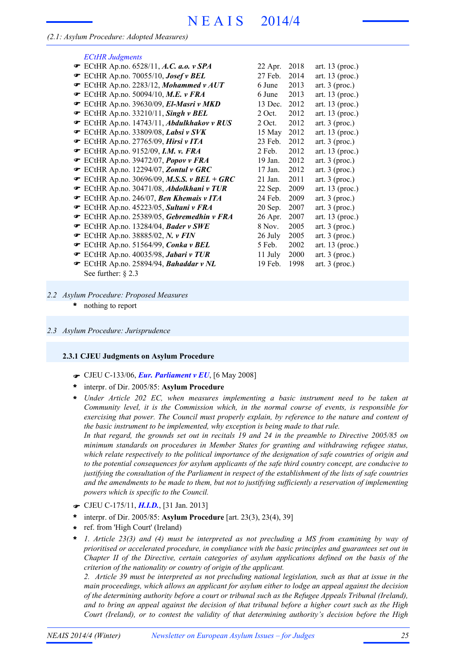#### *(2.1: Asylum Procedure: Adopted Measures)*

### *ECtHR Judgments* **EXTER Ap.no. 6528/11, A.C. a.o. v SPA** 22 Apr. 2018 art. 13 (proc.) **EXECTER Ap.no. 70055/10,** *Josef v BEL* 27 Feb. 2014 art. 13 (proc.)

- $\bullet$  ECtHR Ap.no. 2283/12, *Mohammed v AUT* 6 June 2013 art. 3 (proc.)
- **EXTER Ap.no. 50094/10, M.E. v FRA** 6 June 2013 art. 13 (proc.)
- **EXTER Ap.no. 39630/09,** *El-Masri v MKD* 13 Dec. 2012 art. 13 (proc.)
- **EXTER Ap.no. 33210/11,** *Singh v BEL* 2 Oct. 2012 art. 13 (proc.)
- **■** ECtHR Ap.no. 14743/11, *Abdulkhakov v RUS* 2 Oct. 2012 art. 3 (proc.)
- **■** ECtHR Ap.no. 33809/08, *Labsi v SVK* 15 May 2012 art. 13 (proc.)
- **■** ECtHR Ap.no. 27765/09, *Hirsi v ITA* 23 Feb. 2012 art. 3 (proc.)
- **■** ECtHR Ap.no. 9152/09, *I.M. v. FRA* 2 Feb. 2012 art. 13 (proc.)
- ECtHR Ap.no. 39472/07, *Popov v FRA* 19 Jan. 2012 art. 3 (proc.) F
- **■** ECtHR Ap.no. 12294/07, **Zontul v GRC** 17 Jan. 2012 art. 3 (proc.)
- $\text{F}$  ECtHR Ap.no. 30696/09, *M.S.S. v BEL* + GRC 21 Jan. 2011 art. 3 (proc.) ECtHR Ap.no. 30471/08, *Abdolkhani v TUR* 22 Sep. 2009 art. 13 (proc.) F
- ECtHR Ap.no. 246/07, *Ben Khemais v ITA* 24 Feb. 2009 art. 3 (proc.) F
- ECtHR Ap.no. 45223/05, *Sultani v FRA* 20 Sep. 2007 art. 3 (proc.) F
- ECtHR Ap.no. 25389/05, *Gebremedhin v FRA* 26 Apr. 2007 art. 13 (proc.) F
- **■** ECtHR Ap.no. 13284/04, *Bader v SWE* 8 Nov. 2005 art. 3 (proc.)
- **■** ECtHR Ap.no. 38885/02, *N. v FIN* 26 July 2005 art. 3 (proc.)
- **■** ECtHR Ap.no. 51564/99, *Conka v BEL* 5 Feb. 2002 art. 13 (proc.)
- **■** ECtHR Ap.no. 40035/98, *Jabari v TUR* 11 July 2000 art. 3 (proc.)
- **■** ECtHR Ap.no. 25894/94, **Bahaddar v NL** 19 Feb. 1998 art. 3 (proc.) See further: § 2.3
- *2.2 Asylum Procedure: Proposed Measures*
	- nothing to report **\***
- *2.3 Asylum Procedure: Jurisprudence*

#### **2.3.1 CJEU Judgments on Asylum Procedure**

- F CJEU C-133/06, *Eur. Parliament v EU*, [6 May 2008]
- interpr. of Dir. 2005/85: **Asylum Procedure \***
- *Under Article 202 EC, when measures implementing a basic instrument need to be taken at Community level, it is the Commission which, in the normal course of events, is responsible for exercising that power. The Council must properly explain, by reference to the nature and content of the basic instrument to be implemented, why exception is being made to that rule.* **\***

In that regard, the grounds set out in recitals 19 and 24 in the preamble to Directive 2005/85 on *minimum standards on procedures in Member States for granting and withdrawing refugee status, which relate respectively to the political importance of the designation of safe countries of origin and to the potential consequences for asylum applicants of the safe third country concept, are conducive to* justifying the consultation of the Parliament in respect of the establishment of the lists of safe countries *and the amendments to be made to them, but not to justifying sufficiently a reservation of implementing powers which is specific to the Council.*

- F CJEU C-175/11, *H.I.D.*, [31 Jan. 2013]
- interpr. of Dir. 2005/85: **Asylum Procedure** [art. 23(3), 23(4), 39] **\***
- ref. from 'High Court' (Ireland) **\***
- *1. Article 23(3) and (4) must be interpreted as not precluding a MS from examining by way of prioritised or accelerated procedure, in compliance with the basic principles and guarantees set out in Chapter II of the Directive, certain categories of asylum applications defined on the basis of the criterion of the nationality or country of origin of the applicant.* **\***

2. Article 39 must be interpreted as not precluding national legislation, such as that at issue in the *main proceedings, which allows an applicant for asylum either to lodge an appeal against the decision of the determining authority before a court or tribunal such as the Refugee Appeals Tribunal (Ireland),* and to bring an appeal against the decision of that tribunal before a higher court such as the High *Court (Ireland), or to contest the validity of that determining authority's decision before the High*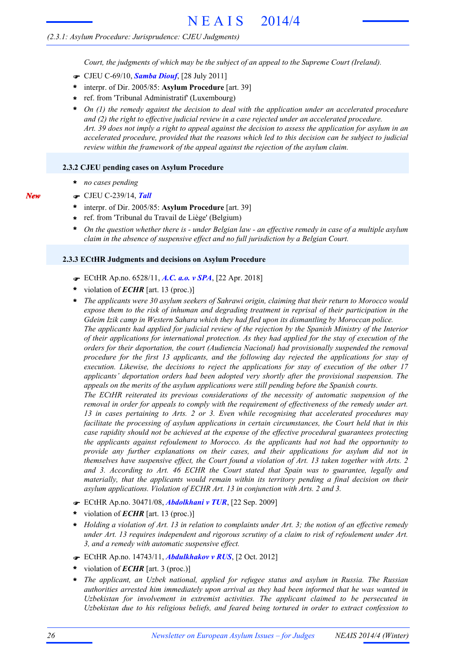*Court, the judgments of which may be the subject of an appeal to the Supreme Court (Ireland).*

- F CJEU C-69/10, *Samba Diouf*, [28 July 2011]
- interpr. of Dir. 2005/85: **Asylum Procedure** [art. 39] **\***
- ref. from 'Tribunal Administratif' (Luxembourg) **\***
- *On (1) the remedy against the decision to deal with the application under an accelerated procedure and (2) the right to effective judicial review in a case rejected under an accelerated procedure.* Art. 39 does not imply a right to appeal against the decision to assess the application for asylum in an *accelerated procedure, provided that the reasons which led to this decision can be subject to judicial review within the framework of the appeal against the rejection of the asylum claim.* **\***

#### **2.3.2 CJEU pending cases on Asylum Procedure**

- **\*** *no cases pending*
- F CJEU C-239/14, *Tall*
- interpr. of Dir. 2005/85: **Asylum Procedure** [art. 39] **\***
- ref. from 'Tribunal du Travail de Liège' (Belgium) **\***
- On the question whether there is under Belgian law an effective remedy in case of a multiple asylum *claim in the absence of suspensive effect and no full jurisdiction by a Belgian Court.* **\***

#### **2.3.3 ECtHR Judgments and decisions on Asylum Procedure**

- F ECtHR Ap.no. 6528/11, *A.C. a.o. v SPA*, [22 Apr. 2018]
- violation of *ECHR* [art. 13 (proc.)] **\***
- *The applicants were 30 asylum seekers of Sahrawi origin, claiming that their return to Morocco would expose them to the risk of inhuman and degrading treatment in reprisal of their participation in the Gdeim Izik camp in Western Sahara which they had fled upon its dismantling by Moroccan police. The applicants had applied for judicial review of the rejection by the Spanish Ministry of the Interior of their applications for international protection. As they had applied for the stay of execution of the orders for their deportation, the court (Audiencia Nacional) had provisionally suspended the removal procedure for the first 13 applicants, and the following day rejected the applications for stay of execution. Likewise, the decisions to reject the applications for stay of execution of the other 17 applicants' deportation orders had been adopted very shortly after the provisional suspension. The appeals on the merits of the asylum applications were still pending before the Spanish courts.* **\***

*The ECtHR reiterated its previous considerations of the necessity of automatic suspension of the removal in order for appeals to comply with the requirement of effectiveness of the remedy under art. 13 in cases pertaining to Arts. 2 or 3. Even while recognising that accelerated procedures may facilitate the processing of asylum applications in certain circumstances, the Court held that in this case rapidity should not be achieved at the expense of the effective procedural guarantees protecting the applicants against refoulement to Morocco. As the applicants had not had the opportunity to provide any further explanations on their cases, and their applications for asylum did not in themselves have suspensive effect, the Court found a violation of Art. 13 taken together with Arts. 2 and 3. According to Art. 46 ECHR the Court stated that Spain was to guarantee, legally and materially, that the applicants would remain within its territory pending a final decision on their asylum applications. Violation of ECHR Art. 13 in conjunction with Arts. 2 and 3.*

- F ECtHR Ap.no. 30471/08, *Abdolkhani v TUR*, [22 Sep. 2009]
- violation of *ECHR* [art. 13 (proc.)] **\***
- Holding a violation of Art. 13 in relation to complaints under Art. 3; the notion of an effective remedy *under Art. 13 requires independent and rigorous scrutiny of a claim to risk of refoulement under Art. 3, and a remedy with automatic suspensive effect.* **\***
- F ECtHR Ap.no. 14743/11, *Abdulkhakov v RUS*, [2 Oct. 2012]
- violation of *ECHR* [art. 3 (proc.)] **\***
- *The applicant, an Uzbek national, applied for refugee status and asylum in Russia. The Russian authorities arrested him immediately upon arrival as they had been informed that he was wanted in Uzbekistan for involvement in extremist activities. The applicant claimed to be persecuted in Uzbekistan due to his religious beliefs, and feared being tortured in order to extract confession to* **\***

*New*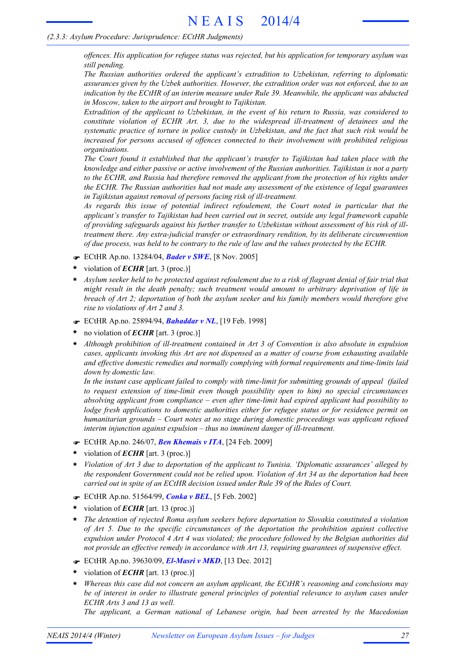*offences. His application for refugee status was rejected, but his application for temporary asylum was still pending.*

*The Russian authorities ordered the applicant's extradition to Uzbekistan, referring to diplomatic assurances given by the Uzbek authorities. However, the extradition order was not enforced, due to an indication by the ECtHR of an interim measure under Rule 39. Meanwhile, the applicant was abducted in Moscow, taken to the airport and brought to Tajikistan.*

*Extradition of the applicant to Uzbekistan, in the event of his return to Russia, was considered to constitute violation of ECHR Art. 3, due to the widespread ill-treatment of detainees and the systematic practice of torture in police custody in Uzbekistan, and the fact that such risk would be increased for persons accused of offences connected to their involvement with prohibited religious organisations.*

*The Court found it established that the applicant's transfer to Tajikistan had taken place with the knowledge and either passive or active involvement of the Russian authorities. Tajikistan is not a party to the ECHR, and Russia had therefore removed the applicant from the protection of his rights under the ECHR. The Russian authorities had not made any assessment of the existence of legal guarantees in Tajikistan against removal of persons facing risk of ill-treatment.*

*As regards this issue of potential indirect refoulement, the Court noted in particular that the applicant's transfer to Tajikistan had been carried out in secret, outside any legal framework capable of providing safeguards against his further transfer to Uzbekistan without assessment of his risk of illtreatment there. Any extra-judicial transfer or extraordinary rendition, by its deliberate circumvention of due process, was held to be contrary to the rule of law and the values protected by the ECHR.*

- F ECtHR Ap.no. 13284/04, *Bader v SWE*, [8 Nov. 2005]
- violation of *ECHR* [art. 3 (proc.)] **\***
- Asylum seeker held to be protected against refoulement due to a risk of flagrant denial of fair trial that *might result in the death penalty; such treatment would amount to arbitrary deprivation of life in breach of Art 2; deportation of both the asylum seeker and his family members would therefore give rise to violations of Art 2 and 3.* **\***
- F ECtHR Ap.no. 25894/94, *Bahaddar v NL*, [19 Feb. 1998]
- no violation of *ECHR* [art. 3 (proc.)] **\***
- *Although prohibition of ill-treatment contained in Art 3 of Convention is also absolute in expulsion cases, applicants invoking this Art are not dispensed as a matter of course from exhausting available and effective domestic remedies and normally complying with formal requirements and time-limits laid down by domestic law.* **\***

*In the instant case applicant failed to comply with time-limit for submitting grounds of appeal (failed to request extension of time-limit even though possibility open to him) no special circumstances absolving applicant from compliance – even after time-limit had expired applicant had possibility to lodge fresh applications to domestic authorities either for refugee status or for residence permit on humanitarian grounds – Court notes at no stage during domestic proceedings was applicant refused interim injunction against expulsion – thus no imminent danger of ill-treatment.*

- F ECtHR Ap.no. 246/07, *Ben Khemais v ITA*, [24 Feb. 2009]
- violation of *ECHR* [art. 3 (proc.)] **\***
- *Violation of Art 3 due to deportation of the applicant to Tunisia. 'Diplomatic assurances' alleged by the respondent Government could not be relied upon. Violation of Art 34 as the deportation had been carried out in spite of an ECtHR decision issued under Rule 39 of the Rules of Court.* **\***
- F ECtHR Ap.no. 51564/99, *Conka v BEL*, [5 Feb. 2002]
- violation of *ECHR* [art. 13 (proc.)] **\***
- *The detention of rejected Roma asylum seekers before deportation to Slovakia constituted a violation of Art 5. Due to the specific circumstances of the deportation the prohibition against collective expulsion under Protocol 4 Art 4 was violated; the procedure followed by the Belgian authorities did not provide an effective remedy in accordance with Art 13, requiring guarantees of suspensive effect.* **\***
- F ECtHR Ap.no. 39630/09, *El-Masri v MKD*, [13 Dec. 2012]
- violation of *ECHR* [art. 13 (proc.)] **\***
- *Whereas this case did not concern an asylum applicant, the ECtHR's reasoning and conclusions may be of interest in order to illustrate general principles of potential relevance to asylum cases under ECHR Arts 3 and 13 as well.* **\***

*The applicant, a German national of Lebanese origin, had been arrested by the Macedonian*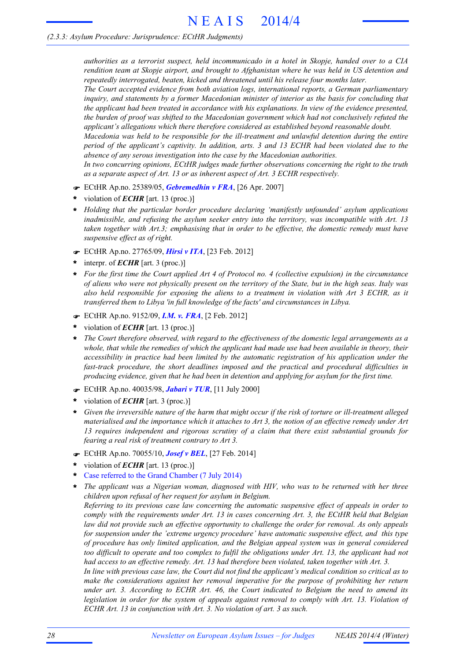*authorities as a terrorist suspect, held incommunicado in a hotel in Skopje, handed over to a CIA rendition team at Skopje airport, and brought to Afghanistan where he was held in US detention and repeatedly interrogated, beaten, kicked and threatened until his release four months later.*

*The Court accepted evidence from both aviation logs, international reports, a German parliamentary inquiry, and statements by a former Macedonian minister of interior as the basis for concluding that the applicant had been treated in accordance with his explanations. In view of the evidence presented, the burden of proof was shifted to the Macedonian government which had not conclusively refuted the applicant's allegations which there therefore considered as established beyond reasonable doubt.*

*Macedonia was held to be responsible for the ill-treatment and unlawful detention during the entire period of the applicant's captivity. In addition, arts. 3 and 13 ECHR had been violated due to the absence of any serous investigation into the case by the Macedonian authorities.*

*In two concurring opinions, ECtHR judges made further observations concerning the right to the truth as a separate aspect of Art. 13 or as inherent aspect of Art. 3 ECHR respectively.*

- F ECtHR Ap.no. 25389/05, *Gebremedhin v FRA*, [26 Apr. 2007]
- violation of *ECHR* [art. 13 (proc.)] **\***
- *Holding that the particular border procedure declaring 'manifestly unfounded' asylum applications inadmissible, and refusing the asylum seeker entry into the territory, was incompatible with Art. 13 taken together with Art.3; emphasising that in order to be effective, the domestic remedy must have suspensive effect as of right.* **\***
- F ECtHR Ap.no. 27765/09, *Hirsi v ITA*, [23 Feb. 2012]
- interpr. of *ECHR* [art. 3 (proc.)] **\***
- For the first time the Court applied Art 4 of Protocol no. 4 (collective expulsion) in the circumstance of aliens who were not physically present on the territory of the State, but in the high seas. Italy was *also held responsible for exposing the aliens to a treatment in violation with Art 3 ECHR, as it transferred them to Libya 'in full knowledge of the facts' and circumstances in Libya.* **\***
- F ECtHR Ap.no. 9152/09, *I.M. v. FRA*, [2 Feb. 2012]
- violation of *ECHR* [art. 13 (proc.)] **\***
- *The Court therefore observed, with regard to the effectiveness of the domestic legal arrangements as a* whole, that while the remedies of which the applicant had made use had been available in theory, their *accessibility in practice had been limited by the automatic registration of his application under the fast-track procedure, the short deadlines imposed and the practical and procedural difficulties in producing evidence, given that he had been in detention and applying for asylum for the first time.* **\***
- F ECtHR Ap.no. 40035/98, *Jabari v TUR*, [11 July 2000]
- violation of *ECHR* [art. 3 (proc.)] **\***
- Given the irreversible nature of the harm that might occur if the risk of torture or ill-treatment alleged materialised and the importance which it attaches to Art 3, the notion of an effective remedy under Art *13 requires independent and rigorous scrutiny of a claim that there exist substantial grounds for fearing a real risk of treatment contrary to Art 3.* **\***
- F ECtHR Ap.no. 70055/10, *Josef v BEL*, [27 Feb. 2014]
- violation of *ECHR* [art. 13 (proc.)] **\***
- Case referred to the Grand Chamber (7 July 2014) **\***
- *The applicant was a Nigerian woman, diagnosed with HIV, who was to be returned with her three children upon refusal of her request for asylum in Belgium.* **\***

*Referring to its previous case law concerning the automatic suspensive effect of appeals in order to comply with the requirements under Art. 13 in cases concerning Art. 3, the ECtHR held that Belgian law did not provide such an effective opportunity to challenge the order for removal. As only appeals for suspension under the 'extreme urgency procedure' have automatic suspensive effect, and this type of procedure has only limited application, and the Belgian appeal system was in general considered* too difficult to operate and too complex to fulfil the obligations under Art. 13, the applicant had not *had access to an effective remedy. Art. 13 had therefore been violated, taken together with Art. 3.*

In line with previous case law, the Court did not find the applicant's medical condition so critical as to *make the considerations against her removal imperative for the purpose of prohibiting her return under art. 3. According to ECHR Art. 46, the Court indicated to Belgium the need to amend its legislation in order for the system of appeals against removal to comply with Art. 13. Violation of ECHR Art. 13 in conjunction with Art. 3. No violation of art. 3 as such.*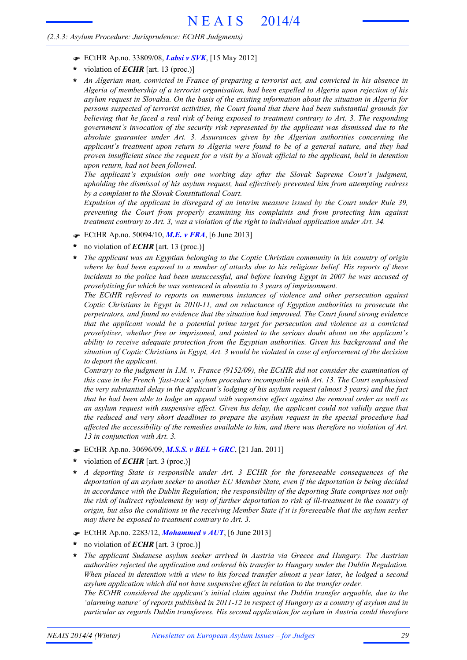- F ECtHR Ap.no. 33809/08, *Labsi v SVK*, [15 May 2012]
- violation of *ECHR* [art. 13 (proc.)] **\***
- *An Algerian man, convicted in France of preparing a terrorist act, and convicted in his absence in Algeria of membership of a terrorist organisation, had been expelled to Algeria upon rejection of his asylum request in Slovakia. On the basis of the existing information about the situation in Algeria for persons suspected of terrorist activities, the Court found that there had been substantial grounds for* believing that he faced a real risk of being exposed to treatment contrary to Art. 3. The responding *government's invocation of the security risk represented by the applicant was dismissed due to the absolute guarantee under Art. 3. Assurances given by the Algerian authorities concerning the applicant's treatment upon return to Algeria were found to be of a general nature, and they had* proven insufficient since the request for a visit by a Slovak official to the applicant, held in detention *upon return, had not been followed.* **\***

*The applicant's expulsion only one working day after the Slovak Supreme Court's judgment, upholding the dismissal of his asylum request, had effectively prevented him from attempting redress by a complaint to the Slovak Constitutional Court.*

*Expulsion of the applicant in disregard of an interim measure issued by the Court under Rule 39, preventing the Court from properly examining his complaints and from protecting him against treatment contrary to Art. 3, was a violation of the right to individual application under Art. 34.*

- F ECtHR Ap.no. 50094/10, *M.E. v FRA*, [6 June 2013]
- no violation of *ECHR* [art. 13 (proc.)] **\***
- *The applicant was an Egyptian belonging to the Coptic Christian community in his country of origin* where he had been exposed to a number of attacks due to his religious belief. His reports of these *incidents to the police had been unsuccessful, and before leaving Egypt in 2007 he was accused of proselytizing for which he was sentenced in absentia to 3 years of imprisonment.* **\***

*The ECtHR referred to reports on numerous instances of violence and other persecution against Coptic Christians in Egypt in 2010-11, and on reluctance of Egyptian authorities to prosecute the perpetrators, and found no evidence that the situation had improved. The Court found strong evidence that the applicant would be a potential prime target for persecution and violence as a convicted proselytizer, whether free or imprisoned, and pointed to the serious doubt about on the applicant's ability to receive adequate protection from the Egyptian authorities. Given his background and the* situation of Coptic Christians in Egypt, Art. 3 would be violated in case of enforcement of the decision *to deport the applicant.*

*Contrary to the judgment in I.M. v. France (9152/09), the ECtHR did not consider the examination of this case in the French 'fast-track' asylum procedure incompatible with Art. 13. The Court emphasised* the very substantial delay in the applicant's lodging of his asylum request (almost 3 years) and the fact that he had been able to lodge an appeal with suspensive effect against the removal order as well as *an asylum request with suspensive effect. Given his delay, the applicant could not validly argue that the reduced and very short deadlines to prepare the asylum request in the special procedure had affected the accessibility of the remedies available to him, and there was therefore no violation of Art. 13 in conjunction with Art. 3.*

- F ECtHR Ap.no. 30696/09, *M.S.S. v BEL + GRC*, [21 Jan. 2011]
- violation of *ECHR* [art. 3 (proc.)] **\***
- *A deporting State is responsible under Art. 3 ECHR for the foreseeable consequences of the deportation of an asylum seeker to another EU Member State, even if the deportation is being decided in accordance with the Dublin Regulation; the responsibility of the deporting State comprises not only* the risk of indirect refoulement by way of further deportation to risk of ill-treatment in the country of origin, but also the conditions in the receiving Member State if it is foreseeable that the asylum seeker *may there be exposed to treatment contrary to Art. 3.* **\***
- F ECtHR Ap.no. 2283/12, *Mohammed v AUT*, [6 June 2013]
- no violation of *ECHR* [art. 3 (proc.)] **\***
- *The applicant Sudanese asylum seeker arrived in Austria via Greece and Hungary. The Austrian authorities rejected the application and ordered his transfer to Hungary under the Dublin Regulation.* When placed in detention with a view to his forced transfer almost a year later, he lodged a second *asylum application which did not have suspensive effect in relation to the transfer order. The ECtHR considered the applicant's initial claim against the Dublin transfer arguable, due to the* **\***

'alarming nature' of reports published in 2011-12 in respect of Hungary as a country of asylum and in *particular as regards Dublin transferees. His second application for asylum in Austria could therefore*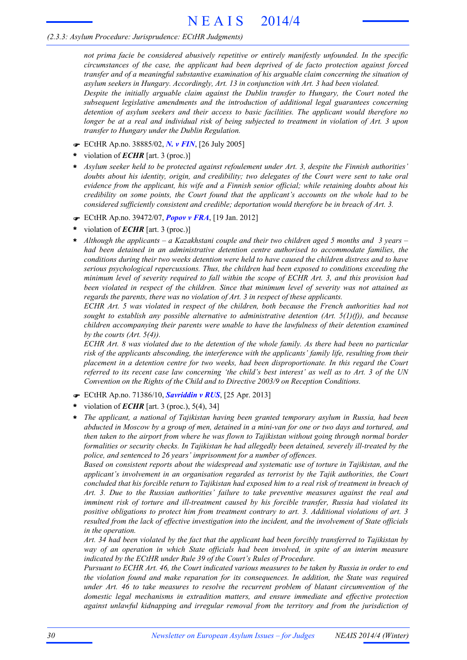*not prima facie be considered abusively repetitive or entirely manifestly unfounded. In the specific circumstances of the case, the applicant had been deprived of de facto protection against forced transfer and of a meaningful substantive examination of his arguable claim concerning the situation of asylum seekers in Hungary. Accordingly, Art. 13 in conjunction with Art. 3 had been violated. Despite the initially arguable claim against the Dublin transfer to Hungary, the Court noted the subsequent legislative amendments and the introduction of additional legal guarantees concerning detention of asylum seekers and their access to basic facilities. The applicant would therefore no* longer be at a real and individual risk of being subjected to treatment in violation of Art. 3 upon *transfer to Hungary under the Dublin Regulation.*

- F ECtHR Ap.no. 38885/02, *N. v FIN*, [26 July 2005]
- violation of *ECHR* [art. 3 (proc.)] **\***
- *Asylum seeker held to be protected against refoulement under Art. 3, despite the Finnish authorities' doubts about his identity, origin, and credibility; two delegates of the Court were sent to take oral evidence from the applicant, his wife and a Finnish senior official; while retaining doubts about his credibility on some points, the Court found that the applicant's accounts on the whole had to be considered sufficiently consistent and credible; deportation would therefore be in breach of Art. 3.* **\***
- F ECtHR Ap.no. 39472/07, *Popov v FRA*, [19 Jan. 2012]
- violation of *ECHR* [art. 3 (proc.)] **\***
- *Although the applicants – a Kazakhstani couple and their two children aged 5 months and 3 years – had been detained in an administrative detention centre authorised to accommodate families, the conditions during their two weeks detention were held to have caused the children distress and to have serious psychological repercussions. Thus, the children had been exposed to conditions exceeding the minimum level of severity required to fall within the scope of ECHR Art. 3, and this provision had been violated in respect of the children. Since that minimum level of severity was not attained as regards the parents, there was no violation of Art. 3 in respect of these applicants.* **\***

*ECHR Art. 5 was violated in respect of the children, both because the French authorities had not sought to establish any possible alternative to administrative detention (Art. 5(1)(f)), and because children accompanying their parents were unable to have the lawfulness of their detention examined by the courts (Art. 5(4)).*

ECHR Art. 8 was violated due to the detention of the whole family. As there had been no particular *risk of the applicants absconding, the interference with the applicants' family life, resulting from their placement in a detention centre for two weeks, had been disproportionate. In this regard the Court* referred to its recent case law concerning 'the child's best interest' as well as to Art. 3 of the UN *Convention on the Rights of the Child and to Directive 2003/9 on Reception Conditions.*

- F ECtHR Ap.no. 71386/10, *Savriddin v RUS*, [25 Apr. 2013]
- violation of *ECHR* [art. 3 (proc.), 5(4), 34] **\***
- *The applicant, a national of Tajikistan having been granted temporary asylum in Russia, had been* abducted in Moscow by a group of men, detained in a mini-van for one or two days and tortured, and *then taken to the airport from where he was flown to Tajikistan without going through normal border formalities or security checks. In Tajikistan he had allegedly been detained, severely ill-treated by the police, and sentenced to 26 years' imprisonment for a number of offences.* **\***

*Based on consistent reports about the widespread and systematic use of torture in Tajikistan, and the applicant's involvement in an organisation regarded as terrorist by the Tajik authorities, the Court* concluded that his forcible return to Tajikistan had exposed him to a real risk of treatment in breach of *Art. 3. Due to the Russian authorities' failure to take preventive measures against the real and imminent risk of torture and ill-treatment caused by his forcible transfer, Russia had violated its positive obligations to protect him from treatment contrary to art. 3. Additional violations of art. 3 resulted from the lack of effective investigation into the incident, and the involvement of State officials in the operation.*

Art. 34 had been violated by the fact that the applicant had been forcibly transferred to Tajikistan by *way of an operation in which State officials had been involved, in spite of an interim measure indicated by the ECtHR under Rule 39 of the Court's Rules of Procedure.*

Pursuant to ECHR Art. 46, the Court indicated various measures to be taken by Russia in order to end *the violation found and make reparation for its consequences. In addition, the State was required under Art. 46 to take measures to resolve the recurrent problem of blatant circumvention of the domestic legal mechanisms in extradition matters, and ensure immediate and effective protection against unlawful kidnapping and irregular removal from the territory and from the jurisdiction of*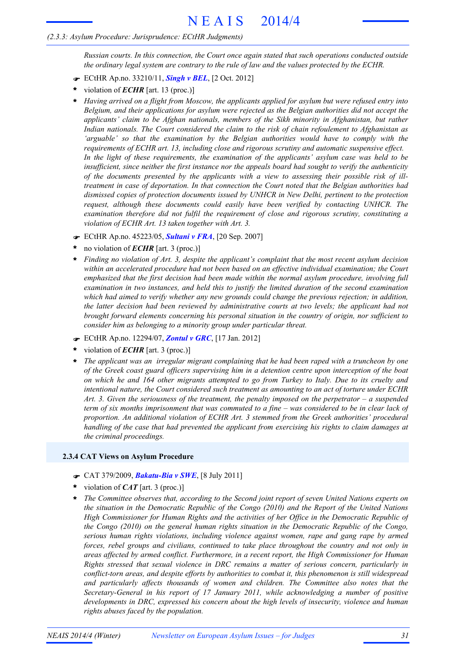*Russian courts. In this connection, the Court once again stated that such operations conducted outside the ordinary legal system are contrary to the rule of law and the values protected by the ECHR.*

- F ECtHR Ap.no. 33210/11, *Singh v BEL*, [2 Oct. 2012]
- violation of *ECHR* [art. 13 (proc.)] **\***
- *Having arrived on a flight from Moscow, the applicants applied for asylum but were refused entry into Belgium, and their applications for asylum were rejected as the Belgian authorities did not accept the applicants' claim to be Afghan nationals, members of the Sikh minority in Afghanistan, but rather Indian nationals. The Court considered the claim to the risk of chain refoulement to Afghanistan as 'arguable' so that the examination by the Belgian authorities would have to comply with the requirements of ECHR art. 13, including close and rigorous scrutiny and automatic suspensive effect. In the light of these requirements, the examination of the applicants' asylum case was held to be insufficient, since neither the first instance nor the appeals board had sought to verify the authenticity of the documents presented by the applicants with a view to assessing their possible risk of illtreatment in case of deportation. In that connection the Court noted that the Belgian authorities had dismissed copies of protection documents issued by UNHCR in New Delhi, pertinent to the protection request, although these documents could easily have been verified by contacting UNHCR. The examination therefore did not fulfil the requirement of close and rigorous scrutiny, constituting a violation of ECHR Art. 13 taken together with Art. 3.* **\***
- F ECtHR Ap.no. 45223/05, *Sultani v FRA*, [20 Sep. 2007]
- no violation of *ECHR* [art. 3 (proc.)] **\***
- *Finding no violation of Art. 3, despite the applicant's complaint that the most recent asylum decision within an accelerated procedure had not been based on an effective individual examination; the Court emphasized that the first decision had been made within the normal asylum procedure, involving full examination in two instances, and held this to justify the limited duration of the second examination which had aimed to verify whether any new grounds could change the previous rejection; in addition, the latter decision had been reviewed by administrative courts at two levels; the applicant had not brought forward elements concerning his personal situation in the country of origin, nor sufficient to consider him as belonging to a minority group under particular threat.* **\***
- F ECtHR Ap.no. 12294/07, *Zontul v GRC*, [17 Jan. 2012]
- violation of *ECHR* [art. 3 (proc.)] **\***
- *The applicant was an irregular migrant complaining that he had been raped with a truncheon by one of the Greek coast guard officers supervising him in a detention centre upon interception of the boat* on which he and 164 other migrants attempted to go from Turkey to Italy. Due to its cruelty and *intentional nature, the Court considered such treatment as amounting to an act of torture under ECHR Art. 3. Given the seriousness of the treatment, the penalty imposed on the perpetrator – a suspended* term of six months imprisonment that was commuted to a fine  $-$  was considered to be in clear lack of *proportion. An additional violation of ECHR Art. 3 stemmed from the Greek authorities' procedural handling of the case that had prevented the applicant from exercising his rights to claim damages at the criminal proceedings.* **\***

#### **2.3.4 CAT Views on Asylum Procedure**

- F CAT 379/2009, *Bakatu-Bia v SWE*, [8 July 2011]
- violation of *CAT* [art. 3 (proc.)] **\***
- *The Committee observes that, according to the Second joint report of seven United Nations experts on* **\*** *the situation in the Democratic Republic of the Congo (2010) and the Report of the United Nations High Commissioner for Human Rights and the activities of her Office in the Democratic Republic of the Congo (2010) on the general human rights situation in the Democratic Republic of the Congo, serious human rights violations, including violence against women, rape and gang rape by armed forces, rebel groups and civilians, continued to take place throughout the country and not only in areas affected by armed conflict. Furthermore, in a recent report, the High Commissioner for Human Rights stressed that sexual violence in DRC remains a matter of serious concern, particularly in conflict-torn areas, and despite efforts by authorities to combat it, this phenomenon is still widespread and particularly affects thousands of women and children. The Committee also notes that the Secretary-General in his report of 17 January 2011, while acknowledging a number of positive developments in DRC, expressed his concern about the high levels of insecurity, violence and human rights abuses faced by the population.*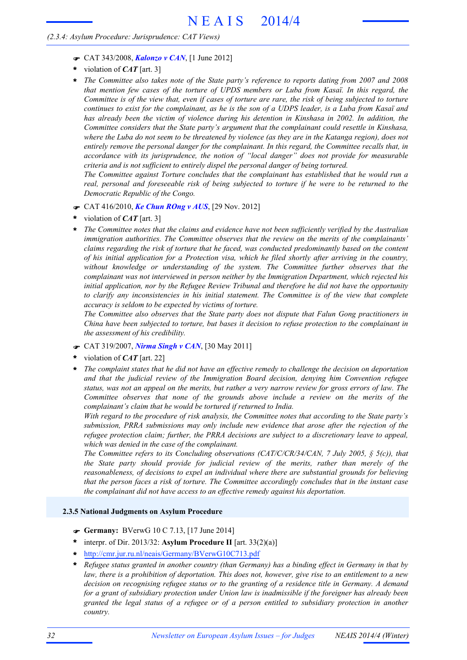#### *(2.3.4: Asylum Procedure: Jurisprudence: CAT Views)*

- F CAT 343/2008, *Kalonzo v CAN*, [1 June 2012]
- violation of *CAT* [art. 3] **\***
- *The Committee also takes note of the State party's reference to reports dating from 2007 and 2008 that mention few cases of the torture of UPDS members or Luba from Kasaï. In this regard, the* Committee is of the view that, even if cases of torture are rare, the risk of being subjected to torture continues to exist for the complainant, as he is the son of a UDPS leader, is a Luba from Kasaï and *has already been the victim of violence during his detention in Kinshasa in 2002. In addition, the Committee considers that the State party's argument that the complainant could resettle in Kinshasa,* where the Luba do not seem to be threatened by violence (as they are in the Katanga region), does not *entirely remove the personal danger for the complainant. In this regard, the Committee recalls that, in accordance with its jurisprudence, the notion of "local danger" does not provide for measurable criteria and is not sufficient to entirely dispel the personal danger of being tortured.* **\***

*The Committee against Torture concludes that the complainant has established that he would run a real, personal and foreseeable risk of being subjected to torture if he were to be returned to the Democratic Republic of the Congo.*

- F CAT 416/2010, *Ke Chun ROng v AUS*, [29 Nov. 2012]
- violation of *CAT* [art. 3] **\***
- *The Committee notes that the claims and evidence have not been sufficiently verified by the Australian immigration authorities. The Committee observes that the review on the merits of the complainants' claims regarding the risk of torture that he faced, was conducted predominantly based on the content of his initial application for a Protection visa, which he filed shortly after arriving in the country, without knowledge or understanding of the system. The Committee further observes that the complainant was not interviewed in person neither by the Immigration Department, which rejected his initial application, nor by the Refugee Review Tribunal and therefore he did not have the opportunity to clarify any inconsistencies in his initial statement. The Committee is of the view that complete accuracy is seldom to be expected by victims of torture.* **\***

*The Committee also observes that the State party does not dispute that Falun Gong practitioners in China have been subjected to torture, but bases it decision to refuse protection to the complainant in the assessment of his credibility.*

- F CAT 319/2007, *Nirma Singh v CAN*, [30 May 2011]
- violation of *CAT* [art. 22] **\***
- *The complaint states that he did not have an effective remedy to challenge the decision on deportation and that the judicial review of the Immigration Board decision, denying him Convention refugee* status, was not an appeal on the merits, but rather a very narrow review for gross errors of law. The *Committee observes that none of the grounds above include a review on the merits of the complainant's claim that he would be tortured if returned to India.* **\***

*With regard to the procedure of risk analysis, the Committee notes that according to the State party's submission, PRRA submissions may only include new evidence that arose after the rejection of the refugee protection claim; further, the PRRA decisions are subject to a discretionary leave to appeal, which was denied in the case of the complainant.*

*The Committee refers to its Concluding observations (CAT/C/CR/34/CAN, 7 July 2005, § 5(c)), that the State party should provide for judicial review of the merits, rather than merely of the reasonableness, of decisions to expel an individual where there are substantial grounds for believing that the person faces a risk of torture. The Committee accordingly concludes that in the instant case the complainant did not have access to an effective remedy against his deportation.*

#### **2.3.5 National Judgments on Asylum Procedure**

- F **Germany:** BVerwG 10 C 7.13, [17 June 2014]
- interpr. of Dir. 2013/32: **Asylum Procedure II** [art. 33(2)(a)] **\***
- **\*** http://cmr.jur.ru.nl/neais/Germany/BVerwG10C713.pdf
- \* Refugee status granted in another country (than Germany) has a binding effect in Germany in that by law, there is a prohibition of deportation. This does not, however, give rise to an entitlement to a new *decision on recognising refugee status or to the granting of a residence title in Germany. A demand for a grant of subsidiary protection under Union law is inadmissible if the foreigner has already been granted the legal status of a refugee or of a person entitled to subsidiary protection in another country.*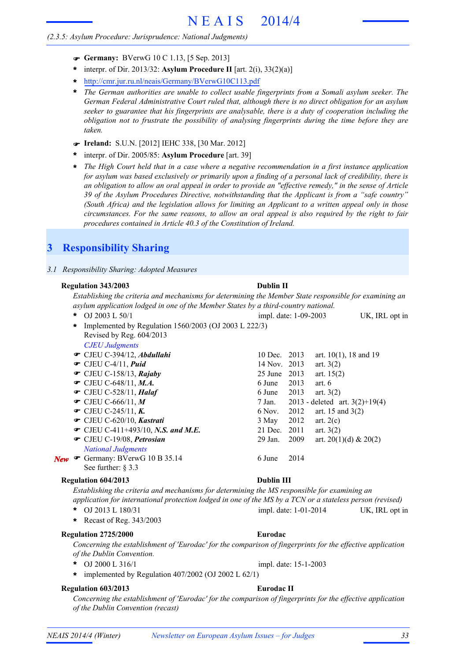#### *(2.3.5: Asylum Procedure: Jurisprudence: National Judgments)*

- F **Germany:** BVerwG 10 C 1.13, [5 Sep. 2013]
- interpr. of Dir. 2013/32: **Asylum Procedure II** [art. 2(i), 33(2)(a)] **\***
- **\*** http://cmr.jur.ru.nl/neais/Germany/BVerwG10C113.pdf
- *The German authorities are unable to collect usable fingerprints from a Somali asylum seeker. The German Federal Administrative Court ruled that, although there is no direct obligation for an asylum seeker to guarantee that his fingerprints are analysable, there is a duty of cooperation including the obligation not to frustrate the possibility of analysing fingerprints during the time before they are taken.* **\***
- F **Ireland:** S.U.N. [2012] IEHC 338, [30 Mar. 2012]
- interpr. of Dir. 2005/85: **Asylum Procedure** [art. 39] **\***
- \* The High Court held that in a case where a negative recommendation in a first instance application for asylum was based exclusively or primarily upon a finding of a personal lack of credibility, there is an obligation to allow an oral appeal in order to provide an "effective remedy," in the sense of Article *39 of the Asylum Procedures Directive, notwithstanding that the Applicant is from a "safe country" (South Africa) and the legislation allows for limiting an Applicant to a written appeal only in those circumstances. For the same reasons, to allow an oral appeal is also required by the right to fair procedures contained in Article 40.3 of the Constitution of Ireland.*

## **3 Responsibility Sharing**

*3.1 Responsibility Sharing: Adopted Measures*

#### **Regulation 343/2003 Dublin II**

*Establishing the criteria and mechanisms for determining the Member State responsible for examining an asylum application lodged in one of the Member States by a third-country national.*

|     | $\ast$  | OJ 2003 L 50/1                                        | impl. date: 1-09-2003 |      |                                         | UK, IRL opt in |
|-----|---------|-------------------------------------------------------|-----------------------|------|-----------------------------------------|----------------|
|     | $\star$ | Implemented by Regulation 1560/2003 (OJ 2003 L 222/3) |                       |      |                                         |                |
|     |         | Revised by Reg. 604/2013                              |                       |      |                                         |                |
|     |         | <b>CJEU Judgments</b>                                 |                       |      |                                         |                |
|     |         | CJEU C-394/12, Abdullahi                              | $10$ Dec.             | 2013 | art. $10(1)$ , 18 and 19                |                |
|     |         | $\bullet$ CJEU C-4/11, Puid                           | 14 Nov. 2013          |      | art. $3(2)$                             |                |
|     |         | $\bullet$ CJEU C-158/13, Rajaby                       | 25 June               | 2013 | art. $15(2)$                            |                |
|     |         | • CJEU C-648/11, <i>M.A.</i>                          | 6 June                | 2013 | art. $6$                                |                |
|     |         | $\bullet$ CJEU C-528/11, Halaf                        | 6 June                | 2013 | art. $3(2)$                             |                |
|     |         | $\bullet$ CJEU C-666/11, M                            |                       |      | 7 Jan. 2013 - deleted art. $3(2)+19(4)$ |                |
|     |         | • CJEU C-245/11, K.                                   | 6 Nov.                | 2012 | art. 15 and $3(2)$                      |                |
|     |         | CJEU C-620/10, Kastrati                               | 3 May                 | 2012 | art. $2(c)$                             |                |
|     |         | • CJEU C-411+493/10, N.S. and M.E.                    | 21 Dec.               | 2011 | art. $3(2)$                             |                |
|     |         | CJEU C-19/08, Petrosian                               | 29 Jan.               | 2009 | art. 20(1)(d) & 20(2)                   |                |
|     |         | <b>National Judgments</b>                             |                       |      |                                         |                |
| New |         | Germany: BVerwG 10 B 35.14                            | 6 June                | 2014 |                                         |                |
|     |         | See further: $\S 3.3$                                 |                       |      |                                         |                |
|     |         |                                                       |                       |      |                                         |                |

#### **Regulation 604/2013 Dublin III**

*Establishing the criteria and mechanisms for determining the MS responsible for examining an application for international protection lodged in one of the MS by a TCN or a stateless person (revised)* OJ 2013 L 180/31 UK, IRL opt in **\*** impl. date: 1-01-2014

**\*** Recast of Reg. 343/2003

#### **Regulation 2725/2000 Eurodac**

#### *Concerning the establishment of 'Eurodac' for the comparison of fingerprints for the effective application of the Dublin Convention.*

- OJ 2000 L 316/1
- **\*** implemented by Regulation 407/2002 (OJ 2002 L 62/1)

#### **Regulation 603/2013 Eurodac II**

**\*** impl. date: 15-1-2003

*Concerning the establishment of 'Eurodac' for the comparison of fingerprints for the effective application of the Dublin Convention (recast)*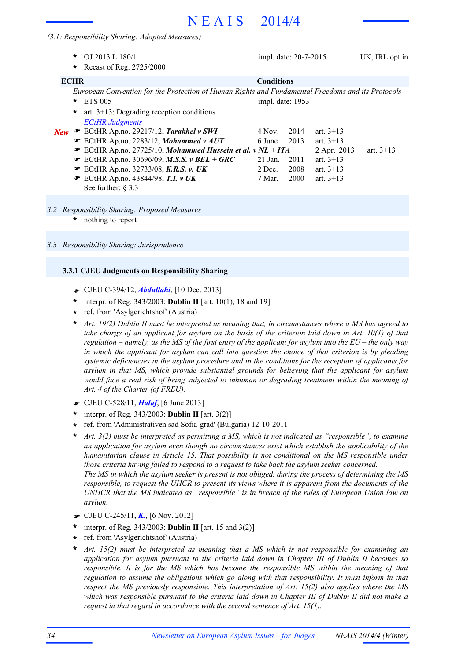#### *(3.1: Responsibility Sharing: Adopted Measures)*

|             | *<br>$\ast$      | OJ 2013 L $180/1$<br>Recast of Reg. 2725/2000                                                                                                                                                                                                                                                                                                                                                                                                                                                       |                                                                       | impl. date: 20-7-2015                |                                                                                        | UK, IRL opt in |
|-------------|------------------|-----------------------------------------------------------------------------------------------------------------------------------------------------------------------------------------------------------------------------------------------------------------------------------------------------------------------------------------------------------------------------------------------------------------------------------------------------------------------------------------------------|-----------------------------------------------------------------------|--------------------------------------|----------------------------------------------------------------------------------------|----------------|
| <b>ECHR</b> |                  |                                                                                                                                                                                                                                                                                                                                                                                                                                                                                                     | <b>Conditions</b>                                                     |                                      |                                                                                        |                |
| New         | $\ast$<br>$\ast$ | European Convention for the Protection of Human Rights and Fundamental Freedoms and its Protocols<br><b>ETS 005</b><br>art. $3+13$ : Degrading reception conditions<br><b>ECtHR</b> Judgments<br>ECtHR Ap.no. 29217/12, Tarakhel v SWI<br>$\bullet$ ECtHR Ap.no. 2283/12, Mohammed v AUT<br>ECtHR Ap.no. 27725/10, Mohammed Hussein et al. v $NL + ITA$<br>$\bullet$ ECtHR Ap.no. 30696/09, M.S.S. v BEL + GRC<br>ECtHR Ap.no. 32733/08, K.R.S. v. UK<br>$\bullet$ ECtHR Ap.no. 43844/98, T.I. v UK | impl. date: 1953<br>4 Nov.<br>6 June<br>$21$ Jan.<br>2 Dec.<br>7 Mar. | 2014<br>2013<br>2011<br>2008<br>2000 | art. $3+13$<br>art. $3+13$<br>2 Apr. 2013<br>art. $3+13$<br>art. $3+13$<br>art. $3+13$ | art $3 + 13$   |
|             |                  | See further: $\S 3.3$                                                                                                                                                                                                                                                                                                                                                                                                                                                                               |                                                                       |                                      |                                                                                        |                |

#### *3.2 Responsibility Sharing: Proposed Measures*

nothing to report **\***

#### *3.3 Responsibility Sharing: Jurisprudence*

#### **3.3.1 CJEU Judgments on Responsibility Sharing**

- F CJEU C-394/12, *Abdullahi*, [10 Dec. 2013]
- interpr. of Reg. 343/2003: **Dublin II** [art. 10(1), 18 and 19] **\***
- ref. from 'Asylgerichtshof' (Austria) **\***
- Art. 19(2) Dublin II must be interpreted as meaning that, in circumstances where a MS has agreed to take charge of an applicant for asylum on the basis of the criterion laid down in Art.  $10(1)$  of that regulation – namely, as the MS of the first entry of the applicant for asylum into the  $EU$  – the only way in which the applicant for asylum can call into question the choice of that criterion is by pleading *systemic deficiencies in the asylum procedure and in the conditions for the reception of applicants for asylum in that MS, which provide substantial grounds for believing that the applicant for asylum would face a real risk of being subjected to inhuman or degrading treatment within the meaning of Art. 4 of the Charter (of FREU).* **\***
- F CJEU C-528/11, *Halaf*, [6 June 2013]
- interpr. of Reg. 343/2003: **Dublin II** [art. 3(2)] **\***
- ref. from 'Administrativen sad Sofia-grad' (Bulgaria) 12-10-2011 **\***
- *Art. 3(2) must be interpreted as permitting a MS, which is not indicated as "responsible", to examine an application for asylum even though no circumstances exist which establish the applicability of the humanitarian clause in Article 15. That possibility is not conditional on the MS responsible under those criteria having failed to respond to a request to take back the asylum seeker concerned.* The MS in which the asylum seeker is present is not obliged, during the process of determining the MS responsible, to request the UHCR to present its views where it is apparent from the documents of the *UNHCR that the MS indicated as "responsible" is in breach of the rules of European Union law on asylum.* **\***
- F CJEU C-245/11, *K.*, [6 Nov. 2012]
- interpr. of Reg. 343/2003: **Dublin II** [art. 15 and 3(2)] **\***
- ref. from 'Asylgerichtshof' (Austria) **\***
- *Art. 15(2) must be interpreted as meaning that a MS which is not responsible for examining an application for asylum pursuant to the criteria laid down in Chapter III of Dublin II becomes so responsible. It is for the MS which has become the responsible MS within the meaning of that regulation to assume the obligations which go along with that responsibility. It must inform in that respect the MS previously responsible. This interpretation of Art. 15(2) also applies where the MS* which was responsible pursuant to the criteria laid down in Chapter III of Dublin II did not make a *request in that regard in accordance with the second sentence of Art. 15(1).* **\***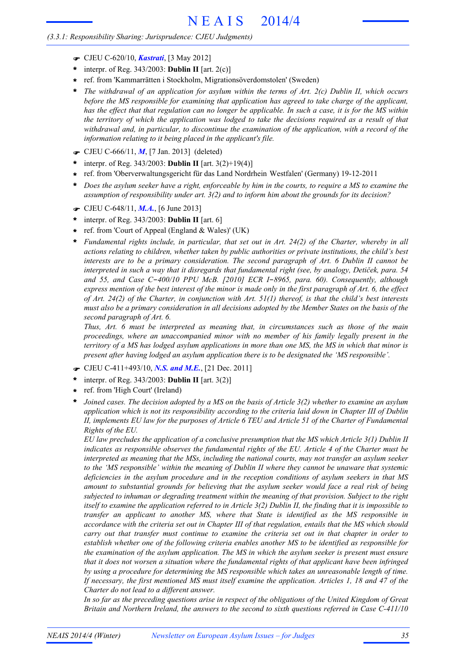#### *(3.3.1: Responsibility Sharing: Jurisprudence: CJEU Judgments)*

- F CJEU C-620/10, *Kastrati*, [3 May 2012]
- interpr. of Reg. 343/2003: **Dublin II** [art. 2(c)] **\***
- ref. from 'Kammarrätten i Stockholm, Migrationsöverdomstolen' (Sweden) **\***
- *The withdrawal of an application for asylum within the terms of Art. 2(c) Dublin II, which occurs before the MS responsible for examining that application has agreed to take charge of the applicant,* has the effect that that regulation can no longer be applicable. In such a case, it is for the MS within the territory of which the application was lodged to take the decisions required as a result of that *withdrawal and, in particular, to discontinue the examination of the application, with a record of the information relating to it being placed in the applicant's file.* **\***
- F CJEU C-666/11, *M*, [7 Jan. 2013] (deleted)
- interpr. of Reg. 343/2003: **Dublin II** [art. 3(2)+19(4)] **\***
- ref. from 'Oberverwaltungsgericht für das Land Nordrhein Westfalen' (Germany) 19-12-2011 **\***
- Does the asylum seeker have a right, enforceable by him in the courts, to require a MS to examine the *assumption of responsibility under art. 3(2) and to inform him about the grounds for its decision?* **\***
- F CJEU C-648/11, *M.A.*, [6 June 2013]
- interpr. of Reg. 343/2003: **Dublin II** [art. 6] **\***
- ref. from 'Court of Appeal (England & Wales)' (UK) **\***
- *Fundamental rights include, in particular, that set out in Art. 24(2) of the Charter, whereby in all actions relating to children, whether taken by public authorities or private institutions, the child's best interests are to be a primary consideration. The second paragraph of Art. 6 Dublin II cannot be* interpreted in such a way that it disregards that fundamental right (see, by analogy, Detiček, para. 54 *and 55, and Case C*-*400/10 PPU McB. [2010] ECR I*-*8965, para. 60). Consequently, although* express mention of the best interest of the minor is made only in the first paragraph of Art. 6, the effect of Art. 24(2) of the Charter, in conjunction with Art.  $5l(1)$  thereof, is that the child's best interests must also be a primary consideration in all decisions adopted by the Member States on the basis of the *second paragraph of Art. 6.* **\***

*Thus, Art. 6 must be interpreted as meaning that, in circumstances such as those of the main proceedings, where an unaccompanied minor with no member of his family legally present in the* territory of a MS has lodged asylum applications in more than one MS, the MS in which that minor is *present after having lodged an asylum application there is to be designated the 'MS responsible'.*

- F CJEU C-411+493/10, *N.S. and M.E.*, [21 Dec. 2011]
- interpr. of Reg. 343/2003: **Dublin II** [art. 3(2)] **\***
- ref. from 'High Court' (Ireland) **\***
- Joined cases. The decision adopted by a MS on the basis of Article 3(2) whether to examine an asylum *application which is not its responsibility according to the criteria laid down in Chapter III of Dublin* II, implements EU law for the purposes of Article 6 TEU and Article 51 of the Charter of Fundamental *Rights of the EU.* **\***

*EU law precludes the application of a conclusive presumption that the MS which Article 3(1) Dublin II indicates as responsible observes the fundamental rights of the EU. Article 4 of the Charter must be interpreted as meaning that the MSs, including the national courts, may not transfer an asylum seeker to the 'MS responsible' within the meaning of Dublin II where they cannot be unaware that systemic deficiencies in the asylum procedure and in the reception conditions of asylum seekers in that MS amount to substantial grounds for believing that the asylum seeker would face a real risk of being subjected to inhuman or degrading treatment within the meaning of that provision. Subject to the right* itself to examine the application referred to in Article  $3(2)$  Dublin II, the finding that it is impossible to *transfer an applicant to another MS, where that State is identified as the MS responsible in* accordance with the criteria set out in Chapter III of that regulation, entails that the MS which should *carry out that transfer must continue to examine the criteria set out in that chapter in order to establish whether one of the following criteria enables another MS to be identified as responsible for the examination of the asylum application. The MS in which the asylum seeker is present must ensure that it does not worsen a situation where the fundamental rights of that applicant have been infringed by using a procedure for determining the MS responsible which takes an unreasonable length of time.* If necessary, the first mentioned MS must itself examine the application, Articles 1, 18 and 47 of the *Charter do not lead to a different answer.*

In so far as the preceding questions arise in respect of the obligations of the United Kingdom of Great *Britain and Northern Ireland, the answers to the second to sixth questions referred in Case C-411/10*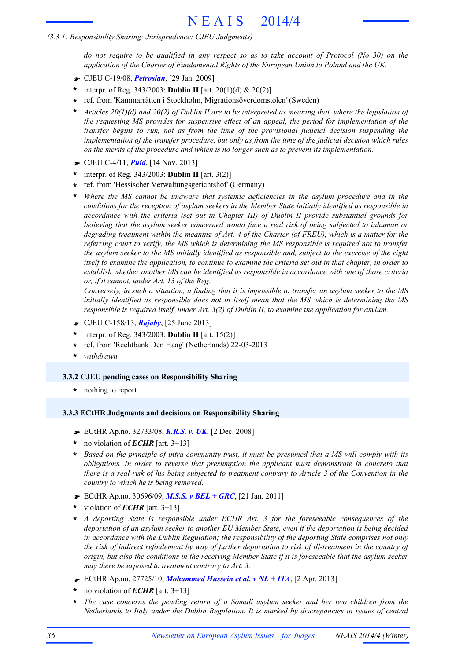### *(3.3.1: Responsibility Sharing: Jurisprudence: CJEU Judgments)*

do not require to be qualified in any respect so as to take account of Protocol ( $No$  30) on the *application of the Charter of Fundamental Rights of the European Union to Poland and the UK.*

- F CJEU C-19/08, *Petrosian*, [29 Jan. 2009]
- interpr. of Reg. 343/2003: **Dublin II** [art. 20(1)(d) & 20(2)] **\***
- ref. from 'Kammarrätten i Stockholm, Migrationsöverdomstolen' (Sweden) **\***
- Articles  $20(1)(d)$  and  $20(2)$  of Dublin II are to be interpreted as meaning that, where the legislation of *the requesting MS provides for suspensive effect of an appeal, the period for implementation of the transfer begins to run, not as from the time of the provisional judicial decision suspending the implementation of the transfer procedure, but only as from the time of the judicial decision which rules on the merits of the procedure and which is no longer such as to prevent its implementation.* **\***
- F CJEU C-4/11, *Puid*, [14 Nov. 2013]
- interpr. of Reg. 343/2003: **Dublin II** [art. 3(2)] **\***
- ref. from 'Hessischer Verwaltungsgerichtshof' (Germany) **\***
- *Where the MS cannot be unaware that systemic deficiencies in the asylum procedure and in the conditions for the reception of asylum seekers in the Member State initially identified as responsible in accordance with the criteria (set out in Chapter III) of Dublin II provide substantial grounds for believing that the asylum seeker concerned would face a real risk of being subjected to inhuman or* degrading treatment within the meaning of Art. 4 of the Charter (of FREU), which is a matter for the *referring court to verify, the MS which is determining the MS responsible is required not to transfer* the asylum seeker to the MS initially identified as responsible and, subject to the exercise of the right itself to examine the application, to continue to examine the criteria set out in that chapter, in order to *establish whether another MS can be identified as responsible in accordance with one of those criteria or, if it cannot, under Art. 13 of the Reg.* **\***

Conversely, in such a situation, a finding that it is impossible to transfer an asylum seeker to the MS *initially identified as responsible does not in itself mean that the MS which is determining the MS responsible is required itself, under Art. 3(2) of Dublin II, to examine the application for asylum.*

- F CJEU C-158/13, *Rajaby*, [25 June 2013]
- interpr. of Reg. 343/2003: **Dublin II** [art. 15(2)] **\***
- ref. from 'Rechtbank Den Haag' (Netherlands) 22-03-2013 **\***
- **\*** *withdrawn*

#### **3.3.2 CJEU pending cases on Responsibility Sharing**

**\*** nothing to report

#### **3.3.3 ECtHR Judgments and decisions on Responsibility Sharing**

- F ECtHR Ap.no. 32733/08, *K.R.S. v. UK*, [2 Dec. 2008]
- no violation of *ECHR* [art. 3+13] **\***
- Based on the principle of intra-community trust, it must be presumed that a MS will comply with its *obligations. In order to reverse that presumption the applicant must demonstrate in concreto that* there is a real risk of his being subjected to treatment contrary to Article 3 of the Convention in the *country to which he is being removed.* **\***
- F ECtHR Ap.no. 30696/09, *M.S.S. v BEL + GRC*, [21 Jan. 2011]
- \* violation of  $ECHR$  [art. 3+13]
- *A deporting State is responsible under ECHR Art. 3 for the foreseeable consequences of the deportation of an asylum seeker to another EU Member State, even if the deportation is being decided in accordance with the Dublin Regulation; the responsibility of the deporting State comprises not only* the risk of indirect refoulement by way of further deportation to risk of ill-treatment in the country of origin, but also the conditions in the receiving Member State if it is foreseeable that the asylum seeker *may there be exposed to treatment contrary to Art. 3.* **\***
- F ECtHR Ap.no. 27725/10, *Mohammed Hussein et al. v NL + ITA*, [2 Apr. 2013]
- no violation of *ECHR* [art. 3+13] **\***
- *The case concerns the pending return of a Somali asylum seeker and her two children from the Netherlands to Italy under the Dublin Regulation. It is marked by discrepancies in issues of central* **\***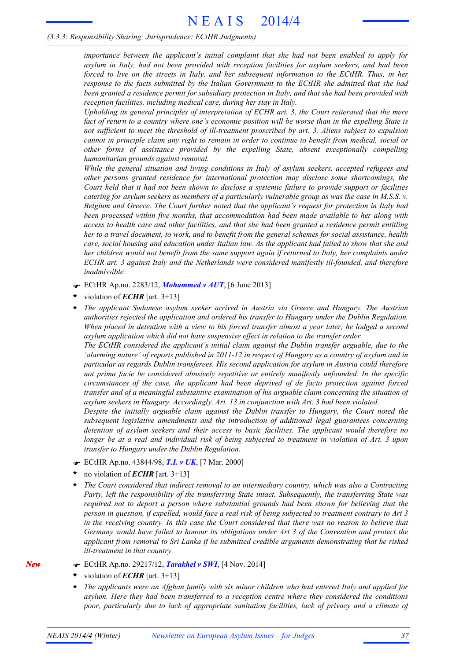#### *(3.3.3: Responsibility Sharing: Jurisprudence: ECtHR Judgments)*

*importance between the applicant's initial complaint that she had not been enabled to apply for asylum in Italy, had not been provided with reception facilities for asylum seekers, and had been forced to live on the streets in Italy, and her subsequent information to the ECtHR. Thus, in her response to the facts submitted by the Italian Government to the ECtHR she admitted that she had been granted a residence permit for subsidiary protection in Italy, and that she had been provided with reception facilities, including medical care, during her stay in Italy.*

*Upholding its general principles of interpretation of ECHR art. 3, the Court reiterated that the mere* fact of return to a country where one's economic position will be worse than in the expelling State is *not sufficient to meet the threshold of ill-treatment proscribed by art. 3. Aliens subject to expulsion* cannot in principle claim any right to remain in order to continue to benefit from medical, social or *other forms of assistance provided by the expelling State, absent exceptionally compelling humanitarian grounds against removal.*

*While the general situation and living conditions in Italy of asylum seekers, accepted refugees and other persons granted residence for international protection may disclose some shortcomings, the* Court held that it had not been shown to disclose a systemic failure to provide support or facilities catering for asylum seekers as members of a particularly vulnerable group as was the case in  $M.S.S.$  v. *Belgium and Greece. The Court further noted that the applicant's request for protection in Italy had been processed within five months, that accommodation had been made available to her along with access to health care and other facilities, and that she had been granted a residence permit entitling* her to a travel document, to work, and to benefit from the general schemes for social assistance, health care, social housing and education under Italian law. As the applicant had failed to show that she and *her children would not benefit from the same support again if returned to Italy, her complaints under ECHR art. 3 against Italy and the Netherlands were considered manifestly ill-founded, and therefore inadmissible.*

- F ECtHR Ap.no. 2283/12, *Mohammed v AUT*, [6 June 2013]
- violation of *ECHR* [art. 3+13] **\***
- *The applicant Sudanese asylum seeker arrived in Austria via Greece and Hungary. The Austrian authorities rejected the application and ordered his transfer to Hungary under the Dublin Regulation.* When placed in detention with a view to his forced transfer almost a year later, he lodged a second *asylum application which did not have suspensive effect in relation to the transfer order.* **\***

*The ECtHR considered the applicant's initial claim against the Dublin transfer arguable, due to the* 'alarming nature' of reports published in 2011-12 in respect of Hungary as a country of asylum and in *particular as regards Dublin transferees. His second application for asylum in Austria could therefore not prima facie be considered abusively repetitive or entirely manifestly unfounded. In the specific circumstances of the case, the applicant had been deprived of de facto protection against forced transfer and of a meaningful substantive examination of his arguable claim concerning the situation of asylum seekers in Hungary. Accordingly, Art. 13 in conjunction with Art. 3 had been violated.*

*Despite the initially arguable claim against the Dublin transfer to Hungary, the Court noted the subsequent legislative amendments and the introduction of additional legal guarantees concerning detention of asylum seekers and their access to basic facilities. The applicant would therefore no* longer be at a real and individual risk of being subjected to treatment in violation of Art. 3 upon *transfer to Hungary under the Dublin Regulation.*

- F ECtHR Ap.no. 43844/98, *T.I. v UK*, [7 Mar. 2000]
- no violation of *ECHR* [art. 3+13] **\***
- *The Court considered that indirect removal to an intermediary country, which was also a Contracting Party, left the responsibility of the transferring State intact. Subsequently, the transferring State was required not to deport a person where substantial grounds had been shown for believing that the* person in question, if expelled, would face a real risk of being subjected to treatment contrary to Art 3 in the receiving country. In this case the Court considered that there was no reason to believe that *Germany would have failed to honour its obligations under Art 3 of the Convention and protect the applicant from removal to Sri Lanka if he submitted credible arguments demonstrating that he risked ill-treatment in that country.* **\***
- F ECtHR Ap.no. 29217/12, *Tarakhel v SWI*, [4 Nov. 2014]
- violation of *ECHR* [art. 3+13] **\***
- *The applicants were an Afghan family with six minor children who had entered Italy and applied for asylum. Here they had been transferred to a reception centre where they considered the conditions poor, particularly due to lack of appropriate sanitation facilities, lack of privacy and a climate of* **\***

*New*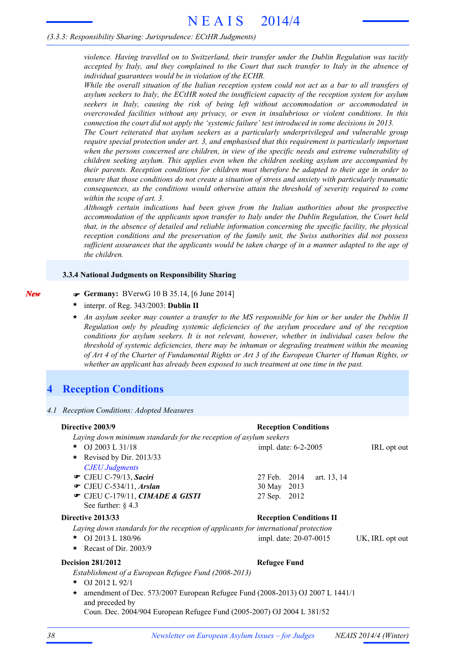#### *(3.3.3: Responsibility Sharing: Jurisprudence: ECtHR Judgments)*

*violence. Having travelled on to Switzerland, their transfer under the Dublin Regulation was tacitly accepted by Italy, and they complained to the Court that such transfer to Italy in the absence of individual guarantees would be in violation of the ECHR.*

While the overall situation of the Italian reception system could not act as a bar to all transfers of *asylum seekers to Italy, the ECtHR noted the insufficient capacity of the reception system for asylum seekers in Italy, causing the risk of being left without accommodation or accommodated in overcrowded facilities without any privacy, or even in insalubrious or violent conditions. In this connection the court did not apply the 'systemic failure' test introduced in some decisions in 2013.*

*The Court reiterated that asylum seekers as a particularly underprivileged and vulnerable group require special protection under art. 3, and emphasised that this requirement is particularly important when the persons concerned are children, in view of the specific needs and extreme vulnerability of children seeking asylum. This applies even when the children seeking asylum are accompanied by their parents. Reception conditions for children must therefore be adapted to their age in order to ensure that those conditions do not create a situation of stress and anxiety with particularly traumatic consequences, as the conditions would otherwise attain the threshold of severity required to come within the scope of art. 3.*

*Although certain indications had been given from the Italian authorities about the prospective accommodation of the applicants upon transfer to Italy under the Dublin Regulation, the Court held that, in the absence of detailed and reliable information concerning the specific facility, the physical reception conditions and the preservation of the family unit, the Swiss authorities did not possess* sufficient assurances that the applicants would be taken charge of in a manner adapted to the age of *the children.*

#### **3.3.4 National Judgments on Responsibility Sharing**

- F **Germany:** BVerwG 10 B 35.14, [6 June 2014]
- interpr. of Reg. 343/2003: **Dublin II \***
- An asylum seeker may counter a transfer to the MS responsible for him or her under the Dublin II *Regulation only by pleading systemic deficiencies of the asylum procedure and of the reception conditions for asylum seekers. It is not relevant, however, whether in individual cases below the threshold of systemic deficiencies, there may be inhuman or degrading treatment within the meaning* of Art 4 of the Charter of Fundamental Rights or Art 3 of the European Charter of Human Rights, or *whether an applicant has already been exposed to such treatment at one time in the past.* **\***

## **4 Reception Conditions**

*4.1 Reception Conditions: Adopted Measures*

| Directive 2003/9                                                                                            | <b>Reception Conditions</b>    |                 |
|-------------------------------------------------------------------------------------------------------------|--------------------------------|-----------------|
| Laying down minimum standards for the reception of asylum seekers                                           |                                |                 |
| OJ 2003 L 31/18<br>$\ast$                                                                                   | impl. date: 6-2-2005           | IRL opt out     |
| Revised by Dir. 2013/33<br>$\star$                                                                          |                                |                 |
| <b>CJEU Judgments</b>                                                                                       |                                |                 |
| CJEU C-79/13, Saciri                                                                                        | art. 13, 14<br>27 Feb. 2014    |                 |
| $\bullet$ CJEU C-534/11, Arslan                                                                             | 30 May<br>2013                 |                 |
| CJEU C-179/11, CIMADE & GISTI                                                                               | 2012<br>27 Sep.                |                 |
| See further: $\S$ 4.3                                                                                       |                                |                 |
| Directive 2013/33                                                                                           | <b>Reception Conditions II</b> |                 |
| Laying down standards for the reception of applicants for international protection                          |                                |                 |
| OJ 2013 L 180/96<br>$\star$                                                                                 | impl. date: 20-07-0015         | UK, IRL opt out |
| Recast of Dir. 2003/9<br>$\ast$                                                                             |                                |                 |
| <b>Decision 281/2012</b>                                                                                    | <b>Refugee Fund</b>            |                 |
| Establishment of a European Refugee Fund (2008-2013)                                                        |                                |                 |
| OJ 2012 L 92/1<br>$\star$                                                                                   |                                |                 |
| amendment of Dec. 573/2007 European Refugee Fund (2008-2013) OJ 2007 L 1441/1<br>$\star$<br>and preceded by |                                |                 |
| Coun. Dec. 2004/904 European Refugee Fund (2005-2007) OJ 2004 L 381/52                                      |                                |                 |

*New*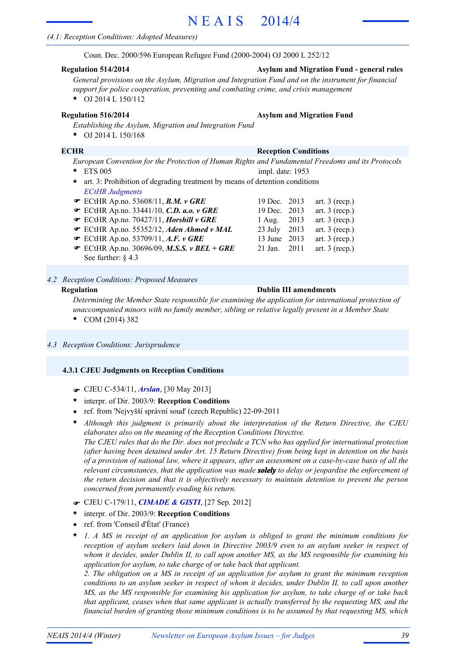#### *(4.1: Reception Conditions: Adopted Measures)*

Coun. Dec. 2000/596 European Refugee Fund (2000-2004) OJ 2000 L 252/12

#### **Regulation 514/2014 Asylum and Migration Fund - general rules**

*General provisions on the Asylum, Migration and Integration Fund and on the instrument for financial support for police cooperation, preventing and combating crime, and crisis management*

OJ 2014 L 150/112 **\***

### **Regulation 516/2014 Asylum and Migration Fund**

- *Establishing the Asylum, Migration and Integration Fund*
- OJ 2014 L 150/168 **\***

## **ECHR Reception Conditions**

*European Convention for the Protection of Human Rights and Fundamental Freedoms and its Protocols* impl. date: 1953

- ETS 005 **\***
- *ECtHR Judgments* **\*** art. 3: Prohibition of degrading treatment by means of detention conditions
- **■** ECtHR Ap.no. 53608/11, *B.M.**v* **GRE** 19 Dec. 2013 art. 3 (recp.)
- **■** ECtHR Ap.no. 33441/10, *C.D. a.o. v* GRE 19 Dec. 2013 art. 3 (recp.)
- **■** ECtHR Ap.no. 70427/11, *Horshill v GRE* 1 Aug. 2013 art. 3 (recp.)
- **■** ECtHR Ap.no. 55352/12, *Aden Ahmed v MAL* 23 July 2013 art. 3 (recp.)
- **■** ECtHR Ap.no. 53709/11, *A.F. v* GRE 13 June 2013 art. 3 (recp.)
- ECtHR Ap.no. 30696/09, *M.S.S. v BEL + GRE* 21 Jan. 2011 art. 3 (recp.) F See further: § 4.3

#### **Regulation Dublin III amendments** *4.2 Reception Conditions: Proposed Measures*

*Determining the Member State responsible for examining the application for international protection of unaccompanied minors with no family member, sibling or relative legally present in a Member State* COM (2014) 382 **\***

- 
- *4.3 Reception Conditions: Jurisprudence*

#### **4.3.1 CJEU Judgments on Reception Conditions**

- F CJEU C-534/11, *Arslan*, [30 May 2013]
- interpr. of Dir. 2003/9: **Reception Conditions \***
- ref. from 'Nejvyšší správní soud' (czech Republic) 22-09-2011 **\***
- *Although this judgment is primarily about the interpretation of the Return Directive, the CJEU elaborates also on the meaning of the Reception Conditions Directive.* **\***

The CJEU rules that do the Dir. does not preclude a TCN who has applied for international protection *(after having been detained under Art. 15 Return Directive) from being kept in detention on the basis* of a provision of national law, where it appears, after an assessment on a case-by-case basis of all the *relevant circumstances, that the application was made solely to delay or jeopardise the enforcement of the return decision and that it is objectively necessary to maintain detention to prevent the person concerned from permanently evading his return.*

- F CJEU C-179/11, *CIMADE & GISTI*, [27 Sep. 2012]
- interpr. of Dir. 2003/9: **Reception Conditions \***
- ref. from 'Conseil d'État' (France) **\***
- *1. A MS in receipt of an application for asylum is obliged to grant the minimum conditions for reception of asylum seekers laid down in Directive 2003/9 even to an asylum seeker in respect of whom it decides, under Dublin II, to call upon another MS, as the MS responsible for examining his application for asylum, to take charge of or take back that applicant.* **\***

*2. The obligation on a MS in receipt of an application for asylum to grant the minimum reception* conditions to an asylum seeker in respect of whom it decides, under Dublin II, to call upon another *MS, as the MS responsible for examining his application for asylum, to take charge of or take back that applicant, ceases when that same applicant is actually transferred by the requesting MS, and the financial burden of granting those minimum conditions is to be assumed by that requesting MS, which*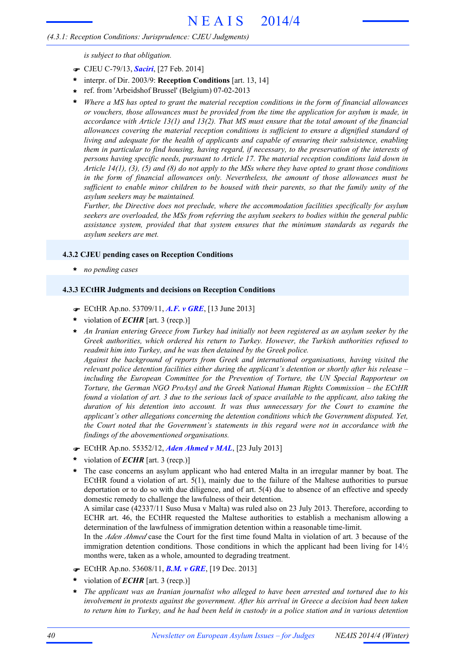#### *(4.3.1: Reception Conditions: Jurisprudence: CJEU Judgments)*

*is subject to that obligation.*

- F CJEU C-79/13, *Saciri*, [27 Feb. 2014]
- interpr. of Dir. 2003/9: **Reception Conditions** [art. 13, 14] **\***
- ref. from 'Arbeidshof Brussel' (Belgium) 07-02-2013 **\***
- *Where a MS has opted to grant the material reception conditions in the form of financial allowances or vouchers, those allowances must be provided from the time the application for asylum is made, in accordance with Article 13(1) and 13(2). That MS must ensure that the total amount of the financial allowances covering the material reception conditions is sufficient to ensure a dignified standard of living and adequate for the health of applicants and capable of ensuring their subsistence, enabling them in particular to find housing, having regard, if necessary, to the preservation of the interests of persons having specific needs, pursuant to Article 17. The material reception conditions laid down in* Article 14(1), (3), (5) and (8) do not apply to the MSs where they have opted to grant those conditions *in the form of financial allowances only. Nevertheless, the amount of those allowances must be* sufficient to enable minor children to be housed with their parents, so that the family unity of the *asylum seekers may be maintained.* **\***

*Further, the Directive does not preclude, where the accommodation facilities specifically for asylum seekers are overloaded, the MSs from referring the asylum seekers to bodies within the general public assistance system, provided that that system ensures that the minimum standards as regards the asylum seekers are met.*

#### **4.3.2 CJEU pending cases on Reception Conditions**

**\*** *no pending cases*

#### **4.3.3 ECtHR Judgments and decisions on Reception Conditions**

- F ECtHR Ap.no. 53709/11, *A.F. v GRE*, [13 June 2013]
- violation of *ECHR* [art. 3 (recp.)] **\***
- \* An Iranian entering Greece from Turkey had initially not been registered as an asylum seeker by the *Greek authorities, which ordered his return to Turkey. However, the Turkish authorities refused to readmit him into Turkey, and he was then detained by the Greek police.*

*Against the background of reports from Greek and international organisations, having visited the relevant police detention facilities either during the applicant's detention or shortly after his release – including the European Committee for the Prevention of Torture, the UN Special Rapporteur on Torture, the German NGO ProAsyl and the Greek National Human Rights Commission – the ECtHR* found a violation of art. 3 due to the serious lack of space available to the applicant, also taking the *duration of his detention into account. It was thus unnecessary for the Court to examine the applicant's other allegations concerning the detention conditions which the Government disputed. Yet, the Court noted that the Government's statements in this regard were not in accordance with the findings of the abovementioned organisations.*

- F ECtHR Ap.no. 55352/12, *Aden Ahmed v MAL*, [23 July 2013]
- violation of *ECHR* [art. 3 (recp.)] **\***
- The case concerns an asylum applicant who had entered Malta in an irregular manner by boat. The ECtHR found a violation of art. 5(1), mainly due to the failure of the Maltese authorities to pursue deportation or to do so with due diligence, and of art. 5(4) due to absence of an effective and speedy domestic remedy to challenge the lawfulness of their detention. **\***

A similar case (42337/11 Suso Musa v Malta) was ruled also on 23 July 2013. Therefore, according to ECHR art. 46, the ECtHR requested the Maltese authorities to establish a mechanism allowing a determination of the lawfulness of immigration detention within a reasonable time-limit.

In the *Aden Ahmed* case the Court for the first time found Malta in violation of art. 3 because of the immigration detention conditions. Those conditions in which the applicant had been living for  $14\frac{1}{2}$ months were, taken as a whole, amounted to degrading treatment.

- F ECtHR Ap.no. 53608/11, *B.M. v GRE*, [19 Dec. 2013]
- violation of *ECHR* [art. 3 (recp.)] **\***
- *The applicant was an Iranian journalist who alleged to have been arrested and tortured due to his involvement in protests against the government. After his arrival in Greece a decision had been taken* to return him to Turkey, and he had been held in custody in a police station and in various detention **\***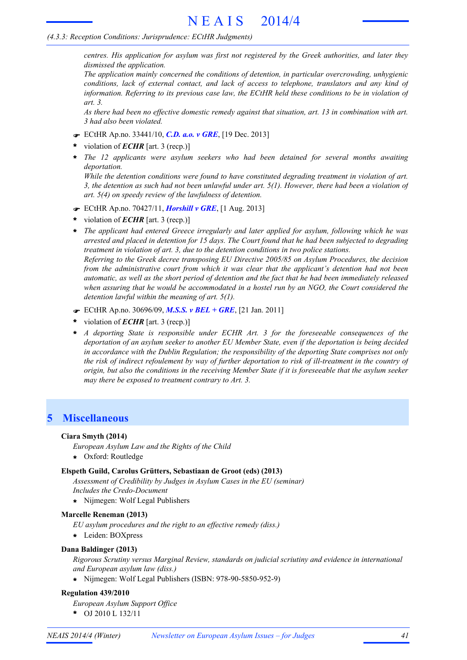#### *(4.3.3: Reception Conditions: Jurisprudence: ECtHR Judgments)*

*centres. His application for asylum was first not registered by the Greek authorities, and later they dismissed the application.*

*The application mainly concerned the conditions of detention, in particular overcrowding, unhygienic conditions, lack of external contact, and lack of access to telephone, translators and any kind of information. Referring to its previous case law, the ECtHR held these conditions to be in violation of art. 3.*

*As there had been no effective domestic remedy against that situation, art. 13 in combination with art. 3 had also been violated.*

- F ECtHR Ap.no. 33441/10, *C.D. a.o. v GRE*, [19 Dec. 2013]
- violation of *ECHR* [art. 3 (recp.)] **\***
- *The 12 applicants were asylum seekers who had been detained for several months awaiting deportation.* **\***

*While the detention conditions were found to have constituted degrading treatment in violation of art.* 3, the detention as such had not been unlawful under art.  $5(1)$ . However, there had been a violation of *art. 5(4) on speedy review of the lawfulness of detention.*

- F ECtHR Ap.no. 70427/11, *Horshill v GRE*, [1 Aug. 2013]
- violation of *ECHR* [art. 3 (recp.)] **\***
- *The applicant had entered Greece irregularly and later applied for asylum, following which he was* arrested and placed in detention for 15 days. The Court found that he had been subjected to degrading *treatment in violation of art. 3, due to the detention conditions in two police stations. Referring to the Greek decree transposing EU Directive 2005/85 on Asylum Procedures, the decision from the administrative court from which it was clear that the applicant's detention had not been* automatic, as well as the short period of detention and the fact that he had been immediately released *when assuring that he would be accommodated in a hostel run by an NGO, the Court considered the detention lawful within the meaning of art. 5(1).* **\***
- F ECtHR Ap.no. 30696/09, *M.S.S. v BEL + GRE*, [21 Jan. 2011]
- violation of *ECHR* [art. 3 (recp.)] **\***
- *A deporting State is responsible under ECHR Art. 3 for the foreseeable consequences of the deportation of an asylum seeker to another EU Member State, even if the deportation is being decided in accordance with the Dublin Regulation; the responsibility of the deporting State comprises not only* the risk of indirect refoulement by way of further deportation to risk of ill-treatment in the country of origin, but also the conditions in the receiving Member State if it is foreseeable that the asylum seeker *may there be exposed to treatment contrary to Art. 3.* **\***

## **5 Miscellaneous**

#### **Ciara Smyth (2014)**

*European Asylum Law and the Rights of the Child*

**\*** Oxford: Routledge

#### **Elspeth Guild, Carolus Grütters, Sebastiaan de Groot (eds) (2013)**

*Assessment of Credibility by Judges in Asylum Cases in the EU (seminar) Includes the Credo-Document*

**\*** Nijmegen: Wolf Legal Publishers

#### **Marcelle Reneman (2013)**

- *EU asylum procedures and the right to an effective remedy (diss.)*
- **\*** Leiden: BOXpress

#### **Dana Baldinger (2013)**

*Rigorous Scrutiny versus Marginal Review, standards on judicial scriutiny and evidence in international and European asylum law (diss.)*

**\*** Nijmegen: Wolf Legal Publishers (ISBN: 978-90-5850-952-9)

#### **Regulation 439/2010**

*European Asylum Support Office*

OJ 2010 L 132/11 **\***